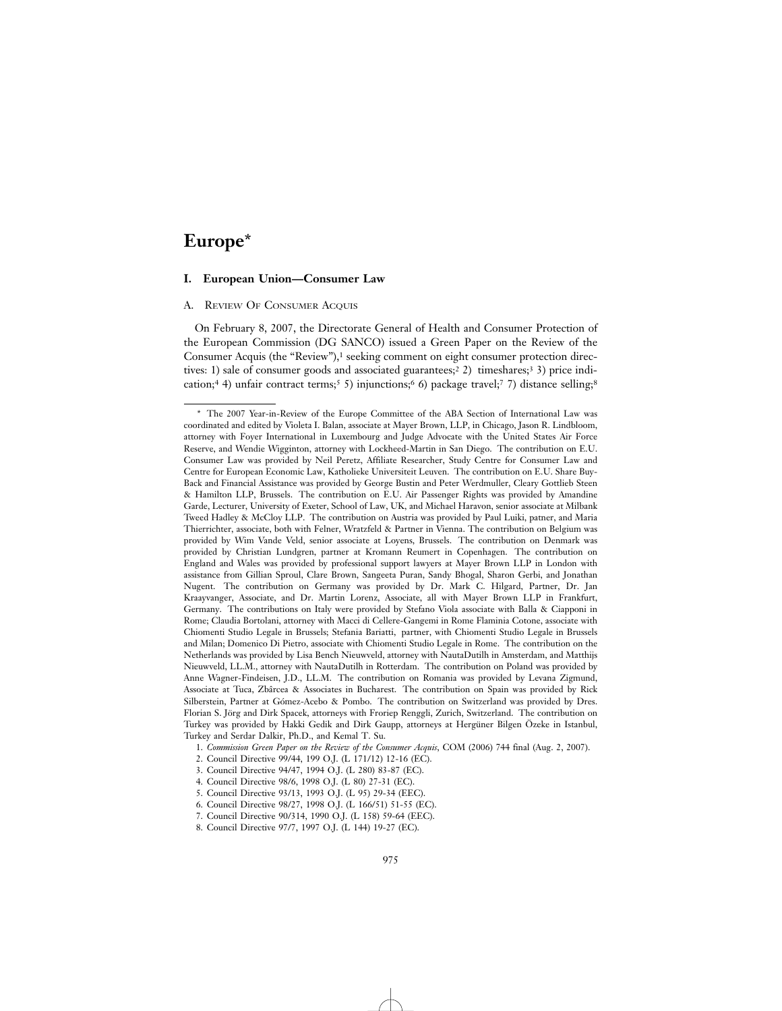# **Europe**\*

# **I. European Union—Consumer Law**

# A. REVIEW OF CONSUMER ACQUIS

On February 8, 2007, the Directorate General of Health and Consumer Protection of the European Commission (DG SANCO) issued a Green Paper on the Review of the Consumer Acquis (the "Review"),<sup>1</sup> seeking comment on eight consumer protection directives: 1) sale of consumer goods and associated guarantees;<sup>2</sup> 2) timeshares;<sup>3</sup> 3) price indication;<sup>4</sup> 4) unfair contract terms;<sup>5</sup> 5) injunctions;<sup>6</sup> 6) package travel;<sup>7</sup> 7) distance selling;<sup>8</sup>

<sup>\*</sup> The 2007 Year-in-Review of the Europe Committee of the ABA Section of International Law was coordinated and edited by Violeta I. Balan, associate at Mayer Brown, LLP, in Chicago, Jason R. Lindbloom, attorney with Foyer International in Luxembourg and Judge Advocate with the United States Air Force Reserve, and Wendie Wigginton, attorney with Lockheed-Martin in San Diego. The contribution on E.U. Consumer Law was provided by Neil Peretz, Affiliate Researcher, Study Centre for Consumer Law and Centre for European Economic Law, Katholieke Universiteit Leuven. The contribution on E.U. Share Buy-Back and Financial Assistance was provided by George Bustin and Peter Werdmuller, Cleary Gottlieb Steen & Hamilton LLP, Brussels. The contribution on E.U. Air Passenger Rights was provided by Amandine Garde, Lecturer, University of Exeter, School of Law, UK, and Michael Haravon, senior associate at Milbank Tweed Hadley & McCloy LLP. The contribution on Austria was provided by Paul Luiki, patner, and Maria Thierrichter, associate, both with Felner, Wratzfeld & Partner in Vienna. The contribution on Belgium was provided by Wim Vande Veld, senior associate at Loyens, Brussels. The contribution on Denmark was provided by Christian Lundgren, partner at Kromann Reumert in Copenhagen. The contribution on England and Wales was provided by professional support lawyers at Mayer Brown LLP in London with assistance from Gillian Sproul, Clare Brown, Sangeeta Puran, Sandy Bhogal, Sharon Gerbi, and Jonathan Nugent. The contribution on Germany was provided by Dr. Mark C. Hilgard, Partner, Dr. Jan Kraayvanger, Associate, and Dr. Martin Lorenz, Associate, all with Mayer Brown LLP in Frankfurt, Germany. The contributions on Italy were provided by Stefano Viola associate with Balla & Ciapponi in Rome; Claudia Bortolani, attorney with Macci di Cellere-Gangemi in Rome Flaminia Cotone, associate with Chiomenti Studio Legale in Brussels; Stefania Bariatti, partner, with Chiomenti Studio Legale in Brussels and Milan; Domenico Di Pietro, associate with Chiomenti Studio Legale in Rome. The contribution on the Netherlands was provided by Lisa Bench Nieuwveld, attorney with NautaDutilh in Amsterdam, and Matthijs Nieuwveld, LL.M., attorney with NautaDutilh in Rotterdam. The contribution on Poland was provided by Anne Wagner-Findeisen, J.D., LL.M. The contribution on Romania was provided by Levana Zigmund, Associate at Tuca, Zbârcea & Associates in Bucharest. The contribution on Spain was provided by Rick Silberstein, Partner at Gómez-Acebo & Pombo. The contribution on Switzerland was provided by Dres. Florian S. Jörg and Dirk Spacek, attorneys with Froriep Renggli, Zurich, Switzerland. The contribution on Turkey was provided by Hakki Gedik and Dirk Gaupp, attorneys at Hergüner Bilgen Özeke in Istanbul, Turkey and Serdar Dalkir, Ph.D., and Kemal T. Su.

<sup>1.</sup> *Commission Green Paper on the Review of the Consumer Acquis*, COM (2006) 744 final (Aug. 2, 2007).

<sup>2.</sup> Council Directive 99/44, 199 O.J. (L 171/12) 12-16 (EC).

<sup>3.</sup> Council Directive 94/47, 1994 O.J. (L 280) 83-87 (EC).

<sup>4.</sup> Council Directive 98/6, 1998 O.J. (L 80) 27-31 (EC).

<sup>5.</sup> Council Directive 93/13, 1993 O.J. (L 95) 29-34 (EEC).

<sup>6.</sup> Council Directive 98/27, 1998 O.J. (L 166/51) 51-55 (EC).

<sup>7.</sup> Council Directive 90/314, 1990 O.J. (L 158) 59-64 (EEC).

<sup>8.</sup> Council Directive 97/7, 1997 O.J. (L 144) 19-27 (EC).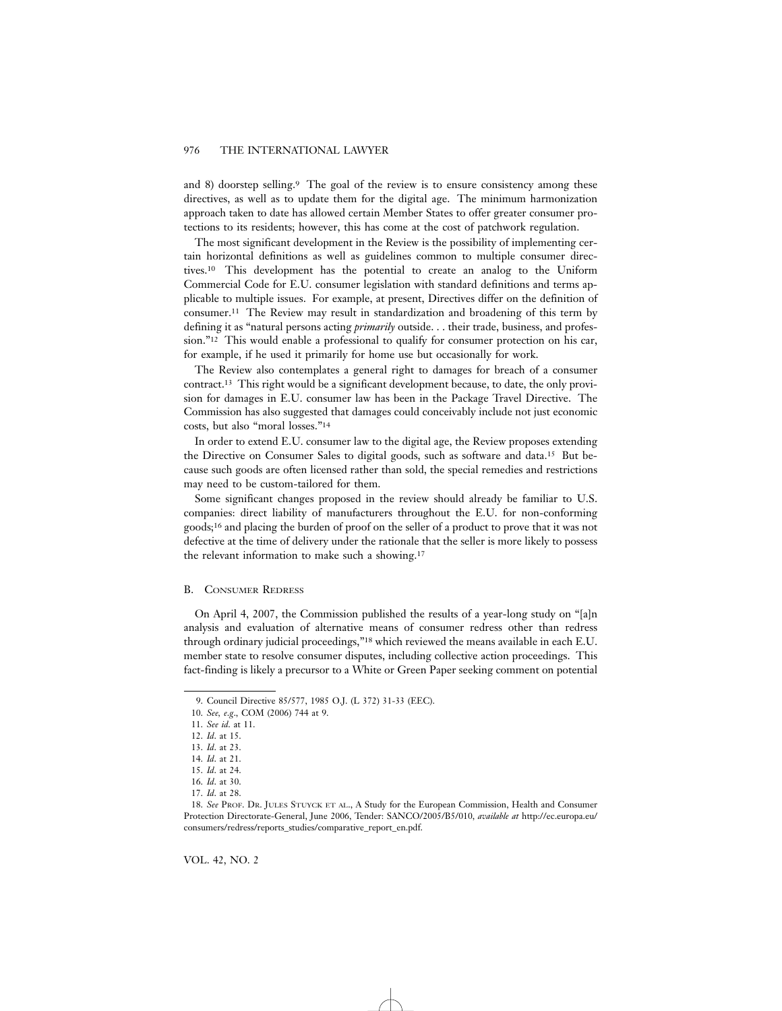and 8) doorstep selling.9 The goal of the review is to ensure consistency among these directives, as well as to update them for the digital age. The minimum harmonization approach taken to date has allowed certain Member States to offer greater consumer protections to its residents; however, this has come at the cost of patchwork regulation.

The most significant development in the Review is the possibility of implementing certain horizontal definitions as well as guidelines common to multiple consumer directives.10 This development has the potential to create an analog to the Uniform Commercial Code for E.U. consumer legislation with standard definitions and terms applicable to multiple issues. For example, at present, Directives differ on the definition of consumer.11 The Review may result in standardization and broadening of this term by defining it as "natural persons acting *primarily* outside. . . their trade, business, and profession."12 This would enable a professional to qualify for consumer protection on his car, for example, if he used it primarily for home use but occasionally for work.

The Review also contemplates a general right to damages for breach of a consumer contract.13 This right would be a significant development because, to date, the only provision for damages in E.U. consumer law has been in the Package Travel Directive. The Commission has also suggested that damages could conceivably include not just economic costs, but also "moral losses."14

In order to extend E.U. consumer law to the digital age, the Review proposes extending the Directive on Consumer Sales to digital goods, such as software and data.15 But because such goods are often licensed rather than sold, the special remedies and restrictions may need to be custom-tailored for them.

Some significant changes proposed in the review should already be familiar to U.S. companies: direct liability of manufacturers throughout the E.U. for non-conforming goods;16 and placing the burden of proof on the seller of a product to prove that it was not defective at the time of delivery under the rationale that the seller is more likely to possess the relevant information to make such a showing.17

#### B. CONSUMER REDRESS

On April 4, 2007, the Commission published the results of a year-long study on "[a]n analysis and evaluation of alternative means of consumer redress other than redress through ordinary judicial proceedings,"18 which reviewed the means available in each E.U. member state to resolve consumer disputes, including collective action proceedings. This fact-finding is likely a precursor to a White or Green Paper seeking comment on potential

VOL. 42, NO. 2

<sup>9.</sup> Council Directive 85/577, 1985 O.J. (L 372) 31-33 (EEC).

<sup>10.</sup> *See, e*.*g*., COM (2006) 744 at 9.

<sup>11.</sup> *See id*. at 11.

<sup>12.</sup> *Id*. at 15.

<sup>13.</sup> *Id*. at 23.

<sup>14.</sup> *Id*. at 21.

<sup>15.</sup> *Id*. at 24.

<sup>16.</sup> *Id*. at 30.

<sup>17.</sup> *Id*. at 28.

<sup>18.</sup> *See* PROF. DR. JULES STUYCK ET AL., A Study for the European Commission, Health and Consumer Protection Directorate-General, June 2006, Tender: SANCO/2005/B5/010, *available at* http://ec.europa.eu/ consumers/redress/reports\_studies/comparative\_report\_en.pdf.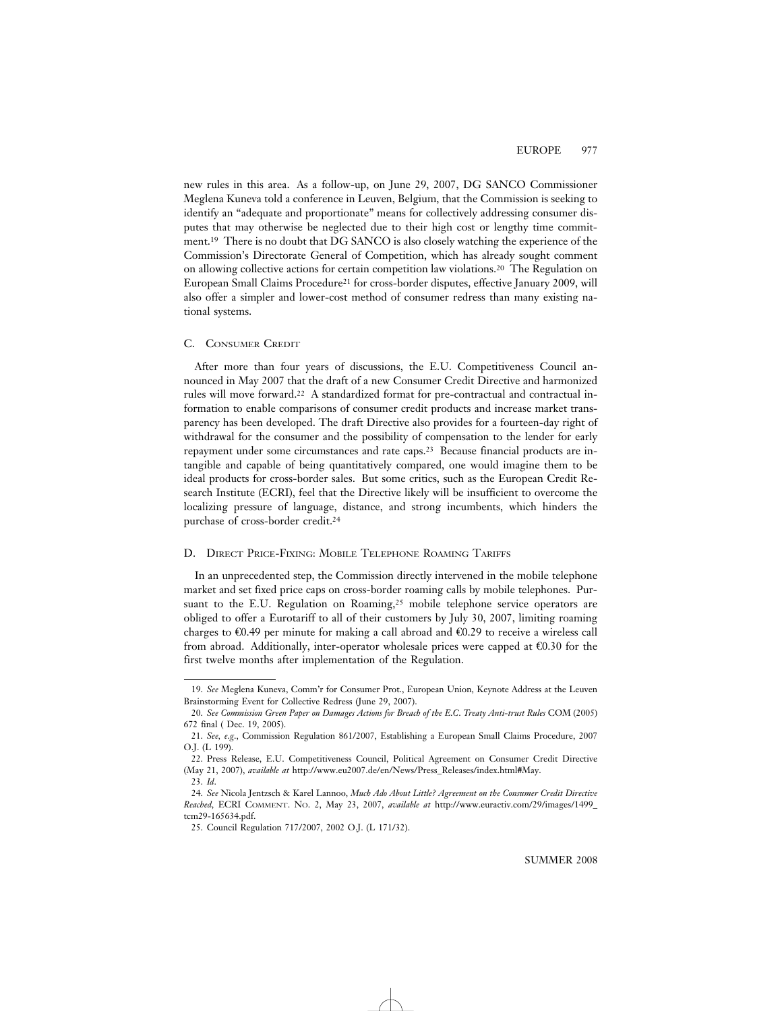new rules in this area. As a follow-up, on June 29, 2007, DG SANCO Commissioner Meglena Kuneva told a conference in Leuven, Belgium, that the Commission is seeking to identify an "adequate and proportionate" means for collectively addressing consumer disputes that may otherwise be neglected due to their high cost or lengthy time commitment.19 There is no doubt that DG SANCO is also closely watching the experience of the Commission's Directorate General of Competition, which has already sought comment on allowing collective actions for certain competition law violations.20 The Regulation on European Small Claims Procedure21 for cross-border disputes, effective January 2009, will also offer a simpler and lower-cost method of consumer redress than many existing national systems.

#### C. CONSUMER CREDIT

After more than four years of discussions, the E.U. Competitiveness Council announced in May 2007 that the draft of a new Consumer Credit Directive and harmonized rules will move forward.22 A standardized format for pre-contractual and contractual information to enable comparisons of consumer credit products and increase market transparency has been developed. The draft Directive also provides for a fourteen-day right of withdrawal for the consumer and the possibility of compensation to the lender for early repayment under some circumstances and rate caps.23 Because financial products are intangible and capable of being quantitatively compared, one would imagine them to be ideal products for cross-border sales. But some critics, such as the European Credit Research Institute (ECRI), feel that the Directive likely will be insufficient to overcome the localizing pressure of language, distance, and strong incumbents, which hinders the purchase of cross-border credit.24

# D. DIRECT PRICE-FIXING: MOBILE TELEPHONE ROAMING TARIFFS

In an unprecedented step, the Commission directly intervened in the mobile telephone market and set fixed price caps on cross-border roaming calls by mobile telephones. Pursuant to the E.U. Regulation on Roaming,<sup>25</sup> mobile telephone service operators are obliged to offer a Eurotariff to all of their customers by July 30, 2007, limiting roaming charges to €0.49 per minute for making a call abroad and €0.29 to receive a wireless call from abroad. Additionally, inter-operator wholesale prices were capped at  $\epsilon$ 0.30 for the first twelve months after implementation of the Regulation.

<sup>19.</sup> *See* Meglena Kuneva, Comm'r for Consumer Prot., European Union, Keynote Address at the Leuven Brainstorming Event for Collective Redress (June 29, 2007).

<sup>20.</sup> *See Commission Green Paper on Damages Actions for Breach of the E*.*C*. *Treaty Anti-trust Rules* COM (2005) 672 final ( Dec. 19, 2005).

<sup>21.</sup> *See, e*.*g*., Commission Regulation 861/2007, Establishing a European Small Claims Procedure, 2007 O.J. (L 199).

<sup>22.</sup> Press Release, E.U. Competitiveness Council, Political Agreement on Consumer Credit Directive (May 21, 2007), *available at* http://www.eu2007.de/en/News/Press\_Releases/index.html#May. 23. *Id*.

<sup>24.</sup> *See* Nicola Jentzsch & Karel Lannoo, *Much Ado About Little? Agreement on the Consumer Credit Directive Reached*, ECRI COMMENT. NO. 2, May 23, 2007, *available at* http://www.euractiv.com/29/images/1499\_ tcm29-165634.pdf.

<sup>25.</sup> Council Regulation 717/2007, 2002 O.J. (L 171/32).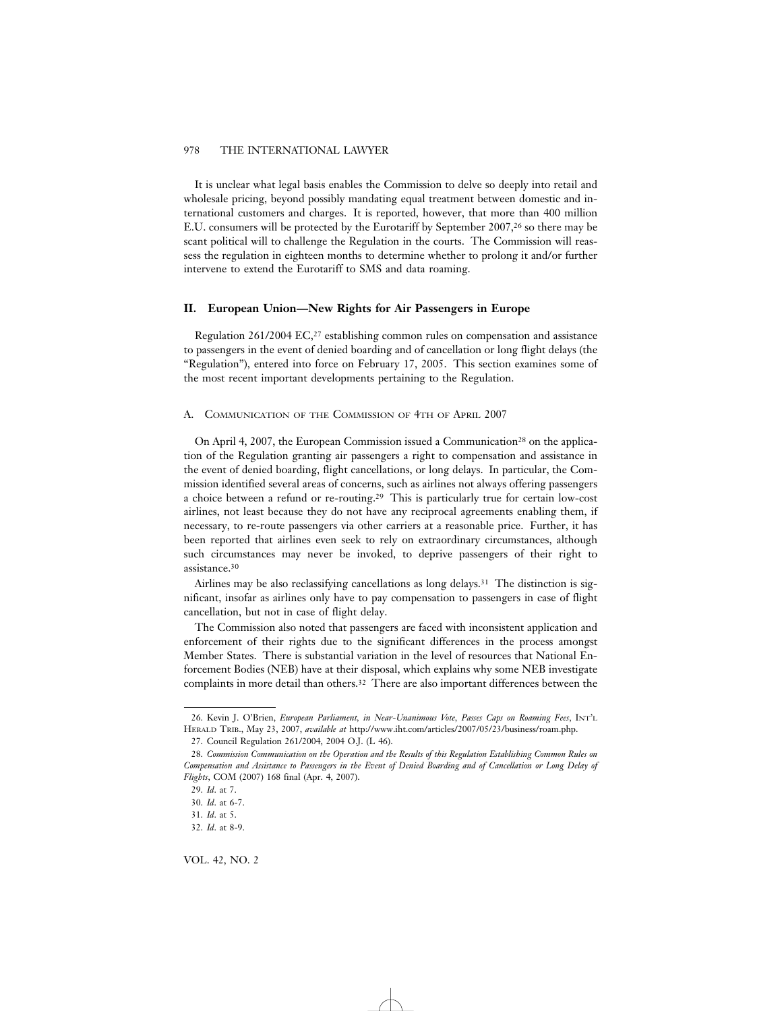It is unclear what legal basis enables the Commission to delve so deeply into retail and wholesale pricing, beyond possibly mandating equal treatment between domestic and international customers and charges. It is reported, however, that more than 400 million E.U. consumers will be protected by the Eurotariff by September 2007,<sup>26</sup> so there may be scant political will to challenge the Regulation in the courts. The Commission will reassess the regulation in eighteen months to determine whether to prolong it and/or further intervene to extend the Eurotariff to SMS and data roaming.

#### **II. European Union—New Rights for Air Passengers in Europe**

Regulation 261/2004 EC,<sup>27</sup> establishing common rules on compensation and assistance to passengers in the event of denied boarding and of cancellation or long flight delays (the "Regulation"), entered into force on February 17, 2005. This section examines some of the most recent important developments pertaining to the Regulation.

#### A. COMMUNICATION OF THE COMMISSION OF 4TH OF APRIL 2007

On April 4, 2007, the European Commission issued a Communication28 on the application of the Regulation granting air passengers a right to compensation and assistance in the event of denied boarding, flight cancellations, or long delays. In particular, the Commission identified several areas of concerns, such as airlines not always offering passengers a choice between a refund or re-routing.29 This is particularly true for certain low-cost airlines, not least because they do not have any reciprocal agreements enabling them, if necessary, to re-route passengers via other carriers at a reasonable price. Further, it has been reported that airlines even seek to rely on extraordinary circumstances, although such circumstances may never be invoked, to deprive passengers of their right to assistance.30

Airlines may be also reclassifying cancellations as long delays.31 The distinction is significant, insofar as airlines only have to pay compensation to passengers in case of flight cancellation, but not in case of flight delay.

The Commission also noted that passengers are faced with inconsistent application and enforcement of their rights due to the significant differences in the process amongst Member States. There is substantial variation in the level of resources that National Enforcement Bodies (NEB) have at their disposal, which explains why some NEB investigate complaints in more detail than others.32 There are also important differences between the

<sup>26.</sup> Kevin J. O'Brien, *European Parliament, in Near-Unanimous Vote, Passes Caps on Roaming Fees*, INT'L HERALD TRIB., May 23, 2007, *available at* http://www.iht.com/articles/2007/05/23/business/roam.php.

<sup>27.</sup> Council Regulation 261/2004, 2004 O.J. (L 46).

<sup>28.</sup> *Commission Communication on the Operation and the Results of this Regulation Establishing Common Rules on Compensation and Assistance to Passengers in the Event of Denied Boarding and of Cancellation or Long Delay of Flights*, COM (2007) 168 final (Apr. 4, 2007).

<sup>29.</sup> *Id*. at 7.

<sup>30.</sup> *Id*. at 6-7.

<sup>31.</sup> *Id*. at 5.

<sup>32.</sup> *Id*. at 8-9.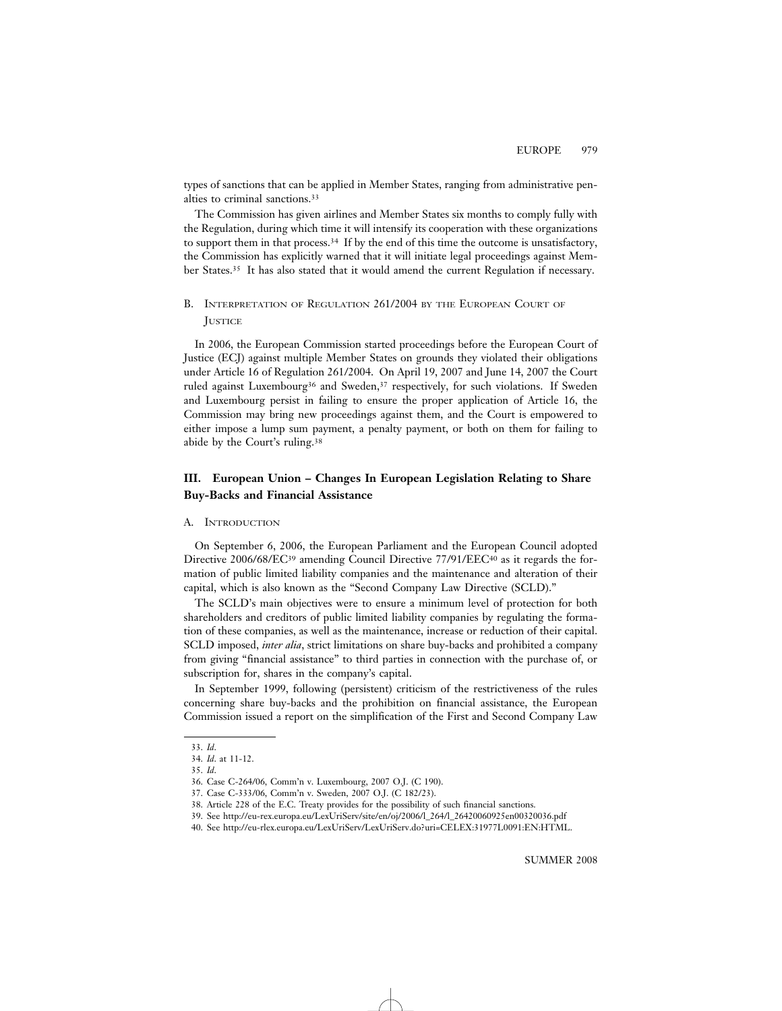types of sanctions that can be applied in Member States, ranging from administrative penalties to criminal sanctions.33

The Commission has given airlines and Member States six months to comply fully with the Regulation, during which time it will intensify its cooperation with these organizations to support them in that process.34 If by the end of this time the outcome is unsatisfactory, the Commission has explicitly warned that it will initiate legal proceedings against Member States.35 It has also stated that it would amend the current Regulation if necessary.

# B. INTERPRETATION OF REGULATION 261/2004 BY THE EUROPEAN COURT OF **JUSTICE**

In 2006, the European Commission started proceedings before the European Court of Justice (ECJ) against multiple Member States on grounds they violated their obligations under Article 16 of Regulation 261/2004. On April 19, 2007 and June 14, 2007 the Court ruled against Luxembourg<sup>36</sup> and Sweden,<sup>37</sup> respectively, for such violations. If Sweden and Luxembourg persist in failing to ensure the proper application of Article 16, the Commission may bring new proceedings against them, and the Court is empowered to either impose a lump sum payment, a penalty payment, or both on them for failing to abide by the Court's ruling.38

# **III. European Union – Changes In European Legislation Relating to Share Buy-Backs and Financial Assistance**

# A. INTRODUCTION

On September 6, 2006, the European Parliament and the European Council adopted Directive 2006/68/EC<sup>39</sup> amending Council Directive 77/91/EEC<sup>40</sup> as it regards the formation of public limited liability companies and the maintenance and alteration of their capital, which is also known as the "Second Company Law Directive (SCLD)."

The SCLD's main objectives were to ensure a minimum level of protection for both shareholders and creditors of public limited liability companies by regulating the formation of these companies, as well as the maintenance, increase or reduction of their capital. SCLD imposed, *inter alia*, strict limitations on share buy-backs and prohibited a company from giving "financial assistance" to third parties in connection with the purchase of, or subscription for, shares in the company's capital.

In September 1999, following (persistent) criticism of the restrictiveness of the rules concerning share buy-backs and the prohibition on financial assistance, the European Commission issued a report on the simplification of the First and Second Company Law

<sup>33.</sup> *Id*.

<sup>34.</sup> *Id*. at 11-12.

<sup>35.</sup> *Id*.

<sup>36.</sup> Case C-264/06, Comm'n v. Luxembourg, 2007 O.J. (C 190).

<sup>37.</sup> Case C-333/06, Comm'n v. Sweden, 2007 O.J. (C 182/23).

<sup>38.</sup> Article 228 of the E.C. Treaty provides for the possibility of such financial sanctions.

<sup>39.</sup> See http://eu-rex.europa.eu/LexUriServ/site/en/oj/2006/l\_264/l\_26420060925en00320036.pdf

<sup>40.</sup> See http://eu-rlex.europa.eu/LexUriServ/LexUriServ.do?uri=CELEX:31977L0091:EN:HTML.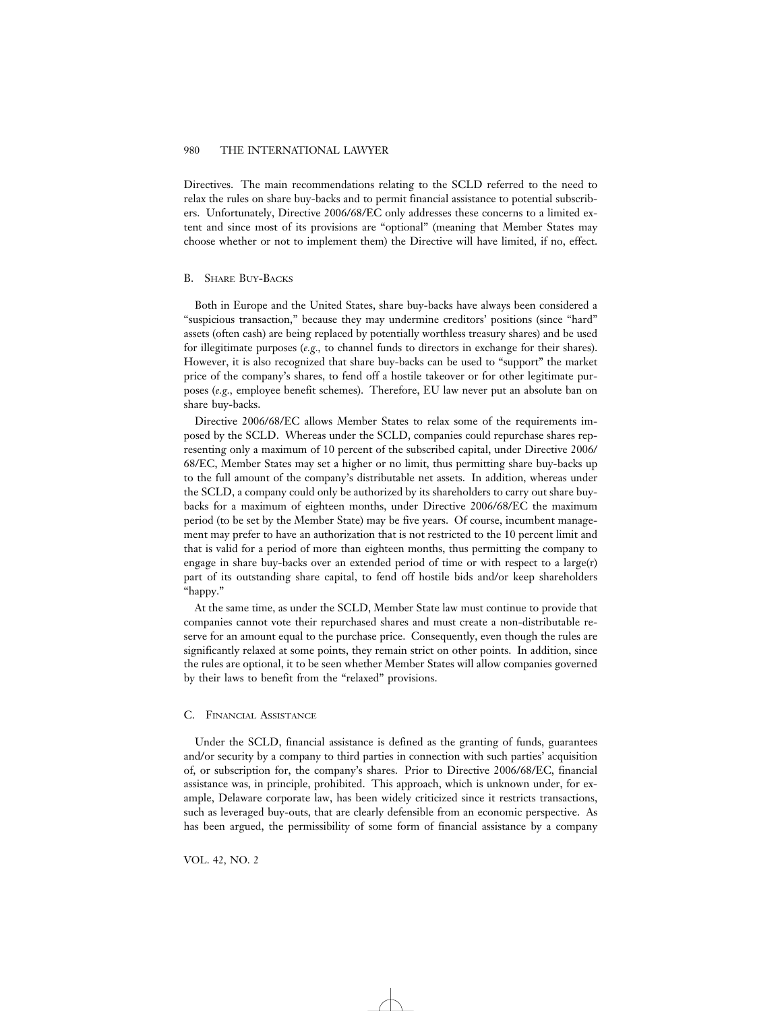Directives. The main recommendations relating to the SCLD referred to the need to relax the rules on share buy-backs and to permit financial assistance to potential subscribers. Unfortunately, Directive 2006/68/EC only addresses these concerns to a limited extent and since most of its provisions are "optional" (meaning that Member States may choose whether or not to implement them) the Directive will have limited, if no, effect.

# B. SHARE BUY-BACKS

Both in Europe and the United States, share buy-backs have always been considered a "suspicious transaction," because they may undermine creditors' positions (since "hard" assets (often cash) are being replaced by potentially worthless treasury shares) and be used for illegitimate purposes (*e.g.,* to channel funds to directors in exchange for their shares). However, it is also recognized that share buy-backs can be used to "support" the market price of the company's shares, to fend off a hostile takeover or for other legitimate purposes (*e.g.,* employee benefit schemes). Therefore, EU law never put an absolute ban on share buy-backs.

Directive 2006/68/EC allows Member States to relax some of the requirements imposed by the SCLD. Whereas under the SCLD, companies could repurchase shares representing only a maximum of 10 percent of the subscribed capital, under Directive 2006/ 68/EC, Member States may set a higher or no limit, thus permitting share buy-backs up to the full amount of the company's distributable net assets. In addition, whereas under the SCLD, a company could only be authorized by its shareholders to carry out share buybacks for a maximum of eighteen months, under Directive 2006/68/EC the maximum period (to be set by the Member State) may be five years. Of course, incumbent management may prefer to have an authorization that is not restricted to the 10 percent limit and that is valid for a period of more than eighteen months, thus permitting the company to engage in share buy-backs over an extended period of time or with respect to a large( $r$ ) part of its outstanding share capital, to fend off hostile bids and/or keep shareholders "happy."

At the same time, as under the SCLD, Member State law must continue to provide that companies cannot vote their repurchased shares and must create a non-distributable reserve for an amount equal to the purchase price. Consequently, even though the rules are significantly relaxed at some points, they remain strict on other points. In addition, since the rules are optional, it to be seen whether Member States will allow companies governed by their laws to benefit from the "relaxed" provisions.

### C. FINANCIAL ASSISTANCE

Under the SCLD, financial assistance is defined as the granting of funds, guarantees and/or security by a company to third parties in connection with such parties' acquisition of, or subscription for, the company's shares. Prior to Directive 2006/68/EC, financial assistance was, in principle, prohibited. This approach, which is unknown under, for example, Delaware corporate law, has been widely criticized since it restricts transactions, such as leveraged buy-outs, that are clearly defensible from an economic perspective. As has been argued, the permissibility of some form of financial assistance by a company

VOL. 42, NO. 2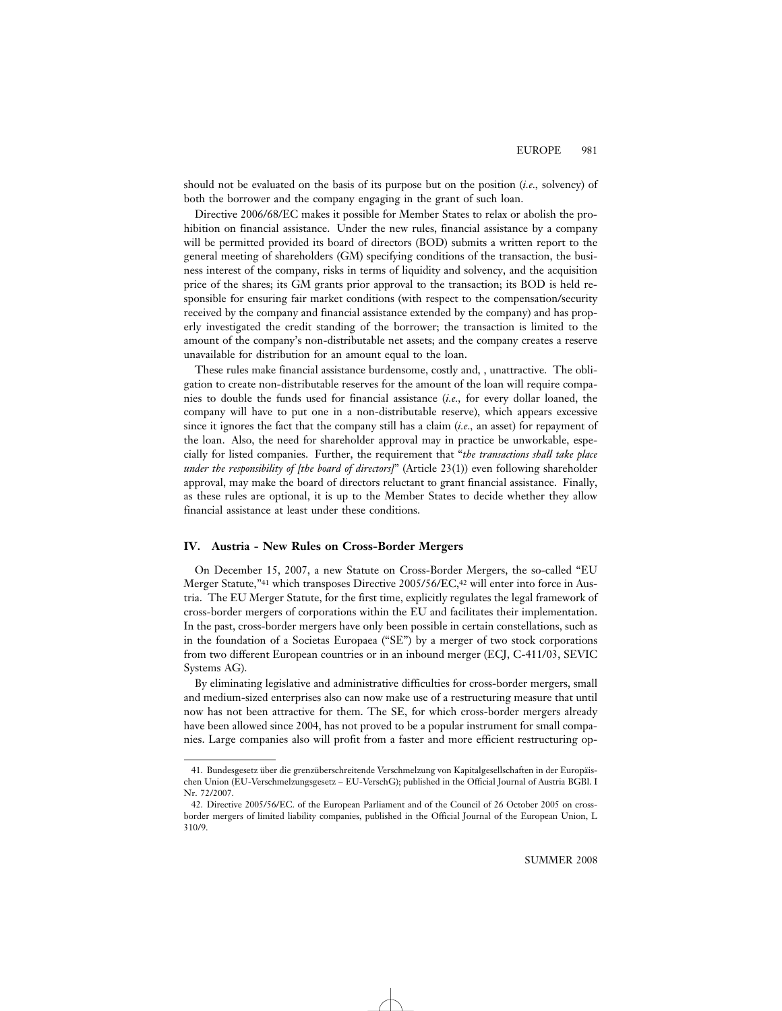should not be evaluated on the basis of its purpose but on the position (*i.e.,* solvency) of both the borrower and the company engaging in the grant of such loan.

Directive 2006/68/EC makes it possible for Member States to relax or abolish the prohibition on financial assistance. Under the new rules, financial assistance by a company will be permitted provided its board of directors (BOD) submits a written report to the general meeting of shareholders (GM) specifying conditions of the transaction, the business interest of the company, risks in terms of liquidity and solvency, and the acquisition price of the shares; its GM grants prior approval to the transaction; its BOD is held responsible for ensuring fair market conditions (with respect to the compensation/security received by the company and financial assistance extended by the company) and has properly investigated the credit standing of the borrower; the transaction is limited to the amount of the company's non-distributable net assets; and the company creates a reserve unavailable for distribution for an amount equal to the loan.

These rules make financial assistance burdensome, costly and, , unattractive. The obligation to create non-distributable reserves for the amount of the loan will require companies to double the funds used for financial assistance (*i.e.,* for every dollar loaned, the company will have to put one in a non-distributable reserve), which appears excessive since it ignores the fact that the company still has a claim (*i.e.,* an asset) for repayment of the loan. Also, the need for shareholder approval may in practice be unworkable, especially for listed companies. Further, the requirement that "*the transactions shall take place under the responsibility of [the board of directors]*" (Article 23(1)) even following shareholder approval, may make the board of directors reluctant to grant financial assistance. Finally, as these rules are optional, it is up to the Member States to decide whether they allow financial assistance at least under these conditions.

#### **IV. Austria - New Rules on Cross-Border Mergers**

On December 15, 2007, a new Statute on Cross-Border Mergers, the so-called "EU Merger Statute,"41 which transposes Directive 2005/56/EC,42 will enter into force in Austria. The EU Merger Statute, for the first time, explicitly regulates the legal framework of cross-border mergers of corporations within the EU and facilitates their implementation. In the past, cross-border mergers have only been possible in certain constellations, such as in the foundation of a Societas Europaea ("SE") by a merger of two stock corporations from two different European countries or in an inbound merger (ECJ, C-411/03, SEVIC Systems AG).

By eliminating legislative and administrative difficulties for cross-border mergers, small and medium-sized enterprises also can now make use of a restructuring measure that until now has not been attractive for them. The SE, for which cross-border mergers already have been allowed since 2004, has not proved to be a popular instrument for small companies. Large companies also will profit from a faster and more efficient restructuring op-

<sup>41.</sup> Bundesgesetz über die grenzüberschreitende Verschmelzung von Kapitalgesellschaften in der Europäischen Union (EU-Verschmelzungsgesetz – EU-VerschG); published in the Official Journal of Austria BGBl. I Nr. 72/2007.

<sup>42.</sup> Directive 2005/56/EC. of the European Parliament and of the Council of 26 October 2005 on crossborder mergers of limited liability companies, published in the Official Journal of the European Union, L 310/9.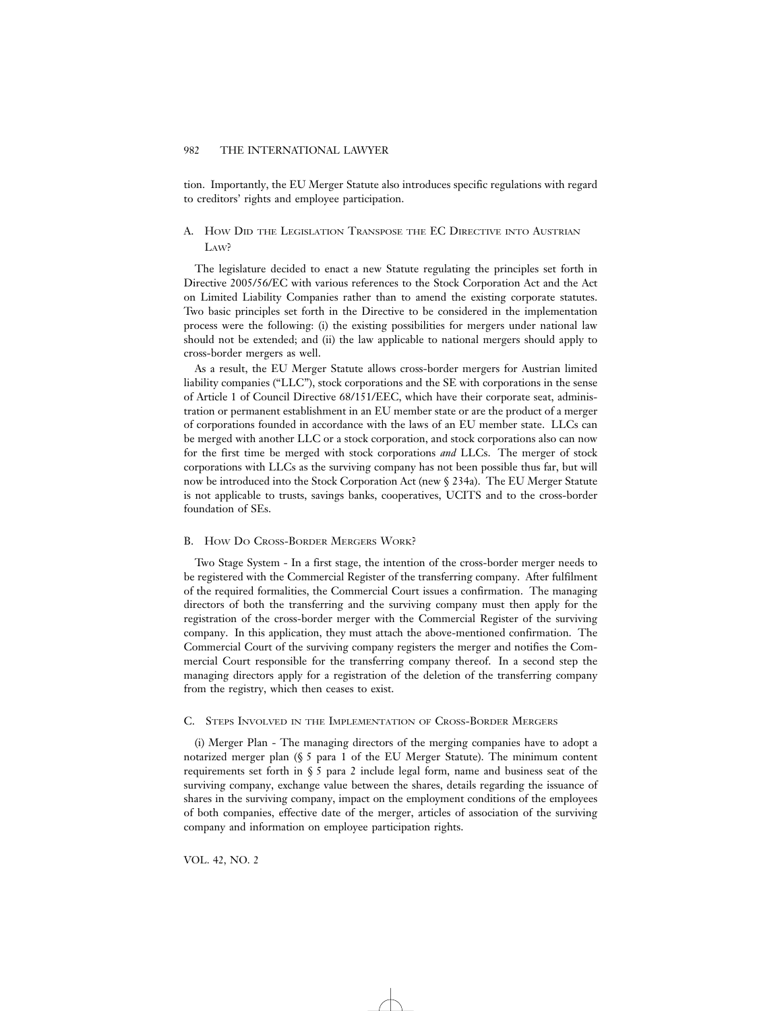tion. Importantly, the EU Merger Statute also introduces specific regulations with regard to creditors' rights and employee participation.

# A. HOW DID THE LEGISLATION TRANSPOSE THE EC DIRECTIVE INTO AUSTRIAN L<sub>AW</sub>?

The legislature decided to enact a new Statute regulating the principles set forth in Directive 2005/56/EC with various references to the Stock Corporation Act and the Act on Limited Liability Companies rather than to amend the existing corporate statutes. Two basic principles set forth in the Directive to be considered in the implementation process were the following: (i) the existing possibilities for mergers under national law should not be extended; and (ii) the law applicable to national mergers should apply to cross-border mergers as well.

As a result, the EU Merger Statute allows cross-border mergers for Austrian limited liability companies ("LLC"), stock corporations and the SE with corporations in the sense of Article 1 of Council Directive 68/151/EEC, which have their corporate seat, administration or permanent establishment in an EU member state or are the product of a merger of corporations founded in accordance with the laws of an EU member state. LLCs can be merged with another LLC or a stock corporation, and stock corporations also can now for the first time be merged with stock corporations *and* LLCs. The merger of stock corporations with LLCs as the surviving company has not been possible thus far, but will now be introduced into the Stock Corporation Act (new § 234a). The EU Merger Statute is not applicable to trusts, savings banks, cooperatives, UCITS and to the cross-border foundation of SEs.

#### B. HOW DO CROSS-BORDER MERGERS WORK?

Two Stage System - In a first stage, the intention of the cross-border merger needs to be registered with the Commercial Register of the transferring company. After fulfilment of the required formalities, the Commercial Court issues a confirmation. The managing directors of both the transferring and the surviving company must then apply for the registration of the cross-border merger with the Commercial Register of the surviving company. In this application, they must attach the above-mentioned confirmation. The Commercial Court of the surviving company registers the merger and notifies the Commercial Court responsible for the transferring company thereof. In a second step the managing directors apply for a registration of the deletion of the transferring company from the registry, which then ceases to exist.

# C. STEPS INVOLVED IN THE IMPLEMENTATION OF CROSS-BORDER MERGERS

(i) Merger Plan - The managing directors of the merging companies have to adopt a notarized merger plan (§ 5 para 1 of the EU Merger Statute). The minimum content requirements set forth in § 5 para 2 include legal form, name and business seat of the surviving company, exchange value between the shares, details regarding the issuance of shares in the surviving company, impact on the employment conditions of the employees of both companies, effective date of the merger, articles of association of the surviving company and information on employee participation rights.

VOL. 42, NO. 2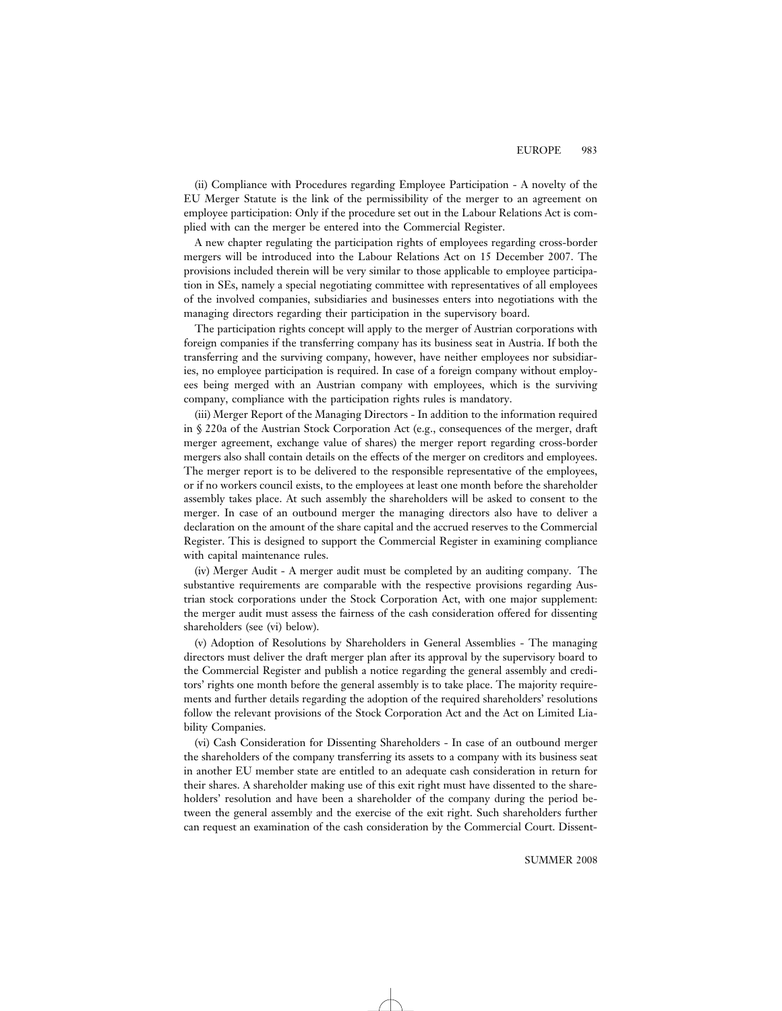(ii) Compliance with Procedures regarding Employee Participation - A novelty of the EU Merger Statute is the link of the permissibility of the merger to an agreement on employee participation: Only if the procedure set out in the Labour Relations Act is complied with can the merger be entered into the Commercial Register.

A new chapter regulating the participation rights of employees regarding cross-border mergers will be introduced into the Labour Relations Act on 15 December 2007. The provisions included therein will be very similar to those applicable to employee participation in SEs, namely a special negotiating committee with representatives of all employees of the involved companies, subsidiaries and businesses enters into negotiations with the managing directors regarding their participation in the supervisory board.

The participation rights concept will apply to the merger of Austrian corporations with foreign companies if the transferring company has its business seat in Austria. If both the transferring and the surviving company, however, have neither employees nor subsidiaries, no employee participation is required. In case of a foreign company without employees being merged with an Austrian company with employees, which is the surviving company, compliance with the participation rights rules is mandatory.

(iii) Merger Report of the Managing Directors - In addition to the information required in § 220a of the Austrian Stock Corporation Act (e.g., consequences of the merger, draft merger agreement, exchange value of shares) the merger report regarding cross-border mergers also shall contain details on the effects of the merger on creditors and employees. The merger report is to be delivered to the responsible representative of the employees, or if no workers council exists, to the employees at least one month before the shareholder assembly takes place. At such assembly the shareholders will be asked to consent to the merger. In case of an outbound merger the managing directors also have to deliver a declaration on the amount of the share capital and the accrued reserves to the Commercial Register. This is designed to support the Commercial Register in examining compliance with capital maintenance rules.

(iv) Merger Audit - A merger audit must be completed by an auditing company. The substantive requirements are comparable with the respective provisions regarding Austrian stock corporations under the Stock Corporation Act, with one major supplement: the merger audit must assess the fairness of the cash consideration offered for dissenting shareholders (see (vi) below).

(v) Adoption of Resolutions by Shareholders in General Assemblies - The managing directors must deliver the draft merger plan after its approval by the supervisory board to the Commercial Register and publish a notice regarding the general assembly and creditors' rights one month before the general assembly is to take place. The majority requirements and further details regarding the adoption of the required shareholders' resolutions follow the relevant provisions of the Stock Corporation Act and the Act on Limited Liability Companies.

(vi) Cash Consideration for Dissenting Shareholders - In case of an outbound merger the shareholders of the company transferring its assets to a company with its business seat in another EU member state are entitled to an adequate cash consideration in return for their shares. A shareholder making use of this exit right must have dissented to the shareholders' resolution and have been a shareholder of the company during the period between the general assembly and the exercise of the exit right. Such shareholders further can request an examination of the cash consideration by the Commercial Court. Dissent-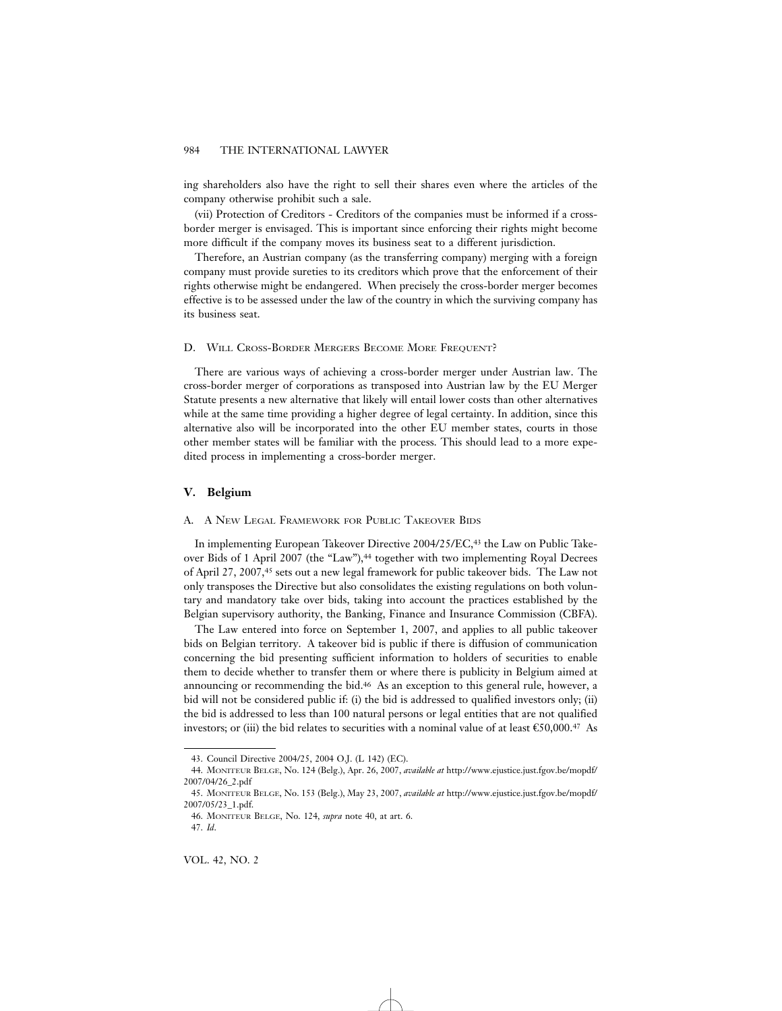ing shareholders also have the right to sell their shares even where the articles of the company otherwise prohibit such a sale.

(vii) Protection of Creditors - Creditors of the companies must be informed if a crossborder merger is envisaged. This is important since enforcing their rights might become more difficult if the company moves its business seat to a different jurisdiction.

Therefore, an Austrian company (as the transferring company) merging with a foreign company must provide sureties to its creditors which prove that the enforcement of their rights otherwise might be endangered. When precisely the cross-border merger becomes effective is to be assessed under the law of the country in which the surviving company has its business seat.

# D. WILL CROSS-BORDER MERGERS BECOME MORE FREQUENT?

There are various ways of achieving a cross-border merger under Austrian law. The cross-border merger of corporations as transposed into Austrian law by the EU Merger Statute presents a new alternative that likely will entail lower costs than other alternatives while at the same time providing a higher degree of legal certainty. In addition, since this alternative also will be incorporated into the other EU member states, courts in those other member states will be familiar with the process. This should lead to a more expedited process in implementing a cross-border merger.

# **V. Belgium**

# A. A NEW LEGAL FRAMEWORK FOR PUBLIC TAKEOVER BIDS

In implementing European Takeover Directive 2004/25/EC,43 the Law on Public Takeover Bids of 1 April 2007 (the "Law"),<sup>44</sup> together with two implementing Royal Decrees of April 27, 2007,45 sets out a new legal framework for public takeover bids. The Law not only transposes the Directive but also consolidates the existing regulations on both voluntary and mandatory take over bids, taking into account the practices established by the Belgian supervisory authority, the Banking, Finance and Insurance Commission (CBFA).

The Law entered into force on September 1, 2007, and applies to all public takeover bids on Belgian territory. A takeover bid is public if there is diffusion of communication concerning the bid presenting sufficient information to holders of securities to enable them to decide whether to transfer them or where there is publicity in Belgium aimed at announcing or recommending the bid.46 As an exception to this general rule, however, a bid will not be considered public if: (i) the bid is addressed to qualified investors only; (ii) the bid is addressed to less than 100 natural persons or legal entities that are not qualified investors; or (iii) the bid relates to securities with a nominal value of at least  $\mathfrak{C}50,000.^{\mathfrak{q}}$  As

<sup>43.</sup> Council Directive 2004/25, 2004 O.J. (L 142) (EC).

<sup>44.</sup> MONITEUR BELGE, No. 124 (Belg.), Apr. 26, 2007, *available at* http://www.ejustice.just.fgov.be/mopdf/ 2007/04/26\_2.pdf

<sup>45.</sup> MONITEUR BELGE, No. 153 (Belg.), May 23, 2007, *available at* http://www.ejustice.just.fgov.be/mopdf/ 2007/05/23\_1.pdf.

<sup>46.</sup> MONITEUR BELGE, No. 124, *supra* note 40, at art. 6.

<sup>47.</sup> *Id*.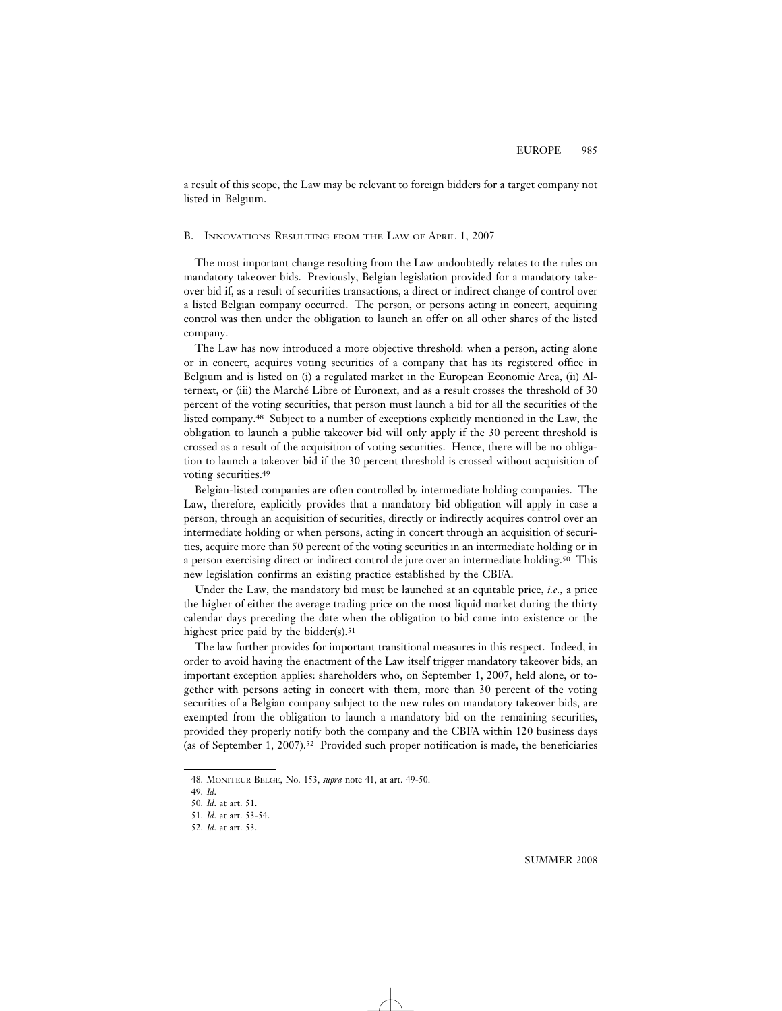a result of this scope, the Law may be relevant to foreign bidders for a target company not listed in Belgium.

### B. INNOVATIONS RESULTING FROM THE LAW OF APRIL 1, 2007

The most important change resulting from the Law undoubtedly relates to the rules on mandatory takeover bids. Previously, Belgian legislation provided for a mandatory takeover bid if, as a result of securities transactions, a direct or indirect change of control over a listed Belgian company occurred. The person, or persons acting in concert, acquiring control was then under the obligation to launch an offer on all other shares of the listed company.

The Law has now introduced a more objective threshold: when a person, acting alone or in concert, acquires voting securities of a company that has its registered office in Belgium and is listed on (i) a regulated market in the European Economic Area, (ii) Alternext, or (iii) the Marché Libre of Euronext, and as a result crosses the threshold of 30 percent of the voting securities, that person must launch a bid for all the securities of the listed company.48 Subject to a number of exceptions explicitly mentioned in the Law, the obligation to launch a public takeover bid will only apply if the 30 percent threshold is crossed as a result of the acquisition of voting securities. Hence, there will be no obligation to launch a takeover bid if the 30 percent threshold is crossed without acquisition of voting securities.49

Belgian-listed companies are often controlled by intermediate holding companies. The Law, therefore, explicitly provides that a mandatory bid obligation will apply in case a person, through an acquisition of securities, directly or indirectly acquires control over an intermediate holding or when persons, acting in concert through an acquisition of securities, acquire more than 50 percent of the voting securities in an intermediate holding or in a person exercising direct or indirect control de jure over an intermediate holding.50 This new legislation confirms an existing practice established by the CBFA.

Under the Law, the mandatory bid must be launched at an equitable price, *i.e.,* a price the higher of either the average trading price on the most liquid market during the thirty calendar days preceding the date when the obligation to bid came into existence or the highest price paid by the bidder $(s)$ .<sup>51</sup>

The law further provides for important transitional measures in this respect. Indeed, in order to avoid having the enactment of the Law itself trigger mandatory takeover bids, an important exception applies: shareholders who, on September 1, 2007, held alone, or together with persons acting in concert with them, more than 30 percent of the voting securities of a Belgian company subject to the new rules on mandatory takeover bids, are exempted from the obligation to launch a mandatory bid on the remaining securities, provided they properly notify both the company and the CBFA within 120 business days (as of September 1, 2007).52 Provided such proper notification is made, the beneficiaries

<sup>48.</sup> MONITEUR BELGE, No. 153, *supra* note 41, at art. 49-50.

<sup>49.</sup> *Id*.

<sup>50.</sup> *Id*. at art. 51.

<sup>51.</sup> *Id*. at art. 53-54.

<sup>52.</sup> *Id*. at art. 53.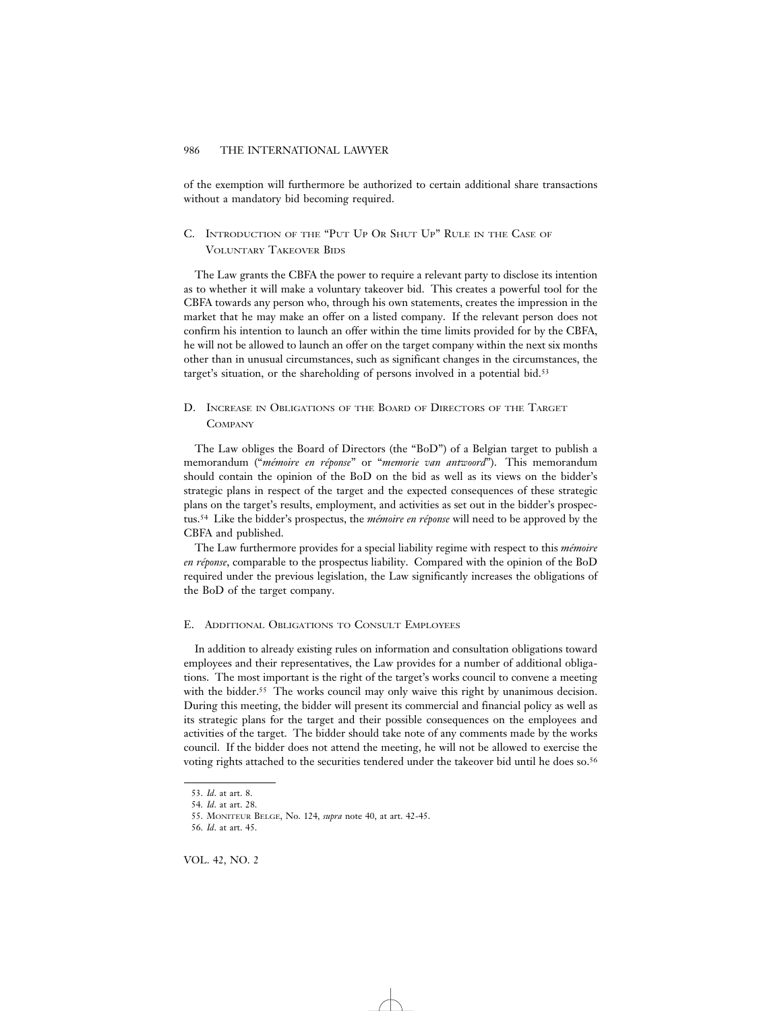of the exemption will furthermore be authorized to certain additional share transactions without a mandatory bid becoming required.

# C. INTRODUCTION OF THE "PUT UP OR SHUT UP" RULE IN THE CASE OF VOLUNTARY TAKEOVER BIDS

The Law grants the CBFA the power to require a relevant party to disclose its intention as to whether it will make a voluntary takeover bid. This creates a powerful tool for the CBFA towards any person who, through his own statements, creates the impression in the market that he may make an offer on a listed company. If the relevant person does not confirm his intention to launch an offer within the time limits provided for by the CBFA, he will not be allowed to launch an offer on the target company within the next six months other than in unusual circumstances, such as significant changes in the circumstances, the target's situation, or the shareholding of persons involved in a potential bid.53

D. INCREASE IN OBLIGATIONS OF THE BOARD OF DIRECTORS OF THE TARGET **COMPANY** 

The Law obliges the Board of Directors (the "BoD") of a Belgian target to publish a memorandum ("*m´emoire en r´eponse*" or "*memorie van antwoord*"). This memorandum should contain the opinion of the BoD on the bid as well as its views on the bidder's strategic plans in respect of the target and the expected consequences of these strategic plans on the target's results, employment, and activities as set out in the bidder's prospectus.<sup>54</sup> Like the bidder's prospectus, the *mémoire en réponse* will need to be approved by the CBFA and published.

The Law furthermore provides for a special liability regime with respect to this *mémoire en réponse*, comparable to the prospectus liability. Compared with the opinion of the BoD required under the previous legislation, the Law significantly increases the obligations of the BoD of the target company.

# E. ADDITIONAL OBLIGATIONS TO CONSULT EMPLOYEES

In addition to already existing rules on information and consultation obligations toward employees and their representatives, the Law provides for a number of additional obligations. The most important is the right of the target's works council to convene a meeting with the bidder.<sup>55</sup> The works council may only waive this right by unanimous decision. During this meeting, the bidder will present its commercial and financial policy as well as its strategic plans for the target and their possible consequences on the employees and activities of the target. The bidder should take note of any comments made by the works council. If the bidder does not attend the meeting, he will not be allowed to exercise the voting rights attached to the securities tendered under the takeover bid until he does so.56

VOL. 42, NO. 2

<sup>53.</sup> *Id*. at art. 8.

<sup>54.</sup> *Id*. at art. 28.

<sup>55.</sup> MONITEUR BELGE, No. 124, *supra* note 40, at art. 42-45.

<sup>56.</sup> *Id*. at art. 45.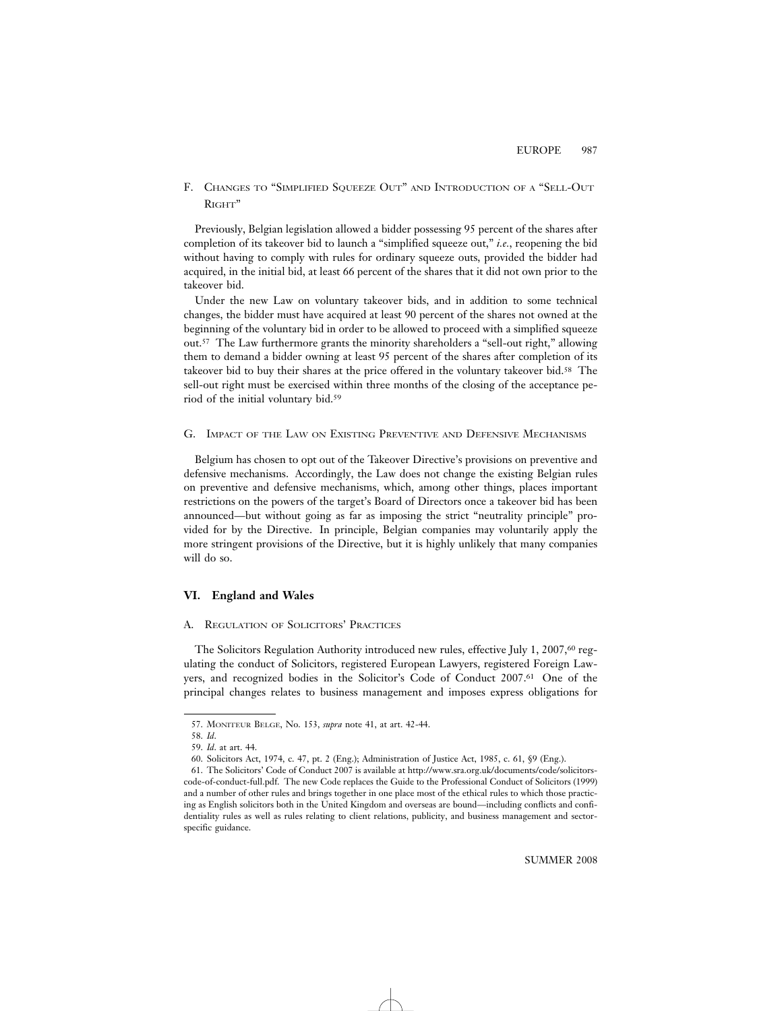# F. CHANGES TO "SIMPLIFIED SQUEEZE OUT" AND INTRODUCTION OF A "SELL-OUT RIGHT"

Previously, Belgian legislation allowed a bidder possessing 95 percent of the shares after completion of its takeover bid to launch a "simplified squeeze out," *i.e.*, reopening the bid without having to comply with rules for ordinary squeeze outs, provided the bidder had acquired, in the initial bid, at least 66 percent of the shares that it did not own prior to the takeover bid.

Under the new Law on voluntary takeover bids, and in addition to some technical changes, the bidder must have acquired at least 90 percent of the shares not owned at the beginning of the voluntary bid in order to be allowed to proceed with a simplified squeeze out.57 The Law furthermore grants the minority shareholders a "sell-out right," allowing them to demand a bidder owning at least 95 percent of the shares after completion of its takeover bid to buy their shares at the price offered in the voluntary takeover bid.58 The sell-out right must be exercised within three months of the closing of the acceptance period of the initial voluntary bid.59

#### G. IMPACT OF THE LAW ON EXISTING PREVENTIVE AND DEFENSIVE MECHANISMS

Belgium has chosen to opt out of the Takeover Directive's provisions on preventive and defensive mechanisms. Accordingly, the Law does not change the existing Belgian rules on preventive and defensive mechanisms, which, among other things, places important restrictions on the powers of the target's Board of Directors once a takeover bid has been announced—but without going as far as imposing the strict "neutrality principle" provided for by the Directive. In principle, Belgian companies may voluntarily apply the more stringent provisions of the Directive, but it is highly unlikely that many companies will do so.

### **VI. England and Wales**

# A. REGULATION OF SOLICITORS' PRACTICES

The Solicitors Regulation Authority introduced new rules, effective July 1, 2007,<sup>60</sup> regulating the conduct of Solicitors, registered European Lawyers, registered Foreign Lawyers, and recognized bodies in the Solicitor's Code of Conduct 2007.61 One of the principal changes relates to business management and imposes express obligations for

<sup>57.</sup> MONITEUR BELGE, No. 153, *supra* note 41, at art. 42-44.

<sup>58.</sup> *Id*.

<sup>59.</sup> *Id*. at art. 44.

<sup>60.</sup> Solicitors Act, 1974, c. 47, pt. 2 (Eng.); Administration of Justice Act, 1985, c. 61, §9 (Eng.).

<sup>61.</sup> The Solicitors' Code of Conduct 2007 is available at http://www.sra.org.uk/documents/code/solicitorscode-of-conduct-full.pdf. The new Code replaces the Guide to the Professional Conduct of Solicitors (1999) and a number of other rules and brings together in one place most of the ethical rules to which those practicing as English solicitors both in the United Kingdom and overseas are bound—including conflicts and confidentiality rules as well as rules relating to client relations, publicity, and business management and sectorspecific guidance.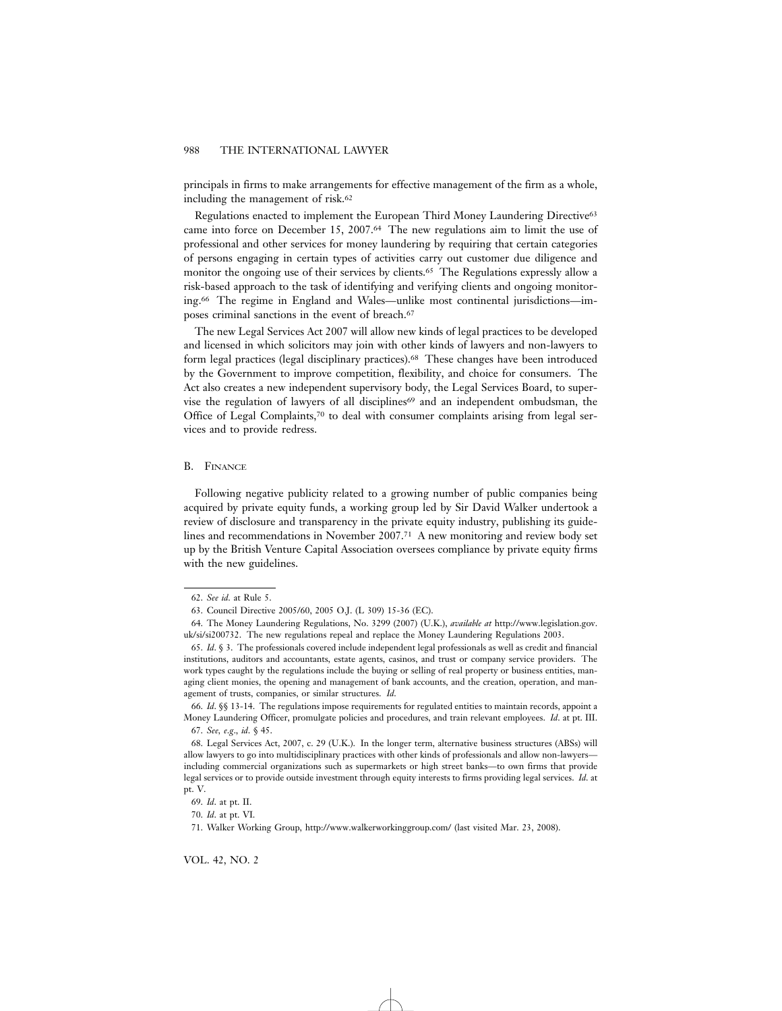principals in firms to make arrangements for effective management of the firm as a whole, including the management of risk.<sup>62</sup>

Regulations enacted to implement the European Third Money Laundering Directive63 came into force on December 15, 2007.64 The new regulations aim to limit the use of professional and other services for money laundering by requiring that certain categories of persons engaging in certain types of activities carry out customer due diligence and monitor the ongoing use of their services by clients.65 The Regulations expressly allow a risk-based approach to the task of identifying and verifying clients and ongoing monitoring.66 The regime in England and Wales—unlike most continental jurisdictions—imposes criminal sanctions in the event of breach.67

The new Legal Services Act 2007 will allow new kinds of legal practices to be developed and licensed in which solicitors may join with other kinds of lawyers and non-lawyers to form legal practices (legal disciplinary practices).68 These changes have been introduced by the Government to improve competition, flexibility, and choice for consumers. The Act also creates a new independent supervisory body, the Legal Services Board, to supervise the regulation of lawyers of all disciplines<sup>69</sup> and an independent ombudsman, the Office of Legal Complaints,70 to deal with consumer complaints arising from legal services and to provide redress.

#### B. FINANCE

Following negative publicity related to a growing number of public companies being acquired by private equity funds, a working group led by Sir David Walker undertook a review of disclosure and transparency in the private equity industry, publishing its guidelines and recommendations in November 2007.71 A new monitoring and review body set up by the British Venture Capital Association oversees compliance by private equity firms with the new guidelines.

<sup>62.</sup> *See id*. at Rule 5.

<sup>63.</sup> Council Directive 2005/60, 2005 O.J. (L 309) 15-36 (EC).

<sup>64.</sup> The Money Laundering Regulations, No. 3299 (2007) (U.K.), *available at* http://www.legislation.gov. uk/si/si200732. The new regulations repeal and replace the Money Laundering Regulations 2003.

<sup>65.</sup> *Id*. § 3. The professionals covered include independent legal professionals as well as credit and financial institutions, auditors and accountants, estate agents, casinos, and trust or company service providers. The work types caught by the regulations include the buying or selling of real property or business entities, managing client monies, the opening and management of bank accounts, and the creation, operation, and management of trusts, companies, or similar structures. *Id*.

<sup>66.</sup> *Id*. §§ 13-14. The regulations impose requirements for regulated entities to maintain records, appoint a Money Laundering Officer, promulgate policies and procedures, and train relevant employees. *Id*. at pt. III. 67. *See, e*.*g*., *id*. § 45.

<sup>68.</sup> Legal Services Act, 2007, c. 29 (U.K.). In the longer term, alternative business structures (ABSs) will allow lawyers to go into multidisciplinary practices with other kinds of professionals and allow non-lawyers including commercial organizations such as supermarkets or high street banks—to own firms that provide legal services or to provide outside investment through equity interests to firms providing legal services. *Id*. at pt. V.

<sup>69.</sup> *Id*. at pt. II.

<sup>70.</sup> *Id*. at pt. VI.

<sup>71.</sup> Walker Working Group, http://www.walkerworkinggroup.com/ (last visited Mar. 23, 2008).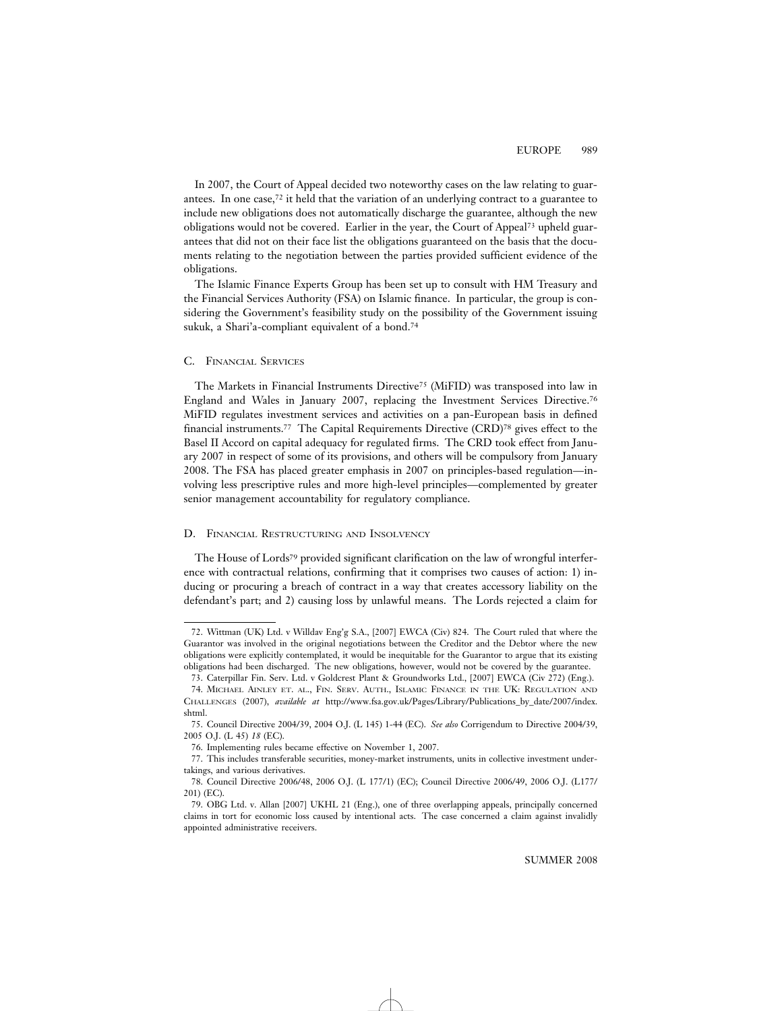In 2007, the Court of Appeal decided two noteworthy cases on the law relating to guarantees. In one case,72 it held that the variation of an underlying contract to a guarantee to include new obligations does not automatically discharge the guarantee, although the new obligations would not be covered. Earlier in the year, the Court of Appeal73 upheld guarantees that did not on their face list the obligations guaranteed on the basis that the documents relating to the negotiation between the parties provided sufficient evidence of the obligations.

The Islamic Finance Experts Group has been set up to consult with HM Treasury and the Financial Services Authority (FSA) on Islamic finance. In particular, the group is considering the Government's feasibility study on the possibility of the Government issuing sukuk, a Shari'a-compliant equivalent of a bond.74

#### C. FINANCIAL SERVICES

The Markets in Financial Instruments Directive75 (MiFID) was transposed into law in England and Wales in January 2007, replacing the Investment Services Directive.76 MiFID regulates investment services and activities on a pan-European basis in defined financial instruments.77 The Capital Requirements Directive (CRD)78 gives effect to the Basel II Accord on capital adequacy for regulated firms. The CRD took effect from January 2007 in respect of some of its provisions, and others will be compulsory from January 2008. The FSA has placed greater emphasis in 2007 on principles-based regulation—involving less prescriptive rules and more high-level principles—complemented by greater senior management accountability for regulatory compliance.

#### D. FINANCIAL RESTRUCTURING AND INSOLVENCY

The House of Lords<sup>79</sup> provided significant clarification on the law of wrongful interference with contractual relations, confirming that it comprises two causes of action: 1) inducing or procuring a breach of contract in a way that creates accessory liability on the defendant's part; and 2) causing loss by unlawful means. The Lords rejected a claim for

<sup>72.</sup> Wittman (UK) Ltd. v Willdav Eng'g S.A., [2007] EWCA (Civ) 824. The Court ruled that where the Guarantor was involved in the original negotiations between the Creditor and the Debtor where the new obligations were explicitly contemplated, it would be inequitable for the Guarantor to argue that its existing obligations had been discharged. The new obligations, however, would not be covered by the guarantee.

<sup>73.</sup> Caterpillar Fin. Serv. Ltd. v Goldcrest Plant & Groundworks Ltd., [2007] EWCA (Civ 272) (Eng.).

<sup>74.</sup> MICHAEL AINLEY ET. AL., FIN. SERV. AUTH., ISLAMIC FINANCE IN THE UK: REGULATION AND CHALLENGES (2007), *available at* http://www.fsa.gov.uk/Pages/Library/Publications\_by\_date/2007/index. shtml.

<sup>75.</sup> Council Directive 2004/39, 2004 O.J. (L 145) 1-44 (EC). *See also* Corrigendum to Directive 2004/39, 2005 O.J. (L 45) *18* (EC).

<sup>76.</sup> Implementing rules became effective on November 1, 2007.

<sup>77.</sup> This includes transferable securities, money-market instruments, units in collective investment undertakings, and various derivatives.

<sup>78.</sup> Council Directive 2006/48, 2006 O.J. (L 177/1) (EC); Council Directive 2006/49, 2006 O.J. (L177/ 201) (EC).

<sup>79.</sup> OBG Ltd. v. Allan [2007] UKHL 21 (Eng.), one of three overlapping appeals, principally concerned claims in tort for economic loss caused by intentional acts. The case concerned a claim against invalidly appointed administrative receivers.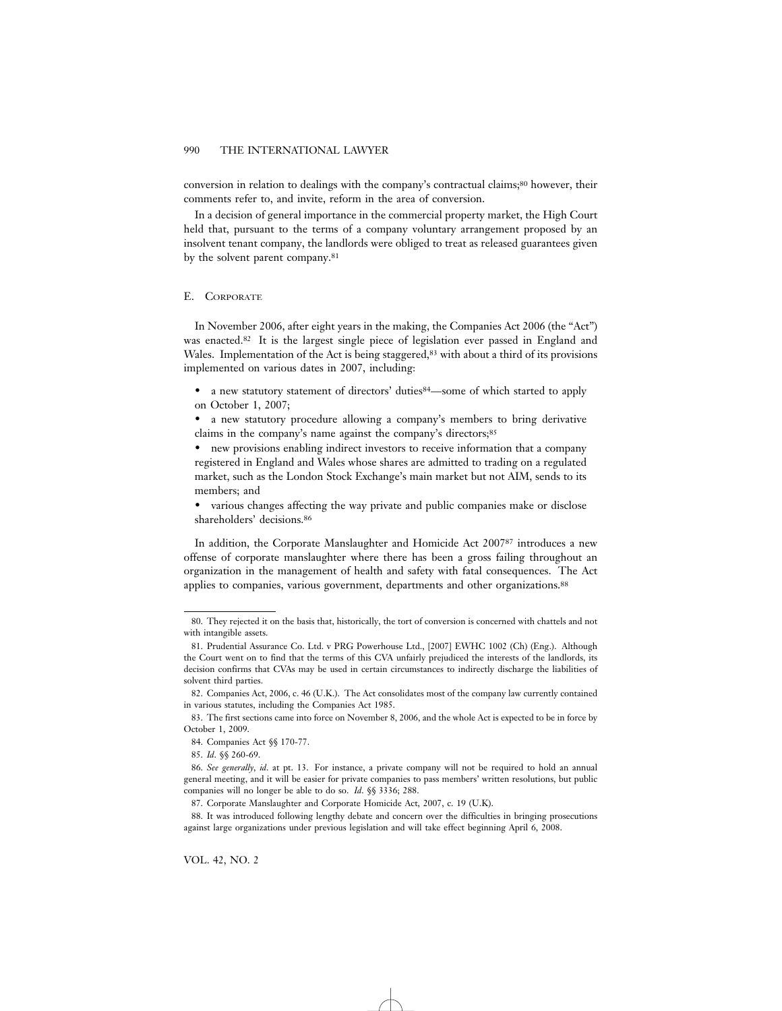conversion in relation to dealings with the company's contractual claims;<sup>80</sup> however, their comments refer to, and invite, reform in the area of conversion.

In a decision of general importance in the commercial property market, the High Court held that, pursuant to the terms of a company voluntary arrangement proposed by an insolvent tenant company, the landlords were obliged to treat as released guarantees given by the solvent parent company.81

#### E. CORPORATE

In November 2006, after eight years in the making, the Companies Act 2006 (the "Act") was enacted.82 It is the largest single piece of legislation ever passed in England and Wales. Implementation of the Act is being staggered,<sup>83</sup> with about a third of its provisions implemented on various dates in 2007, including:

• a new statutory statement of directors' duties <sup>84</sup>—some of which started to apply on October 1, 2007;

• a new statutory procedure allowing a company's members to bring derivative claims in the company's name against the company's directors;<sup>85</sup>

• new provisions enabling indirect investors to receive information that a company registered in England and Wales whose shares are admitted to trading on a regulated market, such as the London Stock Exchange's main market but not AIM, sends to its members; and

• various changes affecting the way private and public companies make or disclose shareholders' decisions.86

In addition, the Corporate Manslaughter and Homicide Act 200787 introduces a new offense of corporate manslaughter where there has been a gross failing throughout an organization in the management of health and safety with fatal consequences. The Act applies to companies, various government, departments and other organizations.88

<sup>80.</sup> They rejected it on the basis that, historically, the tort of conversion is concerned with chattels and not with intangible assets.

<sup>81.</sup> Prudential Assurance Co. Ltd. v PRG Powerhouse Ltd., [2007] EWHC 1002 (Ch) (Eng.). Although the Court went on to find that the terms of this CVA unfairly prejudiced the interests of the landlords, its decision confirms that CVAs may be used in certain circumstances to indirectly discharge the liabilities of solvent third parties.

<sup>82.</sup> Companies Act, 2006, c. 46 (U.K.). The Act consolidates most of the company law currently contained in various statutes, including the Companies Act 1985.

<sup>83.</sup> The first sections came into force on November 8, 2006, and the whole Act is expected to be in force by October 1, 2009.

<sup>84.</sup> Companies Act §§ 170-77.

<sup>85.</sup> *Id*. §§ 260-69.

<sup>86.</sup> *See generally*, *id*. at pt. 13. For instance, a private company will not be required to hold an annual general meeting, and it will be easier for private companies to pass members' written resolutions, but public companies will no longer be able to do so. *Id*. §§ 3336; 288.

<sup>87.</sup> Corporate Manslaughter and Corporate Homicide Act, 2007, c. 19 (U.K).

<sup>88.</sup> It was introduced following lengthy debate and concern over the difficulties in bringing prosecutions against large organizations under previous legislation and will take effect beginning April 6, 2008.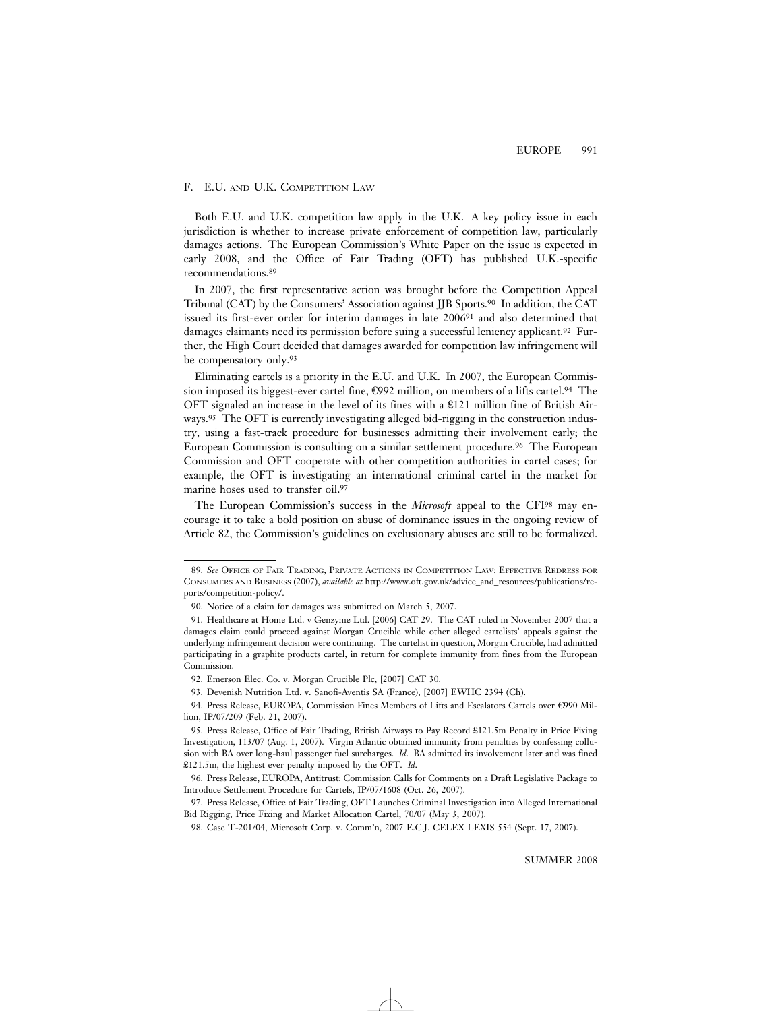### F. E.U. AND U.K. COMPETITION LAW

Both E.U. and U.K. competition law apply in the U.K. A key policy issue in each jurisdiction is whether to increase private enforcement of competition law, particularly damages actions. The European Commission's White Paper on the issue is expected in early 2008, and the Office of Fair Trading (OFT) has published U.K.-specific recommendations.89

In 2007, the first representative action was brought before the Competition Appeal Tribunal (CAT) by the Consumers' Association against JJB Sports.90 In addition, the CAT issued its first-ever order for interim damages in late 200691 and also determined that damages claimants need its permission before suing a successful leniency applicant.92 Further, the High Court decided that damages awarded for competition law infringement will be compensatory only.93

Eliminating cartels is a priority in the E.U. and U.K. In 2007, the European Commission imposed its biggest-ever cartel fine, €992 million, on members of a lifts cartel.94 The OFT signaled an increase in the level of its fines with a £121 million fine of British Airways.<sup>95</sup> The OFT is currently investigating alleged bid-rigging in the construction industry, using a fast-track procedure for businesses admitting their involvement early; the European Commission is consulting on a similar settlement procedure.96 The European Commission and OFT cooperate with other competition authorities in cartel cases; for example, the OFT is investigating an international criminal cartel in the market for marine hoses used to transfer oil.97

The European Commission's success in the *Microsoft* appeal to the CFI98 may encourage it to take a bold position on abuse of dominance issues in the ongoing review of Article 82, the Commission's guidelines on exclusionary abuses are still to be formalized.

<sup>89.</sup> *See* OFFICE OF FAIR TRADING, PRIVATE ACTIONS IN COMPETITION LAW: EFFECTIVE REDRESS FOR CONSUMERS AND BUSINESS (2007), *available at* http://www.oft.gov.uk/advice\_and\_resources/publications/reports/competition-policy/.

<sup>90.</sup> Notice of a claim for damages was submitted on March 5, 2007.

<sup>91.</sup> Healthcare at Home Ltd. v Genzyme Ltd. [2006] CAT 29. The CAT ruled in November 2007 that a damages claim could proceed against Morgan Crucible while other alleged cartelists' appeals against the underlying infringement decision were continuing. The cartelist in question, Morgan Crucible, had admitted participating in a graphite products cartel, in return for complete immunity from fines from the European Commission.

<sup>92.</sup> Emerson Elec. Co. v. Morgan Crucible Plc, [2007] CAT 30.

<sup>93.</sup> Devenish Nutrition Ltd. v. Sanofi-Aventis SA (France), [2007] EWHC 2394 (Ch).

<sup>94.</sup> Press Release, EUROPA, Commission Fines Members of Lifts and Escalators Cartels over €990 Million, IP/07/209 (Feb. 21, 2007).

<sup>95.</sup> Press Release, Office of Fair Trading, British Airways to Pay Record £121.5m Penalty in Price Fixing Investigation, 113/07 (Aug. 1, 2007). Virgin Atlantic obtained immunity from penalties by confessing collusion with BA over long-haul passenger fuel surcharges. *Id*. BA admitted its involvement later and was fined £121.5m, the highest ever penalty imposed by the OFT. *Id*.

<sup>96.</sup> Press Release, EUROPA, Antitrust: Commission Calls for Comments on a Draft Legislative Package to Introduce Settlement Procedure for Cartels, IP/07/1608 (Oct. 26, 2007).

<sup>97.</sup> Press Release, Office of Fair Trading, OFT Launches Criminal Investigation into Alleged International Bid Rigging, Price Fixing and Market Allocation Cartel, 70/07 (May 3, 2007).

<sup>98.</sup> Case T-201/04, Microsoft Corp. v. Comm'n, 2007 E.C.J. CELEX LEXIS 554 (Sept. 17, 2007).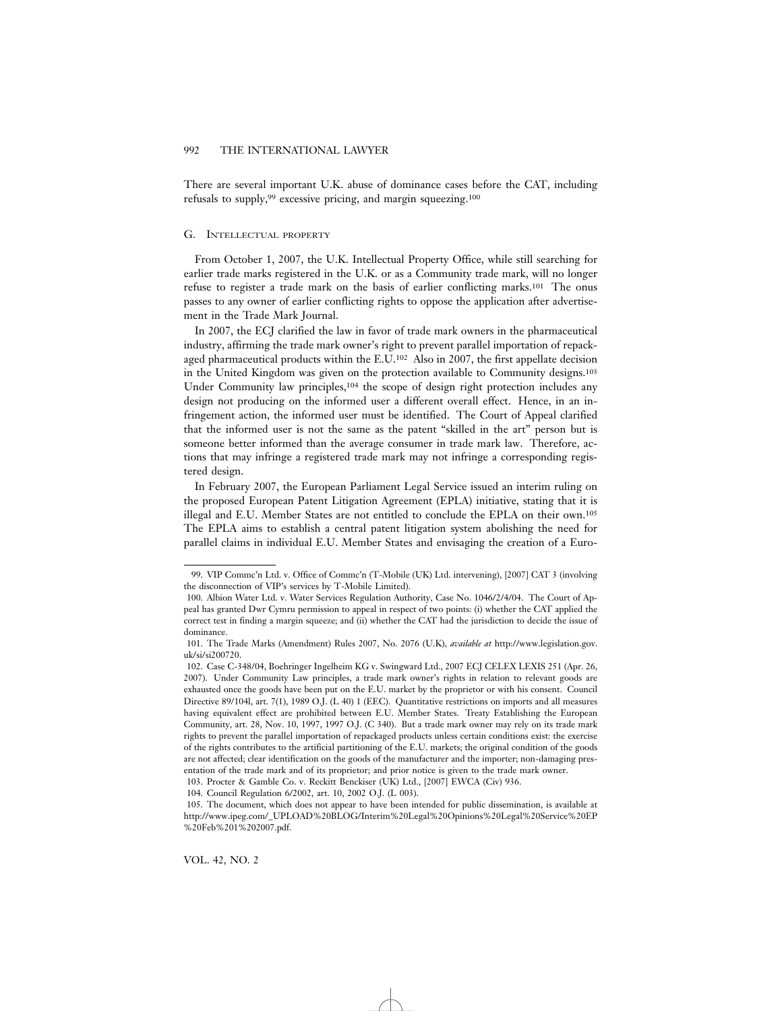There are several important U.K. abuse of dominance cases before the CAT, including refusals to supply,<sup>99</sup> excessive pricing, and margin squeezing.<sup>100</sup>

#### G. INTELLECTUAL PROPERTY

From October 1, 2007, the U.K. Intellectual Property Office, while still searching for earlier trade marks registered in the U.K. or as a Community trade mark, will no longer refuse to register a trade mark on the basis of earlier conflicting marks.101 The onus passes to any owner of earlier conflicting rights to oppose the application after advertisement in the Trade Mark Journal.

In 2007, the ECJ clarified the law in favor of trade mark owners in the pharmaceutical industry, affirming the trade mark owner's right to prevent parallel importation of repackaged pharmaceutical products within the E.U.102 Also in 2007, the first appellate decision in the United Kingdom was given on the protection available to Community designs.103 Under Community law principles,104 the scope of design right protection includes any design not producing on the informed user a different overall effect. Hence, in an infringement action, the informed user must be identified. The Court of Appeal clarified that the informed user is not the same as the patent "skilled in the art" person but is someone better informed than the average consumer in trade mark law. Therefore, actions that may infringe a registered trade mark may not infringe a corresponding registered design.

In February 2007, the European Parliament Legal Service issued an interim ruling on the proposed European Patent Litigation Agreement (EPLA) initiative, stating that it is illegal and E.U. Member States are not entitled to conclude the EPLA on their own.105 The EPLA aims to establish a central patent litigation system abolishing the need for parallel claims in individual E.U. Member States and envisaging the creation of a Euro-

<sup>99.</sup> VIP Commc'n Ltd. v. Office of Commc'n (T-Mobile (UK) Ltd. intervening), [2007] CAT 3 (involving the disconnection of VIP's services by T-Mobile Limited).

<sup>100.</sup> Albion Water Ltd. v. Water Services Regulation Authority, Case No. 1046/2/4/04. The Court of Appeal has granted Dwr Cymru permission to appeal in respect of two points: (i) whether the CAT applied the correct test in finding a margin squeeze; and (ii) whether the CAT had the jurisdiction to decide the issue of dominance.

<sup>101.</sup> The Trade Marks (Amendment) Rules 2007, No. 2076 (U.K), *available at* http://www.legislation.gov. uk/si/si200720.

<sup>102.</sup> Case C-348/04, Boehringer Ingelheim KG v. Swingward Ltd., 2007 ECJ CELEX LEXIS 251 (Apr. 26, 2007). Under Community Law principles, a trade mark owner's rights in relation to relevant goods are exhausted once the goods have been put on the E.U. market by the proprietor or with his consent. Council Directive 89/104l, art. 7(1), 1989 O.J. (L 40) 1 (EEC). Quantitative restrictions on imports and all measures having equivalent effect are prohibited between E.U. Member States. Treaty Establishing the European Community, art. 28, Nov. 10, 1997, 1997 O.J. (C 340). But a trade mark owner may rely on its trade mark rights to prevent the parallel importation of repackaged products unless certain conditions exist: the exercise of the rights contributes to the artificial partitioning of the E.U. markets; the original condition of the goods are not affected; clear identification on the goods of the manufacturer and the importer; non-damaging presentation of the trade mark and of its proprietor; and prior notice is given to the trade mark owner.

<sup>103.</sup> Procter & Gamble Co. v. Reckitt Benckiser (UK) Ltd., [2007] EWCA (Civ) 936.

<sup>104.</sup> Council Regulation 6/2002, art. 10, 2002 O.J. (L 003).

<sup>105.</sup> The document, which does not appear to have been intended for public dissemination, is available at http://www.ipeg.com/\_UPLOAD%20BLOG/Interim%20Legal%20Opinions%20Legal%20Service%20EP %20Feb%201%202007.pdf.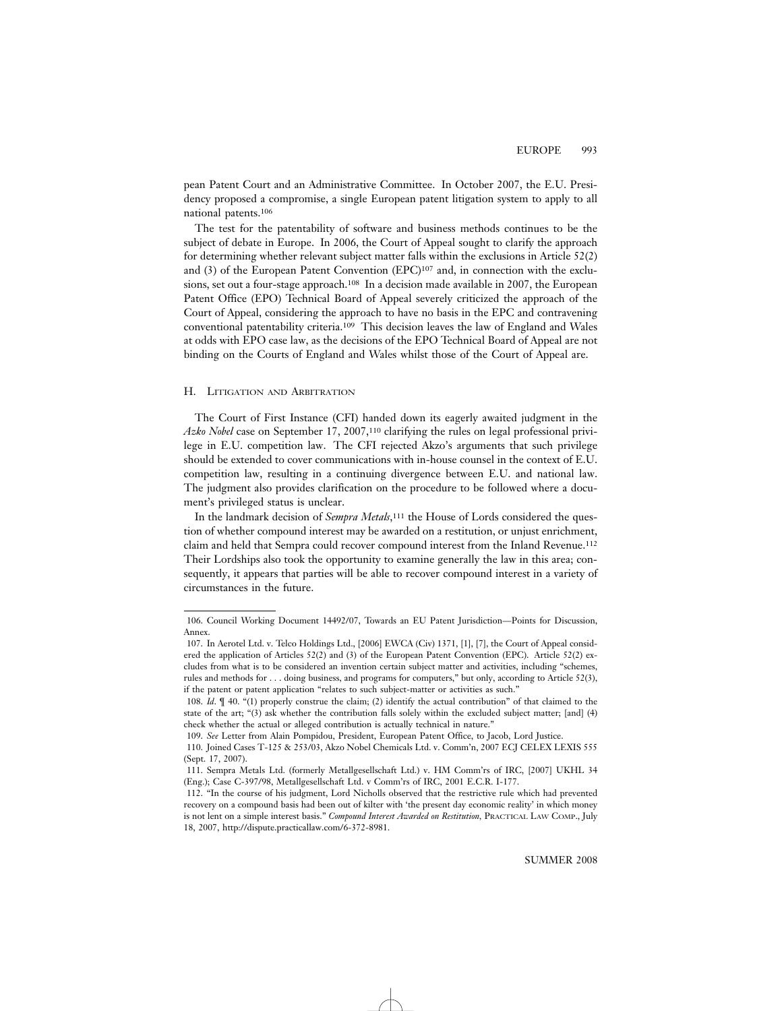pean Patent Court and an Administrative Committee. In October 2007, the E.U. Presidency proposed a compromise, a single European patent litigation system to apply to all national patents.106

The test for the patentability of software and business methods continues to be the subject of debate in Europe. In 2006, the Court of Appeal sought to clarify the approach for determining whether relevant subject matter falls within the exclusions in Article 52(2) and (3) of the European Patent Convention (EPC)107 and, in connection with the exclusions, set out a four-stage approach.108 In a decision made available in 2007, the European Patent Office (EPO) Technical Board of Appeal severely criticized the approach of the Court of Appeal, considering the approach to have no basis in the EPC and contravening conventional patentability criteria.109 This decision leaves the law of England and Wales at odds with EPO case law, as the decisions of the EPO Technical Board of Appeal are not binding on the Courts of England and Wales whilst those of the Court of Appeal are.

# H. LITIGATION AND ARBITRATION

The Court of First Instance (CFI) handed down its eagerly awaited judgment in the *Azko Nobel* case on September 17, 2007,110 clarifying the rules on legal professional privilege in E.U. competition law. The CFI rejected Akzo's arguments that such privilege should be extended to cover communications with in-house counsel in the context of E.U. competition law, resulting in a continuing divergence between E.U. and national law. The judgment also provides clarification on the procedure to be followed where a document's privileged status is unclear.

In the landmark decision of *Sempra Metals*,111 the House of Lords considered the question of whether compound interest may be awarded on a restitution, or unjust enrichment, claim and held that Sempra could recover compound interest from the Inland Revenue.112 Their Lordships also took the opportunity to examine generally the law in this area; consequently, it appears that parties will be able to recover compound interest in a variety of circumstances in the future.

<sup>106.</sup> Council Working Document 14492/07, Towards an EU Patent Jurisdiction—Points for Discussion, Annex.

<sup>107.</sup> In Aerotel Ltd. v. Telco Holdings Ltd., [2006] EWCA (Civ) 1371, [1], [7], the Court of Appeal considered the application of Articles 52(2) and (3) of the European Patent Convention (EPC). Article 52(2) excludes from what is to be considered an invention certain subject matter and activities, including "schemes, rules and methods for . . . doing business, and programs for computers," but only, according to Article 52(3), if the patent or patent application "relates to such subject-matter or activities as such."

<sup>108.</sup> *Id*. ¶ 40. "(1) properly construe the claim; (2) identify the actual contribution" of that claimed to the state of the art; "(3) ask whether the contribution falls solely within the excluded subject matter; [and] (4) check whether the actual or alleged contribution is actually technical in nature."

<sup>109.</sup> *See* Letter from Alain Pompidou, President, European Patent Office, to Jacob, Lord Justice.

<sup>110.</sup> Joined Cases T-125 & 253/03, Akzo Nobel Chemicals Ltd. v. Comm'n, 2007 ECJ CELEX LEXIS 555 (Sept. 17, 2007).

<sup>111.</sup> Sempra Metals Ltd. (formerly Metallgesellschaft Ltd.) v. HM Comm'rs of IRC, [2007] UKHL 34 (Eng.); Case C-397/98, Metallgesellschaft Ltd. v Comm'rs of IRC, 2001 E.C.R. I-177.

<sup>112. &</sup>quot;In the course of his judgment, Lord Nicholls observed that the restrictive rule which had prevented recovery on a compound basis had been out of kilter with 'the present day economic reality' in which money is not lent on a simple interest basis." *Compound Interest Awarded on Restitution,* PRACTICAL LAW COMP., July 18, 2007, http://dispute.practicallaw.com/6-372-8981.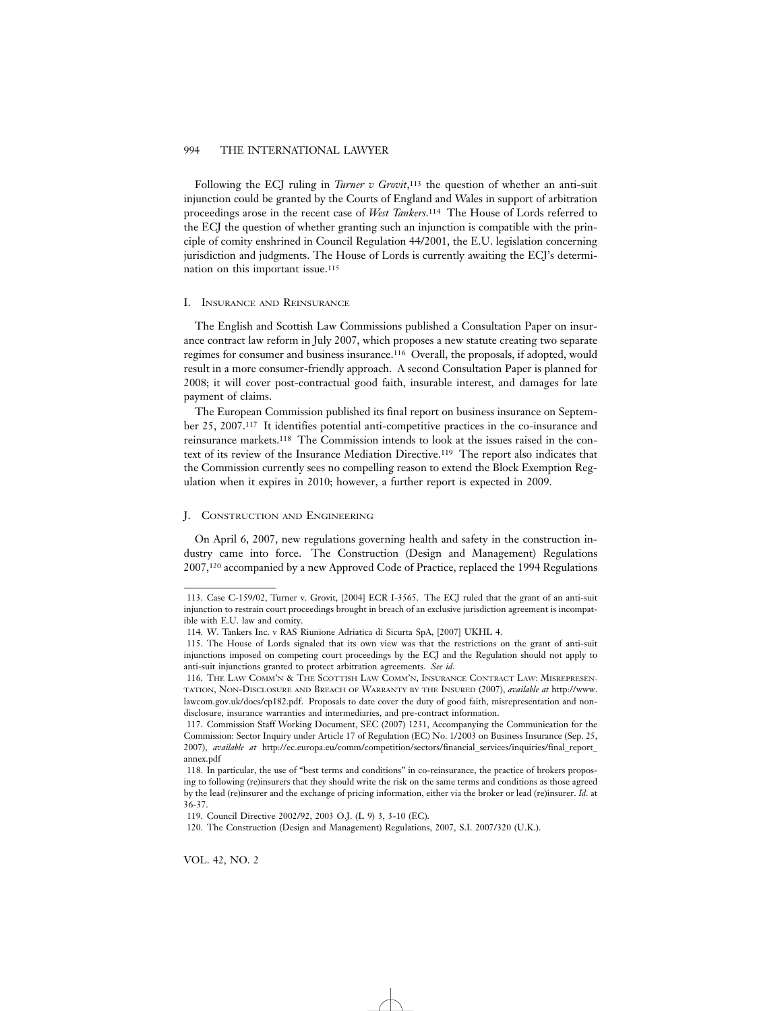Following the ECJ ruling in *Turner v Grovit*,<sup>113</sup> the question of whether an anti-suit injunction could be granted by the Courts of England and Wales in support of arbitration proceedings arose in the recent case of *West Tankers*.114 The House of Lords referred to the ECJ the question of whether granting such an injunction is compatible with the principle of comity enshrined in Council Regulation 44/2001, the E.U. legislation concerning jurisdiction and judgments. The House of Lords is currently awaiting the ECJ's determination on this important issue.115

# I. INSURANCE AND REINSURANCE

The English and Scottish Law Commissions published a Consultation Paper on insurance contract law reform in July 2007, which proposes a new statute creating two separate regimes for consumer and business insurance.116 Overall, the proposals, if adopted, would result in a more consumer-friendly approach. A second Consultation Paper is planned for 2008; it will cover post-contractual good faith, insurable interest, and damages for late payment of claims.

The European Commission published its final report on business insurance on September 25, 2007.117 It identifies potential anti-competitive practices in the co-insurance and reinsurance markets.118 The Commission intends to look at the issues raised in the context of its review of the Insurance Mediation Directive.119 The report also indicates that the Commission currently sees no compelling reason to extend the Block Exemption Regulation when it expires in 2010; however, a further report is expected in 2009.

# J. CONSTRUCTION AND ENGINEERING

On April 6, 2007, new regulations governing health and safety in the construction industry came into force. The Construction (Design and Management) Regulations 2007,120 accompanied by a new Approved Code of Practice, replaced the 1994 Regulations

<sup>113.</sup> Case C-159/02, Turner v. Grovit, [2004] ECR I-3565. The ECJ ruled that the grant of an anti-suit injunction to restrain court proceedings brought in breach of an exclusive jurisdiction agreement is incompatible with E.U. law and comity.

<sup>114.</sup> W. Tankers Inc. v RAS Riunione Adriatica di Sicurta SpA, [2007] UKHL 4.

<sup>115.</sup> The House of Lords signaled that its own view was that the restrictions on the grant of anti-suit injunctions imposed on competing court proceedings by the ECJ and the Regulation should not apply to anti-suit injunctions granted to protect arbitration agreements. *See id*.

<sup>116.</sup> THE LAW COMM'N & THE SCOTTISH LAW COMM'N, INSURANCE CONTRACT LAW: MISREPRESEN-TATION, NON-DISCLOSURE AND BREACH OF WARRANTY BY THE INSURED (2007), *available at* http://www. lawcom.gov.uk/docs/cp182.pdf. Proposals to date cover the duty of good faith, misrepresentation and nondisclosure, insurance warranties and intermediaries, and pre-contract information.

<sup>117.</sup> Commission Staff Working Document, SEC (2007) 1231, Accompanying the Communication for the Commission: Sector Inquiry under Article 17 of Regulation (EC) No. 1/2003 on Business Insurance (Sep. 25, 2007), *available at* http://ec.europa.eu/comm/competition/sectors/financial\_services/inquiries/final\_report\_ annex.pdf

<sup>118.</sup> In particular, the use of "best terms and conditions" in co-reinsurance, the practice of brokers proposing to following (re)insurers that they should write the risk on the same terms and conditions as those agreed by the lead (re)insurer and the exchange of pricing information, either via the broker or lead (re)insurer. *Id*. at 36-37.

<sup>119.</sup> Council Directive 2002/92, 2003 O.J. (L 9) 3, 3-10 (EC).

<sup>120.</sup> The Construction (Design and Management) Regulations, 2007, S.I. 2007/320 (U.K.).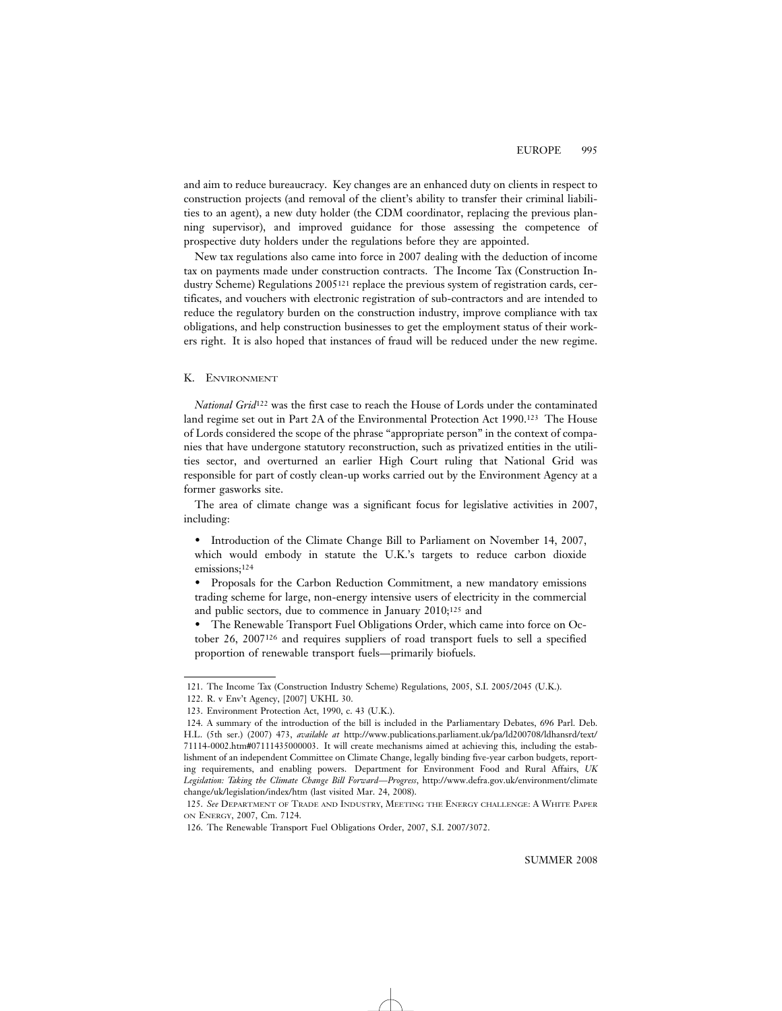and aim to reduce bureaucracy. Key changes are an enhanced duty on clients in respect to construction projects (and removal of the client's ability to transfer their criminal liabilities to an agent), a new duty holder (the CDM coordinator, replacing the previous planning supervisor), and improved guidance for those assessing the competence of prospective duty holders under the regulations before they are appointed.

New tax regulations also came into force in 2007 dealing with the deduction of income tax on payments made under construction contracts. The Income Tax (Construction Industry Scheme) Regulations 2005121 replace the previous system of registration cards, certificates, and vouchers with electronic registration of sub-contractors and are intended to reduce the regulatory burden on the construction industry, improve compliance with tax obligations, and help construction businesses to get the employment status of their workers right. It is also hoped that instances of fraud will be reduced under the new regime.

# K. ENVIRONMENT

*National Grid*122 was the first case to reach the House of Lords under the contaminated land regime set out in Part 2A of the Environmental Protection Act 1990.123 The House of Lords considered the scope of the phrase "appropriate person" in the context of companies that have undergone statutory reconstruction, such as privatized entities in the utilities sector, and overturned an earlier High Court ruling that National Grid was responsible for part of costly clean-up works carried out by the Environment Agency at a former gasworks site.

The area of climate change was a significant focus for legislative activities in 2007, including:

• Introduction of the Climate Change Bill to Parliament on November 14, 2007, which would embody in statute the U.K.'s targets to reduce carbon dioxide emissions;124

• Proposals for the Carbon Reduction Commitment, a new mandatory emissions trading scheme for large, non-energy intensive users of electricity in the commercial and public sectors, due to commence in January 2010;125 and

• The Renewable Transport Fuel Obligations Order, which came into force on October 26, 2007126 and requires suppliers of road transport fuels to sell a specified proportion of renewable transport fuels—primarily biofuels.

<sup>121.</sup> The Income Tax (Construction Industry Scheme) Regulations, 2005, S.I. 2005/2045 (U.K.).

<sup>122.</sup> R. v Env't Agency, [2007] UKHL 30.

<sup>123.</sup> Environment Protection Act, 1990, c. 43 (U.K.).

<sup>124.</sup> A summary of the introduction of the bill is included in the Parliamentary Debates, 696 Parl. Deb. H.L. (5th ser.) (2007) 473, *available at* http://www.publications.parliament.uk/pa/ld200708/ldhansrd/text/ 71114-0002.htm#07111435000003. It will create mechanisms aimed at achieving this, including the establishment of an independent Committee on Climate Change, legally binding five-year carbon budgets, reporting requirements, and enabling powers. Department for Environment Food and Rural Affairs, *UK Legislation: Taking the Climate Change Bill Forward—Progress*, http://www.defra.gov.uk/environment/climate change/uk/legislation/index/htm (last visited Mar. 24, 2008).

<sup>125.</sup> *See* DEPARTMENT OF TRADE AND INDUSTRY, MEETING THE ENERGY CHALLENGE: A WHITE PAPER ON ENERGY, 2007, Cm. 7124.

<sup>126.</sup> The Renewable Transport Fuel Obligations Order, 2007, S.I. 2007/3072.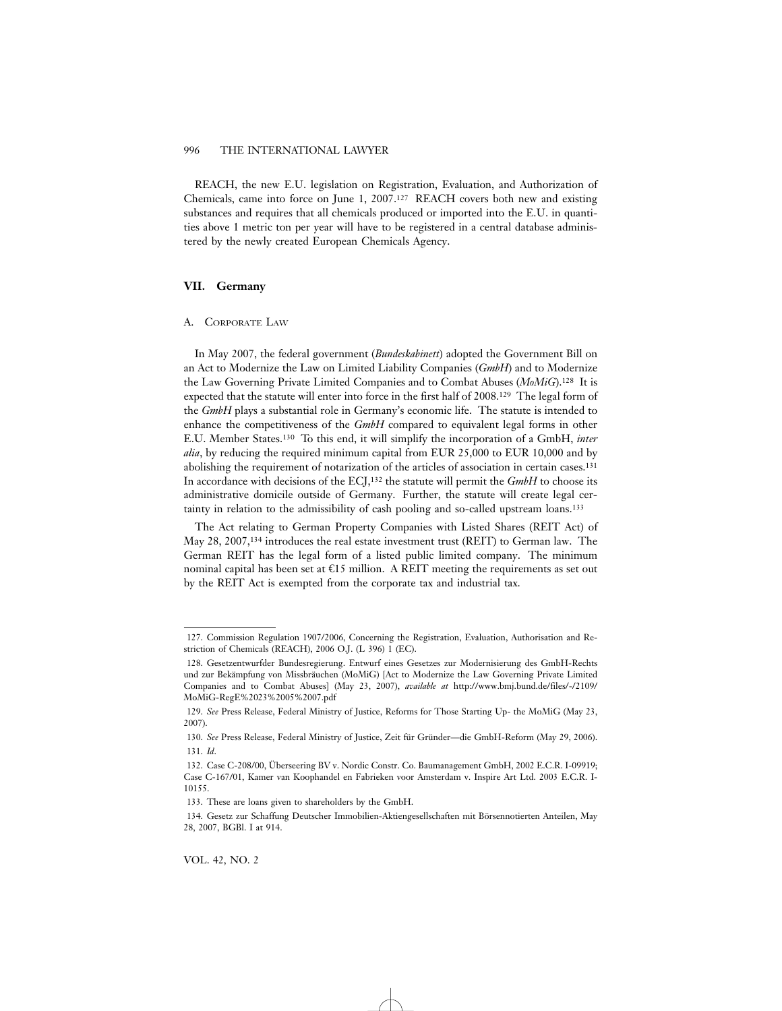REACH, the new E.U. legislation on Registration, Evaluation, and Authorization of Chemicals, came into force on June 1, 2007.127 REACH covers both new and existing substances and requires that all chemicals produced or imported into the E.U. in quantities above 1 metric ton per year will have to be registered in a central database administered by the newly created European Chemicals Agency.

# **VII. Germany**

# A. CORPORATE LAW

In May 2007, the federal government (*Bundeskabinett*) adopted the Government Bill on an Act to Modernize the Law on Limited Liability Companies (*GmbH*) and to Modernize the Law Governing Private Limited Companies and to Combat Abuses (*MoMiG*).128 It is expected that the statute will enter into force in the first half of 2008.129 The legal form of the *GmbH* plays a substantial role in Germany's economic life. The statute is intended to enhance the competitiveness of the *GmbH* compared to equivalent legal forms in other E.U. Member States.130 To this end, it will simplify the incorporation of a GmbH, *inter alia*, by reducing the required minimum capital from EUR 25,000 to EUR 10,000 and by abolishing the requirement of notarization of the articles of association in certain cases.131 In accordance with decisions of the ECJ,132 the statute will permit the *GmbH* to choose its administrative domicile outside of Germany. Further, the statute will create legal certainty in relation to the admissibility of cash pooling and so-called upstream loans.133

The Act relating to German Property Companies with Listed Shares (REIT Act) of May 28, 2007,134 introduces the real estate investment trust (REIT) to German law. The German REIT has the legal form of a listed public limited company. The minimum nominal capital has been set at  $\epsilon$ 15 million. A REIT meeting the requirements as set out by the REIT Act is exempted from the corporate tax and industrial tax.

<sup>127.</sup> Commission Regulation 1907/2006, Concerning the Registration, Evaluation, Authorisation and Restriction of Chemicals (REACH), 2006 O.J. (L 396) 1 (EC).

<sup>128.</sup> Gesetzentwurfder Bundesregierung. Entwurf eines Gesetzes zur Modernisierung des GmbH-Rechts und zur Bekämpfung von Missbräuchen (MoMiG) [Act to Modernize the Law Governing Private Limited Companies and to Combat Abuses] (May 23, 2007), *available at* http://www.bmj.bund.de/files/-/2109/ MoMiG-RegE%2023%2005%2007.pdf

<sup>129.</sup> *See* Press Release, Federal Ministry of Justice, Reforms for Those Starting Up- the MoMiG (May 23, 2007).

<sup>130.</sup> See Press Release, Federal Ministry of Justice, Zeit für Gründer-die GmbH-Reform (May 29, 2006). 131. *Id*.

<sup>132.</sup> Case C-208/00, Überseering BV v. Nordic Constr. Co. Baumanagement GmbH, 2002 E.C.R. I-09919; Case C-167/01, Kamer van Koophandel en Fabrieken voor Amsterdam v. Inspire Art Ltd. 2003 E.C.R. I-10155.

<sup>133.</sup> These are loans given to shareholders by the GmbH.

<sup>134.</sup> Gesetz zur Schaffung Deutscher Immobilien-Aktiengesellschaften mit Börsennotierten Anteilen, May 28, 2007, BGBl. I at 914.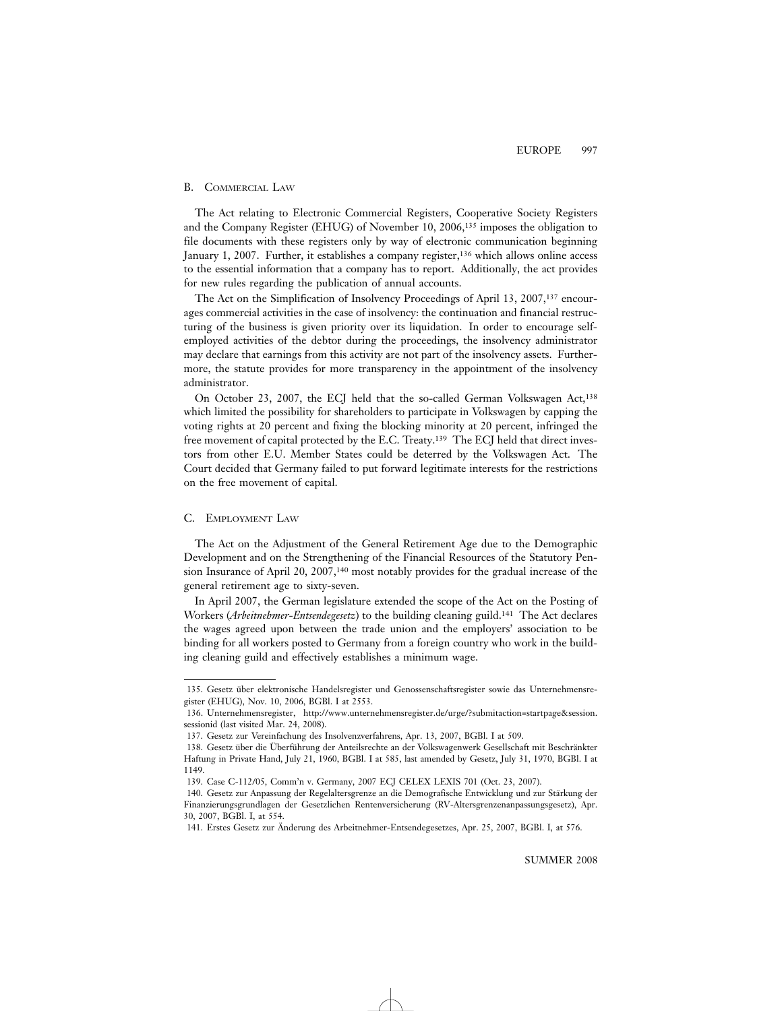# B. COMMERCIAL LAW

The Act relating to Electronic Commercial Registers, Cooperative Society Registers and the Company Register (EHUG) of November 10, 2006,135 imposes the obligation to file documents with these registers only by way of electronic communication beginning January 1, 2007. Further, it establishes a company register,136 which allows online access to the essential information that a company has to report. Additionally, the act provides for new rules regarding the publication of annual accounts.

The Act on the Simplification of Insolvency Proceedings of April 13, 2007,137 encourages commercial activities in the case of insolvency: the continuation and financial restructuring of the business is given priority over its liquidation. In order to encourage selfemployed activities of the debtor during the proceedings, the insolvency administrator may declare that earnings from this activity are not part of the insolvency assets. Furthermore, the statute provides for more transparency in the appointment of the insolvency administrator.

On October 23, 2007, the ECJ held that the so-called German Volkswagen Act,<sup>138</sup> which limited the possibility for shareholders to participate in Volkswagen by capping the voting rights at 20 percent and fixing the blocking minority at 20 percent, infringed the free movement of capital protected by the E.C. Treaty.<sup>139</sup> The ECJ held that direct investors from other E.U. Member States could be deterred by the Volkswagen Act. The Court decided that Germany failed to put forward legitimate interests for the restrictions on the free movement of capital.

#### C. EMPLOYMENT LAW

The Act on the Adjustment of the General Retirement Age due to the Demographic Development and on the Strengthening of the Financial Resources of the Statutory Pension Insurance of April 20, 2007,140 most notably provides for the gradual increase of the general retirement age to sixty-seven.

In April 2007, the German legislature extended the scope of the Act on the Posting of Workers (*Arbeitnehmer-Entsendegesetz*) to the building cleaning guild.141 The Act declares the wages agreed upon between the trade union and the employers' association to be binding for all workers posted to Germany from a foreign country who work in the building cleaning guild and effectively establishes a minimum wage.

<sup>135.</sup> Gesetz über elektronische Handelsregister und Genossenschaftsregister sowie das Unternehmensregister (EHUG), Nov. 10, 2006, BGBl. I at 2553.

<sup>136.</sup> Unternehmensregister, http://www.unternehmensregister.de/urge/?submitaction=startpage&session. sessionid (last visited Mar. 24, 2008).

<sup>137.</sup> Gesetz zur Vereinfachung des Insolvenzverfahrens, Apr. 13, 2007, BGBl. I at 509.

<sup>138.</sup> Gesetz über die Überführung der Anteilsrechte an der Volkswagenwerk Gesellschaft mit Beschränkter Haftung in Private Hand, July 21, 1960, BGBl. I at 585, last amended by Gesetz, July 31, 1970, BGBl. I at 1149.

<sup>139.</sup> Case C-112/05, Comm'n v. Germany, 2007 ECJ CELEX LEXIS 701 (Oct. 23, 2007).

<sup>140.</sup> Gesetz zur Anpassung der Regelaltersgrenze an die Demografische Entwicklung und zur Stärkung der Finanzierungsgrundlagen der Gesetzlichen Rentenversicherung (RV-Altersgrenzenanpassungsgesetz), Apr. 30, 2007, BGBl. I, at 554.

<sup>141.</sup> Erstes Gesetz zur Anderung des Arbeitnehmer-Entsendegesetzes, Apr. 25, 2007, BGBl. I, at 576. ¨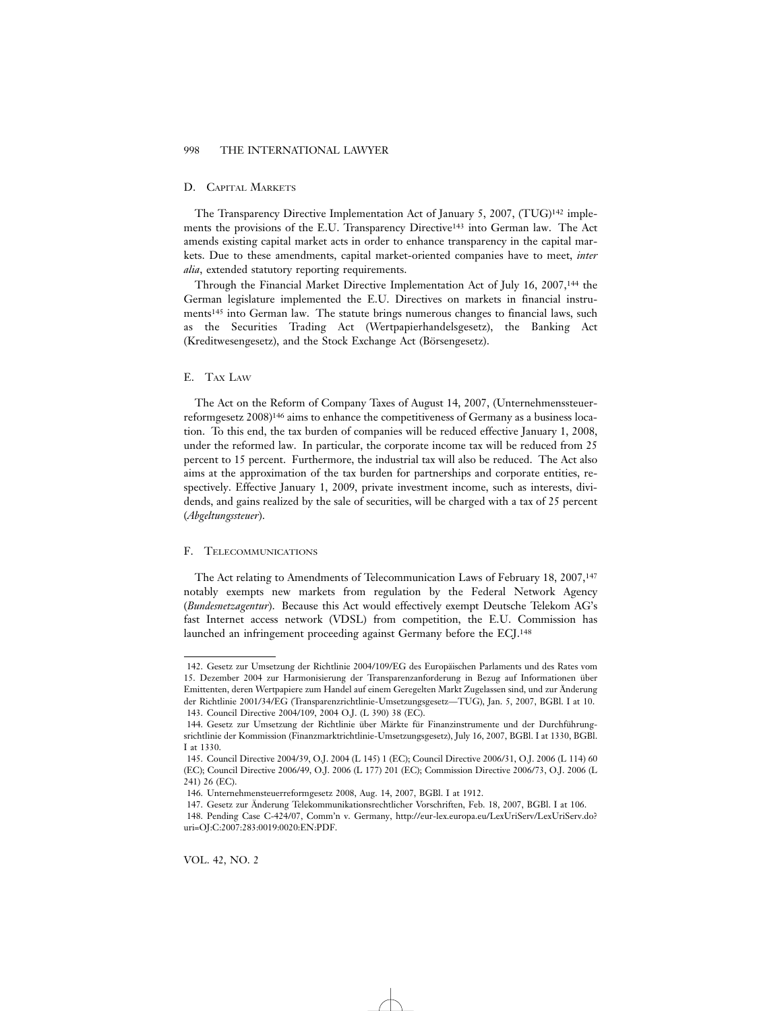#### D. CAPITAL MARKETS

The Transparency Directive Implementation Act of January 5, 2007, (TUG)142 implements the provisions of the E.U. Transparency Directive143 into German law. The Act amends existing capital market acts in order to enhance transparency in the capital markets. Due to these amendments, capital market-oriented companies have to meet, *inter alia*, extended statutory reporting requirements.

Through the Financial Market Directive Implementation Act of July 16, 2007,144 the German legislature implemented the E.U. Directives on markets in financial instruments145 into German law. The statute brings numerous changes to financial laws, such as the Securities Trading Act (Wertpapierhandelsgesetz), the Banking Act (Kreditwesengesetz), and the Stock Exchange Act (Börsengesetz).

# E. TAX LAW

The Act on the Reform of Company Taxes of August 14, 2007, (Unternehmenssteuerreformgesetz 2008)146 aims to enhance the competitiveness of Germany as a business location. To this end, the tax burden of companies will be reduced effective January 1, 2008, under the reformed law. In particular, the corporate income tax will be reduced from 25 percent to 15 percent. Furthermore, the industrial tax will also be reduced. The Act also aims at the approximation of the tax burden for partnerships and corporate entities, respectively. Effective January 1, 2009, private investment income, such as interests, dividends, and gains realized by the sale of securities, will be charged with a tax of 25 percent (*Abgeltungssteuer*).

#### F. TELECOMMUNICATIONS

The Act relating to Amendments of Telecommunication Laws of February 18, 2007,<sup>147</sup> notably exempts new markets from regulation by the Federal Network Agency (*Bundesnetzagentur*). Because this Act would effectively exempt Deutsche Telekom AG's fast Internet access network (VDSL) from competition, the E.U. Commission has launched an infringement proceeding against Germany before the ECJ.148

<sup>142.</sup> Gesetz zur Umsetzung der Richtlinie 2004/109/EG des Europäischen Parlaments und des Rates vom 15. Dezember 2004 zur Harmonisierung der Transparenzanforderung in Bezug auf Informationen über Emittenten, deren Wertpapiere zum Handel auf einem Geregelten Markt Zugelassen sind, und zur Anderung ¨ der Richtlinie 2001/34/EG (Transparenzrichtlinie-Umsetzungsgesetz—TUG), Jan. 5, 2007, BGBl. I at 10. 143. Council Directive 2004/109, 2004 O.J. (L 390) 38 (EC).

<sup>144.</sup> Gesetz zur Umsetzung der Richtlinie über Märkte für Finanzinstrumente und der Durchführungsrichtlinie der Kommission (Finanzmarktrichtlinie-Umsetzungsgesetz), July 16, 2007, BGBl. I at 1330, BGBl. I at 1330.

<sup>145.</sup> Council Directive 2004/39, O.J. 2004 (L 145) 1 (EC); Council Directive 2006/31, O.J. 2006 (L 114) 60 (EC); Council Directive 2006/49, O.J. 2006 (L 177) 201 (EC); Commission Directive 2006/73, O.J. 2006 (L 241) 26 (EC).

<sup>146.</sup> Unternehmensteuerreformgesetz 2008, Aug. 14, 2007, BGBl. I at 1912.

<sup>147.</sup> Gesetz zur Anderung Telekommunikationsrechtlicher Vorschriften, Feb. 18, 2007, BGBl. I at 106. ¨

<sup>148.</sup> Pending Case C-424/07, Comm'n v. Germany, http://eur-lex.europa.eu/LexUriServ/LexUriServ.do? uri=OJ:C:2007:283:0019:0020:EN:PDF.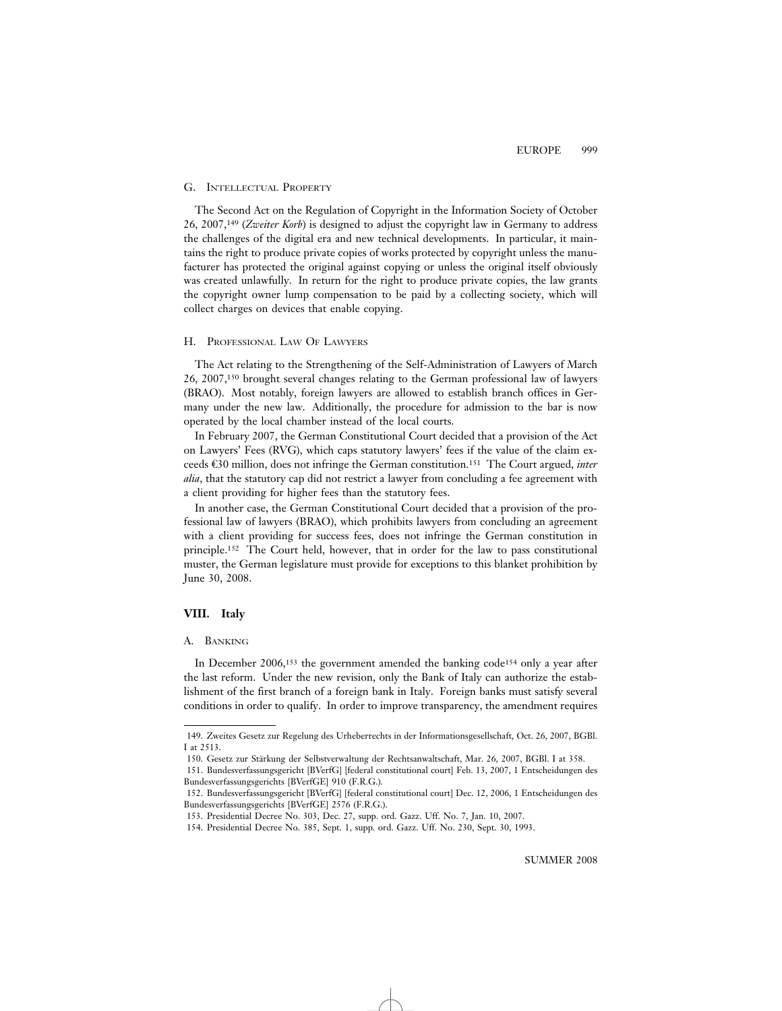#### G. INTELLECTUAL PROPERTY

The Second Act on the Regulation of Copyright in the Information Society of October 26, 2007,149 (*Zweiter Korb*) is designed to adjust the copyright law in Germany to address the challenges of the digital era and new technical developments. In particular, it maintains the right to produce private copies of works protected by copyright unless the manufacturer has protected the original against copying or unless the original itself obviously was created unlawfully. In return for the right to produce private copies, the law grants the copyright owner lump compensation to be paid by a collecting society, which will collect charges on devices that enable copying.

### H. PROFESSIONAL LAW OF LAWYERS

The Act relating to the Strengthening of the Self-Administration of Lawyers of March 26, 2007,150 brought several changes relating to the German professional law of lawyers (BRAO). Most notably, foreign lawyers are allowed to establish branch offices in Germany under the new law. Additionally, the procedure for admission to the bar is now operated by the local chamber instead of the local courts.

In February 2007, the German Constitutional Court decided that a provision of the Act on Lawyers' Fees (RVG), which caps statutory lawyers' fees if the value of the claim exceeds €30 million, does not infringe the German constitution.<sup>151</sup> The Court argued, *inter alia*, that the statutory cap did not restrict a lawyer from concluding a fee agreement with a client providing for higher fees than the statutory fees.

In another case, the German Constitutional Court decided that a provision of the professional law of lawyers (BRAO), which prohibits lawyers from concluding an agreement with a client providing for success fees, does not infringe the German constitution in principle.152 The Court held, however, that in order for the law to pass constitutional muster, the German legislature must provide for exceptions to this blanket prohibition by June 30, 2008.

# **VIII. Italy**

# A. BANKING

In December 2006,<sup>153</sup> the government amended the banking code<sup>154</sup> only a year after the last reform. Under the new revision, only the Bank of Italy can authorize the establishment of the first branch of a foreign bank in Italy. Foreign banks must satisfy several conditions in order to qualify. In order to improve transparency, the amendment requires

<sup>149.</sup> Zweites Gesetz zur Regelung des Urheberrechts in der Informationsgesellschaft, Oct. 26, 2007, BGBl. I at 2513.

<sup>150.</sup> Gesetz zur Stärkung der Selbstverwaltung der Rechtsanwaltschaft, Mar. 26, 2007, BGBl. I at 358.

<sup>151.</sup> Bundesverfassungsgericht [BVerfG] [federal constitutional court] Feb. 13, 2007, 1 Entscheidungen des Bundesverfassungsgerichts [BVerfGE] 910 (F.R.G.).

<sup>152.</sup> Bundesverfassungsgericht [BVerfG] [federal constitutional court] Dec. 12, 2006, 1 Entscheidungen des Bundesverfassungsgerichts [BVerfGE] 2576 (F.R.G.).

<sup>153.</sup> Presidential Decree No. 303, Dec. 27, supp. ord. Gazz. Uff. No. 7, Jan. 10, 2007.

<sup>154.</sup> Presidential Decree No. 385, Sept. 1, supp. ord. Gazz. Uff. No. 230, Sept. 30, 1993.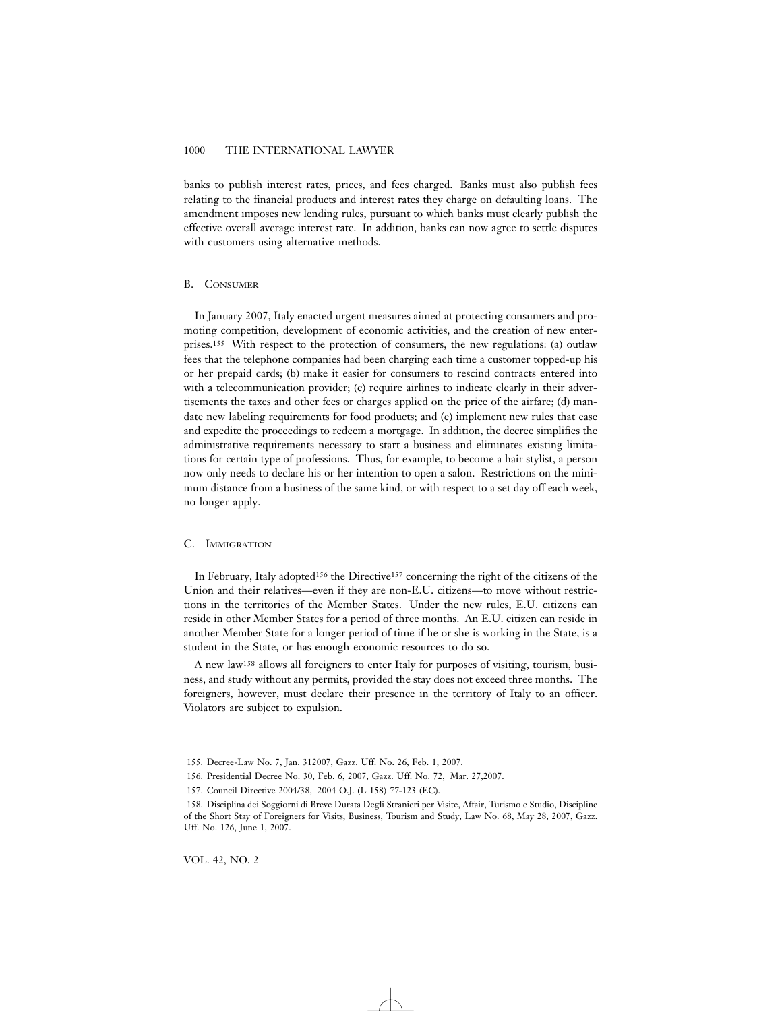banks to publish interest rates, prices, and fees charged. Banks must also publish fees relating to the financial products and interest rates they charge on defaulting loans. The amendment imposes new lending rules, pursuant to which banks must clearly publish the effective overall average interest rate. In addition, banks can now agree to settle disputes with customers using alternative methods.

# B. CONSUMER

In January 2007, Italy enacted urgent measures aimed at protecting consumers and promoting competition, development of economic activities, and the creation of new enterprises.155 With respect to the protection of consumers, the new regulations: (a) outlaw fees that the telephone companies had been charging each time a customer topped-up his or her prepaid cards; (b) make it easier for consumers to rescind contracts entered into with a telecommunication provider; (c) require airlines to indicate clearly in their advertisements the taxes and other fees or charges applied on the price of the airfare; (d) mandate new labeling requirements for food products; and (e) implement new rules that ease and expedite the proceedings to redeem a mortgage. In addition, the decree simplifies the administrative requirements necessary to start a business and eliminates existing limitations for certain type of professions. Thus, for example, to become a hair stylist, a person now only needs to declare his or her intention to open a salon. Restrictions on the minimum distance from a business of the same kind, or with respect to a set day off each week, no longer apply.

#### C. IMMIGRATION

In February, Italy adopted156 the Directive157 concerning the right of the citizens of the Union and their relatives—even if they are non-E.U. citizens—to move without restrictions in the territories of the Member States. Under the new rules, E.U. citizens can reside in other Member States for a period of three months. An E.U. citizen can reside in another Member State for a longer period of time if he or she is working in the State, is a student in the State, or has enough economic resources to do so.

A new law158 allows all foreigners to enter Italy for purposes of visiting, tourism, business, and study without any permits, provided the stay does not exceed three months. The foreigners, however, must declare their presence in the territory of Italy to an officer. Violators are subject to expulsion.

<sup>155.</sup> Decree-Law No. 7, Jan. 312007, Gazz. Uff. No. 26, Feb. 1, 2007.

<sup>156.</sup> Presidential Decree No. 30, Feb. 6, 2007, Gazz. Uff. No. 72, Mar. 27,2007.

<sup>157.</sup> Council Directive 2004/38, 2004 O.J. (L 158) *77*-123 (EC).

<sup>158.</sup> Disciplina dei Soggiorni di Breve Durata Degli Stranieri per Visite, Affair, Turismo e Studio, Discipline of the Short Stay of Foreigners for Visits, Business, Tourism and Study, Law No. 68, May 28, 2007, Gazz. Uff. No. 126, June 1, 2007.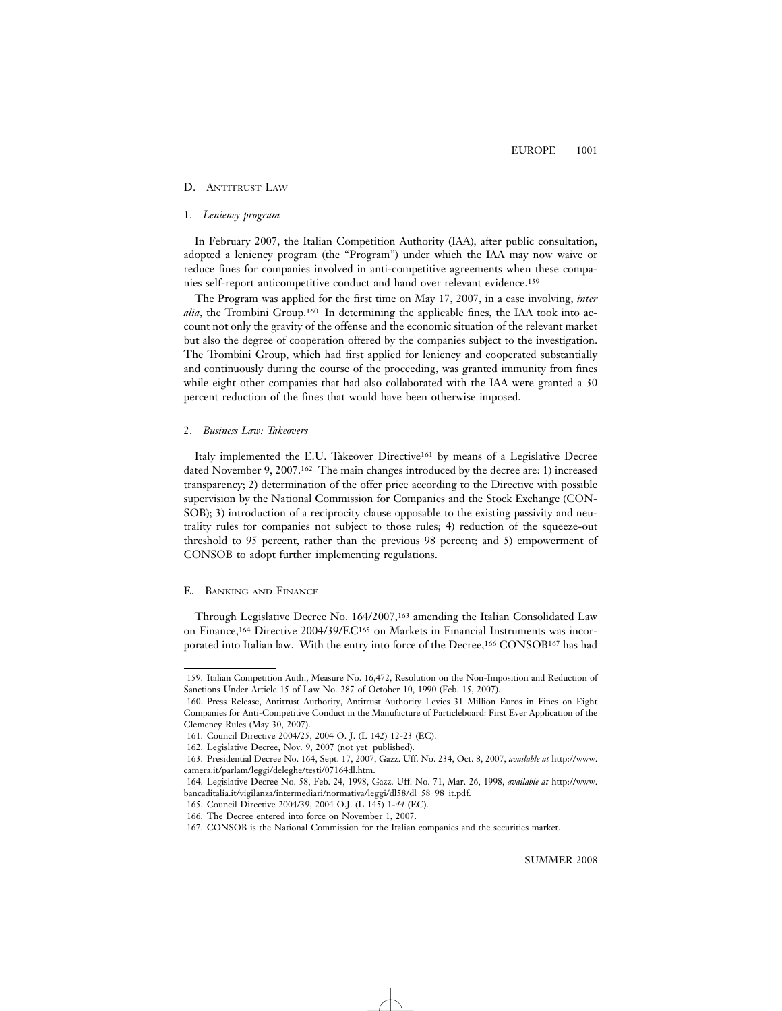#### D. ANTITRUST LAW

#### 1. *Leniency program*

In February 2007, the Italian Competition Authority (IAA), after public consultation, adopted a leniency program (the "Program") under which the IAA may now waive or reduce fines for companies involved in anti-competitive agreements when these companies self-report anticompetitive conduct and hand over relevant evidence.159

The Program was applied for the first time on May 17, 2007, in a case involving, *inter alia*, the Trombini Group.160 In determining the applicable fines, the IAA took into account not only the gravity of the offense and the economic situation of the relevant market but also the degree of cooperation offered by the companies subject to the investigation. The Trombini Group, which had first applied for leniency and cooperated substantially and continuously during the course of the proceeding, was granted immunity from fines while eight other companies that had also collaborated with the IAA were granted a 30 percent reduction of the fines that would have been otherwise imposed.

#### 2. *Business Law: Takeovers*

Italy implemented the E.U. Takeover Directive<sup>161</sup> by means of a Legislative Decree dated November 9, 2007.162 The main changes introduced by the decree are: 1) increased transparency; 2) determination of the offer price according to the Directive with possible supervision by the National Commission for Companies and the Stock Exchange (CON-SOB); 3) introduction of a reciprocity clause opposable to the existing passivity and neutrality rules for companies not subject to those rules; 4) reduction of the squeeze-out threshold to 95 percent, rather than the previous 98 percent; and 5) empowerment of CONSOB to adopt further implementing regulations.

# E. BANKING AND FINANCE

Through Legislative Decree No. 164/2007,163 amending the Italian Consolidated Law on Finance,164 Directive 2004/39/EC165 on Markets in Financial Instruments was incorporated into Italian law. With the entry into force of the Decree,<sup>166</sup> CONSOB<sup>167</sup> has had

<sup>159.</sup> Italian Competition Auth., Measure No. 16,472, Resolution on the Non-Imposition and Reduction of Sanctions Under Article 15 of Law No. 287 of October 10, 1990 (Feb. 15, 2007).

<sup>160.</sup> Press Release, Antitrust Authority, Antitrust Authority Levies 31 Million Euros in Fines on Eight Companies for Anti-Competitive Conduct in the Manufacture of Particleboard: First Ever Application of the Clemency Rules (May 30, 2007).

<sup>161.</sup> Council Directive 2004/25, 2004 O. J. (L 142) 12-23 (EC).

<sup>162.</sup> Legislative Decree, Nov. 9, 2007 (not yet published).

<sup>163.</sup> Presidential Decree No. 164, Sept. 17, 2007, Gazz. Uff. No. 234, Oct. 8, 2007, *available at* http://www. camera.it/parlam/leggi/deleghe/testi/07164dl.htm.

<sup>164.</sup> Legislative Decree No. 58, Feb. 24, 1998, Gazz. Uff. No. 71, Mar. 26, 1998, *available at* http://www. bancaditalia.it/vigilanza/intermediari/normativa/leggi/dl58/dl\_58\_98\_it.pdf.

<sup>165.</sup> Council Directive 2004/39, 2004 O.J. (L 145) 1-*44* (EC).

<sup>166.</sup> The Decree entered into force on November 1, 2007.

<sup>167.</sup> CONSOB is the National Commission for the Italian companies and the securities market.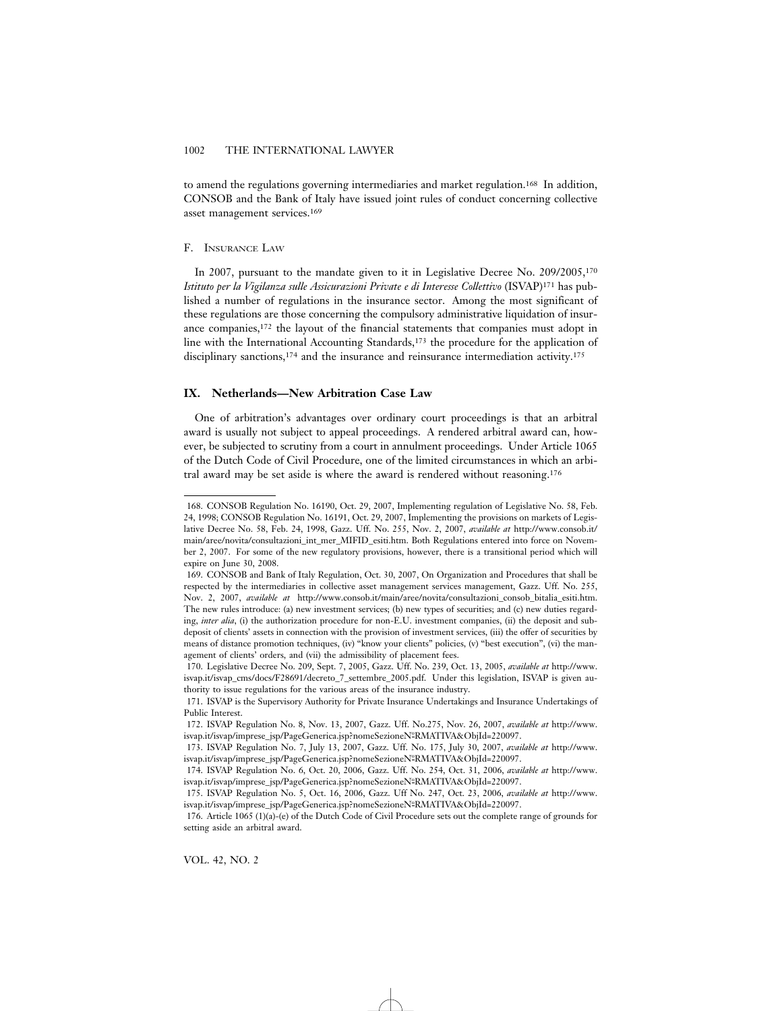to amend the regulations governing intermediaries and market regulation.<sup>168</sup> In addition, CONSOB and the Bank of Italy have issued joint rules of conduct concerning collective asset management services.169

#### F. INSURANCE LAW

In 2007, pursuant to the mandate given to it in Legislative Decree No. 209/2005,170 *Istituto per la Vigilanza sulle Assicurazioni Private e di Interesse Collettivo* (ISVAP)171 has published a number of regulations in the insurance sector. Among the most significant of these regulations are those concerning the compulsory administrative liquidation of insurance companies,172 the layout of the financial statements that companies must adopt in line with the International Accounting Standards,173 the procedure for the application of disciplinary sanctions,<sup>174</sup> and the insurance and reinsurance intermediation activity.<sup>175</sup>

# **IX. Netherlands—New Arbitration Case Law**

One of arbitration's advantages over ordinary court proceedings is that an arbitral award is usually not subject to appeal proceedings. A rendered arbitral award can, however, be subjected to scrutiny from a court in annulment proceedings. Under Article 1065 of the Dutch Code of Civil Procedure, one of the limited circumstances in which an arbitral award may be set aside is where the award is rendered without reasoning.176

<sup>168.</sup> CONSOB Regulation No. 16190, Oct. 29, 2007, Implementing regulation of Legislative No. 58, Feb. 24, 1998; CONSOB Regulation No. 16191, Oct. 29, 2007, Implementing the provisions on markets of Legislative Decree No. 58, Feb. 24, 1998, Gazz. Uff. No. 255, Nov. 2, 2007, *available at* http://www.consob.it/ main/aree/novita/consultazioni\_int\_mer\_MIFID\_esiti.htm. Both Regulations entered into force on November 2, 2007. For some of the new regulatory provisions, however, there is a transitional period which will expire on June 30, 2008.

<sup>169.</sup> CONSOB and Bank of Italy Regulation, Oct. 30, 2007, On Organization and Procedures that shall be respected by the intermediaries in collective asset management services management, Gazz. Uff. No. 255, Nov. 2, 2007, *available at* http://www.consob.it/main/aree/novita/consultazioni\_consob\_bitalia\_esiti.htm. The new rules introduce: (a) new investment services; (b) new types of securities; and (c) new duties regarding, *inter alia*, (i) the authorization procedure for non-E.U. investment companies, (ii) the deposit and subdeposit of clients' assets in connection with the provision of investment services, (iii) the offer of securities by means of distance promotion techniques, (iv) "know your clients" policies, (v) "best execution", (vi) the management of clients' orders, and (vii) the admissibility of placement fees.

<sup>170.</sup> Legislative Decree No. 209, Sept. 7, 2005, Gazz. Uff. No. 239, Oct. 13, 2005, *available at* http://www. isvap.it/isvap\_cms/docs/F28691/decreto\_7\_settembre\_2005.pdf. Under this legislation, ISVAP is given authority to issue regulations for the various areas of the insurance industry.

<sup>171.</sup> ISVAP is the Supervisory Authority for Private Insurance Undertakings and Insurance Undertakings of Public Interest.

<sup>172.</sup> ISVAP Regulation No. 8, Nov. 13, 2007, Gazz. Uff. No.275, Nov. 26, 2007, *available at* http://www. isvap.it/isvap/imprese\_jsp/PageGenerica.jsp?nomeSezioneNºRMATIVA&ObjId=220097.

<sup>173.</sup> ISVAP Regulation No. 7, July 13, 2007, Gazz. Uff. No. 175, July 30, 2007, *available at* http://www. isvap.it/isvap/imprese\_jsp/PageGenerica.jsp?nomeSezioneNºRMATIVA&ObjId=220097.

<sup>174.</sup> ISVAP Regulation No. 6, Oct. 20, 2006, Gazz. Uff. No. 254, Oct. 31, 2006, *available at* http://www. isvap.it/isvap/imprese\_jsp/PageGenerica.jsp?nomeSezioneNºRMATIVA&ObjId=220097.

<sup>175.</sup> ISVAP Regulation No. 5, Oct. 16, 2006, Gazz. Uff No. 247, Oct. 23, 2006, *available at* http://www. isvap.it/isvap/imprese\_jsp/PageGenerica.jsp?nomeSezioneNºRMATIVA&ObjId=220097.

<sup>176.</sup> Article 1065 (1)(a)-(e) of the Dutch Code of Civil Procedure sets out the complete range of grounds for setting aside an arbitral award.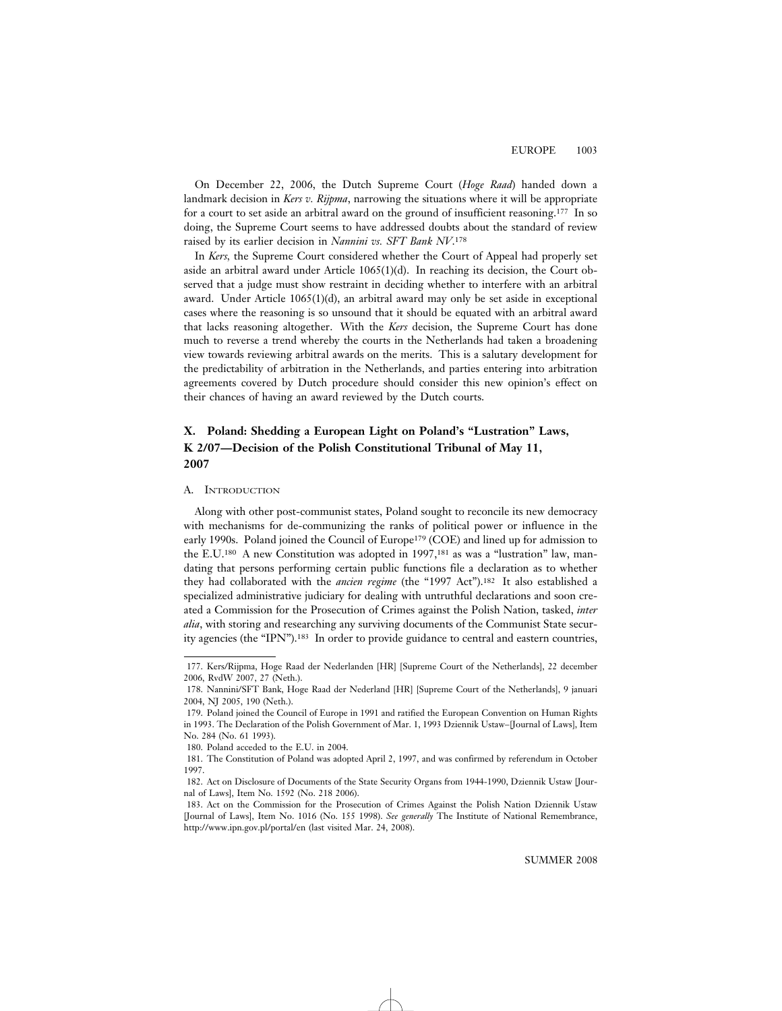On December 22, 2006, the Dutch Supreme Court (*Hoge Raad*) handed down a landmark decision in *Kers v. Rijpma*, narrowing the situations where it will be appropriate for a court to set aside an arbitral award on the ground of insufficient reasoning.177 In so doing, the Supreme Court seems to have addressed doubts about the standard of review raised by its earlier decision in *Nannini vs. SFT Bank NV*.178

In *Kers,* the Supreme Court considered whether the Court of Appeal had properly set aside an arbitral award under Article 1065(1)(d). In reaching its decision, the Court observed that a judge must show restraint in deciding whether to interfere with an arbitral award. Under Article 1065(1)(d), an arbitral award may only be set aside in exceptional cases where the reasoning is so unsound that it should be equated with an arbitral award that lacks reasoning altogether. With the *Kers* decision, the Supreme Court has done much to reverse a trend whereby the courts in the Netherlands had taken a broadening view towards reviewing arbitral awards on the merits. This is a salutary development for the predictability of arbitration in the Netherlands, and parties entering into arbitration agreements covered by Dutch procedure should consider this new opinion's effect on their chances of having an award reviewed by the Dutch courts.

# **X. Poland: Shedding a European Light on Poland's "Lustration" Laws, K 2/07—Decision of the Polish Constitutional Tribunal of May 11, 2007**

#### A. INTRODUCTION

Along with other post-communist states, Poland sought to reconcile its new democracy with mechanisms for de-communizing the ranks of political power or influence in the early 1990s. Poland joined the Council of Europe<sup>179</sup> (COE) and lined up for admission to the E.U.180 A new Constitution was adopted in 1997,181 as was a "lustration" law, mandating that persons performing certain public functions file a declaration as to whether they had collaborated with the *ancien regime* (the "1997 Act").182 It also established a specialized administrative judiciary for dealing with untruthful declarations and soon created a Commission for the Prosecution of Crimes against the Polish Nation, tasked, *inter alia*, with storing and researching any surviving documents of the Communist State security agencies (the "IPN").183 In order to provide guidance to central and eastern countries,

<sup>177.</sup> Kers/Rijpma, Hoge Raad der Nederlanden [HR] [Supreme Court of the Netherlands], 22 december 2006, RvdW 2007, 27 (Neth.).

<sup>178.</sup> Nannini/SFT Bank, Hoge Raad der Nederland [HR] [Supreme Court of the Netherlands], 9 januari 2004, NJ 2005, 190 (Neth.).

<sup>179.</sup> Poland joined the Council of Europe in 1991 and ratified the European Convention on Human Rights in 1993. The Declaration of the Polish Government of Mar. 1, 1993 Dziennik Ustaw–[Journal of Laws], Item No. 284 (No. 61 1993).

<sup>180.</sup> Poland acceded to the E.U. in 2004.

<sup>181.</sup> The Constitution of Poland was adopted April 2, 1997, and was confirmed by referendum in October 1997.

<sup>182.</sup> Act on Disclosure of Documents of the State Security Organs from 1944-1990, Dziennik Ustaw [Journal of Laws], Item No. 1592 (No. 218 2006).

<sup>183.</sup> Act on the Commission for the Prosecution of Crimes Against the Polish Nation Dziennik Ustaw [Journal of Laws], Item No. 1016 (No. 155 1998). *See generally* The Institute of National Remembrance, http://www.ipn.gov.pl/portal/en (last visited Mar. 24, 2008).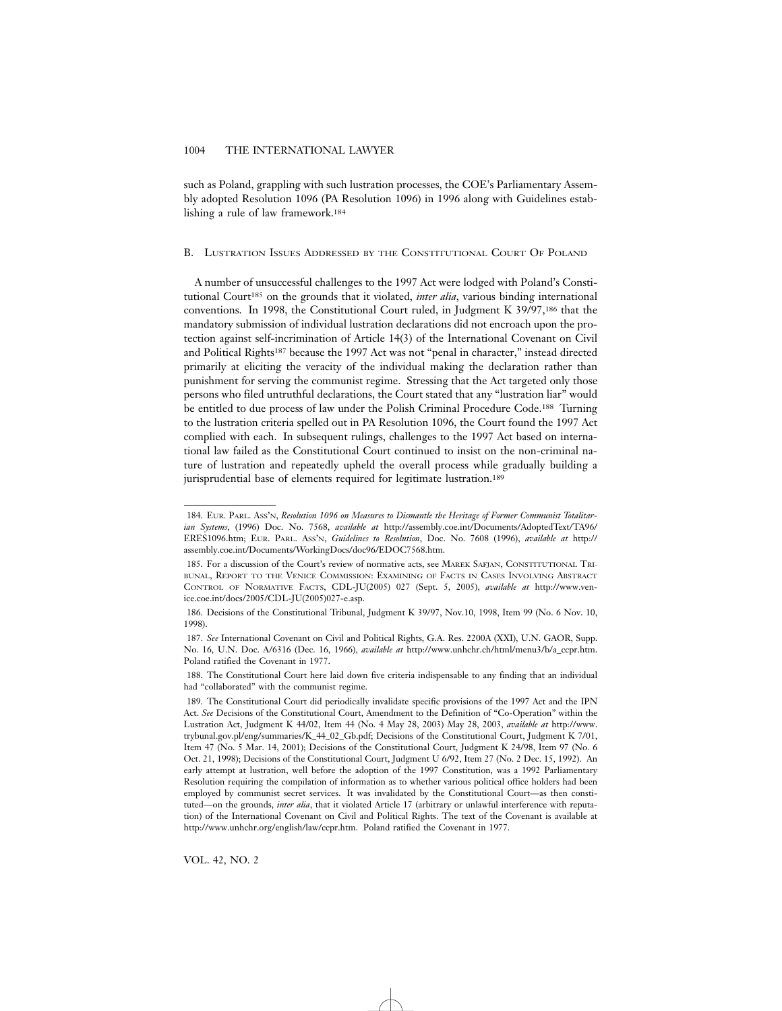such as Poland, grappling with such lustration processes, the COE's Parliamentary Assembly adopted Resolution 1096 (PA Resolution 1096) in 1996 along with Guidelines establishing a rule of law framework.184

#### B. LUSTRATION ISSUES ADDRESSED BY THE CONSTITUTIONAL COURT OF POLAND

A number of unsuccessful challenges to the 1997 Act were lodged with Poland's Constitutional Court<sup>185</sup> on the grounds that it violated, *inter alia*, various binding international conventions. In 1998, the Constitutional Court ruled, in Judgment K 39/97,186 that the mandatory submission of individual lustration declarations did not encroach upon the protection against self-incrimination of Article 14(3) of the International Covenant on Civil and Political Rights187 because the 1997 Act was not "penal in character," instead directed primarily at eliciting the veracity of the individual making the declaration rather than punishment for serving the communist regime. Stressing that the Act targeted only those persons who filed untruthful declarations, the Court stated that any "lustration liar" would be entitled to due process of law under the Polish Criminal Procedure Code.188 Turning to the lustration criteria spelled out in PA Resolution 1096, the Court found the 1997 Act complied with each. In subsequent rulings, challenges to the 1997 Act based on international law failed as the Constitutional Court continued to insist on the non-criminal nature of lustration and repeatedly upheld the overall process while gradually building a jurisprudential base of elements required for legitimate lustration.<sup>189</sup>

VOL. 42, NO. 2

<sup>184.</sup> EUR. PARL. ASS'N, *Resolution 1096 on Measures to Dismantle the Heritage of Former Communist Totalitarian Systems*, (1996) Doc. No. 7568, *available at* http://assembly.coe.int/Documents/AdoptedText/TA96/ ERES1096.htm; EUR. PARL. ASS'N, *Guidelines to Resolution*, Doc. No. 7608 (1996), *available at* http:// assembly.coe.int/Documents/WorkingDocs/doc96/EDOC7568.htm.

<sup>185.</sup> For a discussion of the Court's review of normative acts, see MAREK SAFJAN, CONSTITUTIONAL TRI-BUNAL, REPORT TO THE VENICE COMMISSION: EXAMINING OF FACTS IN CASES INVOLVING ABSTRACT CONTROL OF NORMATIVE FACTS, CDL-JU(2005) 027 (Sept. 5, 2005), *available at* http://www.venice.coe.int/docs/2005/CDL-JU(2005)027-e.asp.

<sup>186.</sup> Decisions of the Constitutional Tribunal, Judgment K 39/97, Nov.10, 1998, Item 99 (No. 6 Nov. 10, 1998).

<sup>187.</sup> *See* International Covenant on Civil and Political Rights, G.A. Res. 2200A (XXI), U.N. GAOR, Supp. No. 16, U.N. Doc. A/6316 (Dec. 16, 1966), *available at* http://www.unhchr.ch/html/menu3/b/a\_ccpr.htm. Poland ratified the Covenant in 1977.

<sup>188.</sup> The Constitutional Court here laid down five criteria indispensable to any finding that an individual had "collaborated" with the communist regime.

<sup>189.</sup> The Constitutional Court did periodically invalidate specific provisions of the 1997 Act and the IPN Act. *See* Decisions of the Constitutional Court, Amendment to the Definition of "Co-Operation" within the Lustration Act, Judgment K 44/02, Item 44 (No. 4 May 28, 2003) May 28, 2003, *available at* http://www. trybunal.gov.pl/eng/summaries/K\_44\_02\_Gb.pdf; Decisions of the Constitutional Court, Judgment K 7/01, Item 47 (No. 5 Mar. 14, 2001); Decisions of the Constitutional Court, Judgment K 24/98, Item 97 (No. 6 Oct. 21, 1998); Decisions of the Constitutional Court, Judgment U 6/92, Item 27 (No. 2 Dec. 15, 1992). An early attempt at lustration, well before the adoption of the 1997 Constitution, was a 1992 Parliamentary Resolution requiring the compilation of information as to whether various political office holders had been employed by communist secret services. It was invalidated by the Constitutional Court—as then constituted—on the grounds, *inter alia*, that it violated Article 17 (arbitrary or unlawful interference with reputation) of the International Covenant on Civil and Political Rights. The text of the Covenant is available at http://www.unhchr.org/english/law/ccpr.htm. Poland ratified the Covenant in 1977.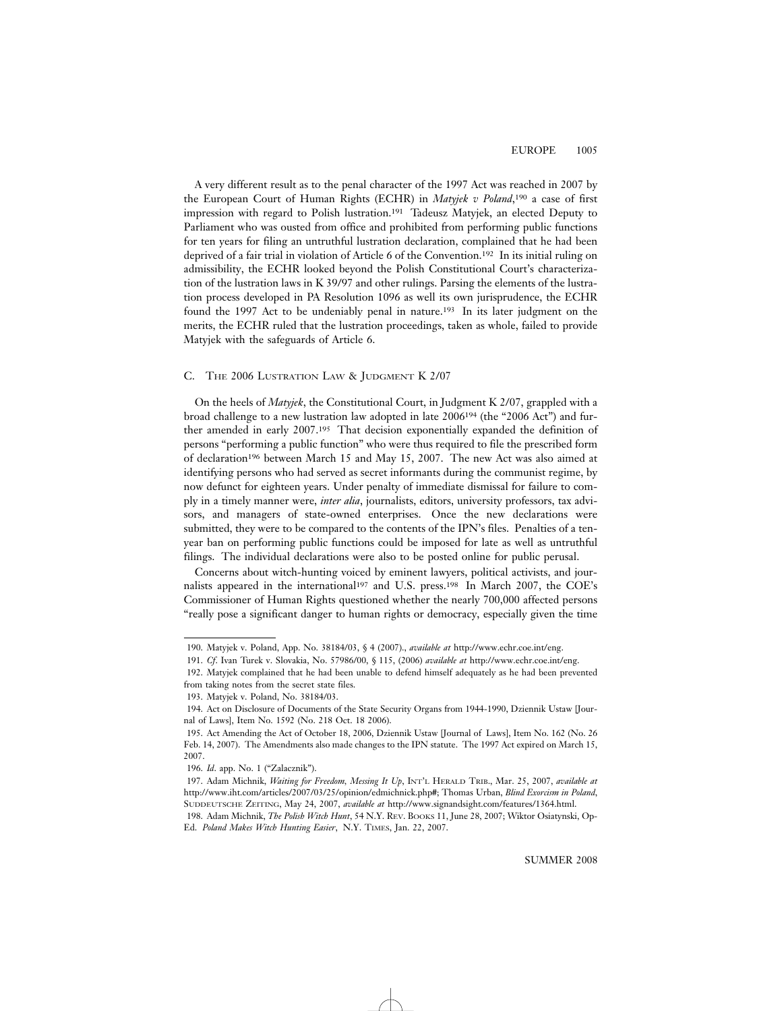A very different result as to the penal character of the 1997 Act was reached in 2007 by the European Court of Human Rights (ECHR) in *Matyjek v Poland*,190 a case of first impression with regard to Polish lustration.191 Tadeusz Matyjek, an elected Deputy to Parliament who was ousted from office and prohibited from performing public functions for ten years for filing an untruthful lustration declaration, complained that he had been deprived of a fair trial in violation of Article 6 of the Convention.192 In its initial ruling on admissibility, the ECHR looked beyond the Polish Constitutional Court's characterization of the lustration laws in K 39/97 and other rulings. Parsing the elements of the lustration process developed in PA Resolution 1096 as well its own jurisprudence, the ECHR found the 1997 Act to be undeniably penal in nature.193 In its later judgment on the merits, the ECHR ruled that the lustration proceedings, taken as whole, failed to provide Matyjek with the safeguards of Article 6.

#### C. THE 2006 LUSTRATION LAW & JUDGMENT K 2/07

On the heels of *Matyjek*, the Constitutional Court, in Judgment K 2/07, grappled with a broad challenge to a new lustration law adopted in late 2006194 (the "2006 Act") and further amended in early 2007.195 That decision exponentially expanded the definition of persons "performing a public function" who were thus required to file the prescribed form of declaration196 between March 15 and May 15, 2007. The new Act was also aimed at identifying persons who had served as secret informants during the communist regime, by now defunct for eighteen years. Under penalty of immediate dismissal for failure to comply in a timely manner were, *inter alia*, journalists, editors, university professors, tax advisors, and managers of state-owned enterprises. Once the new declarations were submitted, they were to be compared to the contents of the IPN's files. Penalties of a tenyear ban on performing public functions could be imposed for late as well as untruthful filings. The individual declarations were also to be posted online for public perusal.

Concerns about witch-hunting voiced by eminent lawyers, political activists, and journalists appeared in the international197 and U.S. press.198 In March 2007, the COE's Commissioner of Human Rights questioned whether the nearly 700,000 affected persons "really pose a significant danger to human rights or democracy, especially given the time

<sup>190.</sup> Matyjek v. Poland, App. No. 38184/03, § 4 (2007)., *available at* http://www.echr.coe.int/eng.

<sup>191.</sup> *Cf*. Ivan Turek v. Slovakia, No. 57986/00, § 115, (2006) *available at* http://www.echr.coe.int/eng.

<sup>192.</sup> Matyjek complained that he had been unable to defend himself adequately as he had been prevented from taking notes from the secret state files.

<sup>193.</sup> Matyjek v. Poland, No. 38184/03.

<sup>194.</sup> Act on Disclosure of Documents of the State Security Organs from 1944-1990, Dziennik Ustaw [Journal of Laws], Item No. 1592 (No. 218 Oct. 18 2006).

<sup>195.</sup> Act Amending the Act of October 18, 2006, Dziennik Ustaw [Journal of Laws], Item No. 162 (No. 26 Feb. 14, 2007). The Amendments also made changes to the IPN statute. The 1997 Act expired on March 15, 2007.

<sup>196.</sup> *Id*. app. No. 1 ("Zalacznik").

<sup>197.</sup> Adam Michnik, *Waiting for Freedom, Messing It Up*, INT'L HERALD TRIB., Mar. 25, 2007, *available at* http://www.iht.com/articles/2007/03/25/opinion/edmichnick.php#; Thomas Urban, *Blind Exorcism in Poland*, SUDDEUTSCHE ZEITING, May 24, 2007, *available at* http://www.signandsight.com/features/1364.html.

<sup>198.</sup> Adam Michnik, *The Polish Witch Hunt*, 54 N.Y. REV. BOOKS 11, June 28, 2007; Wiktor Osiatynski, Op-Ed. *Poland Makes Witch Hunting Easier*, N.Y. TIMES, Jan. 22, 2007.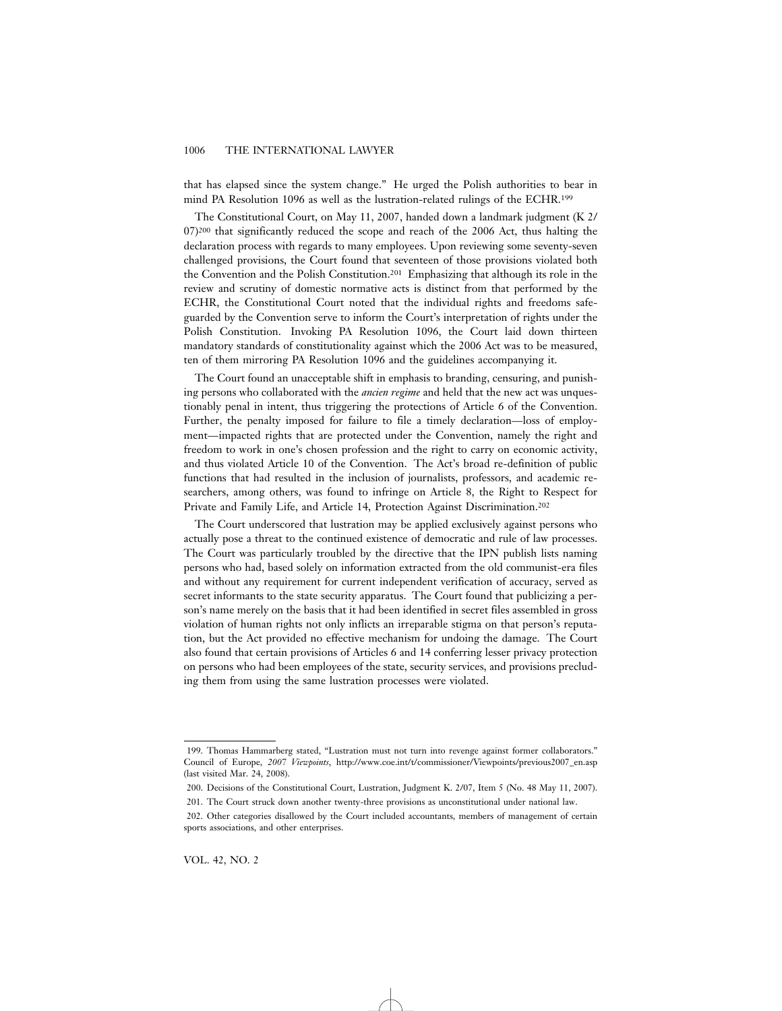that has elapsed since the system change." He urged the Polish authorities to bear in mind PA Resolution 1096 as well as the lustration-related rulings of the ECHR.199

The Constitutional Court, on May 11, 2007, handed down a landmark judgment (K 2/ 07)<sup>200</sup> that significantly reduced the scope and reach of the 2006 Act, thus halting the declaration process with regards to many employees. Upon reviewing some seventy-seven challenged provisions, the Court found that seventeen of those provisions violated both the Convention and the Polish Constitution.201 Emphasizing that although its role in the review and scrutiny of domestic normative acts is distinct from that performed by the ECHR, the Constitutional Court noted that the individual rights and freedoms safeguarded by the Convention serve to inform the Court's interpretation of rights under the Polish Constitution. Invoking PA Resolution 1096, the Court laid down thirteen mandatory standards of constitutionality against which the 2006 Act was to be measured, ten of them mirroring PA Resolution 1096 and the guidelines accompanying it.

The Court found an unacceptable shift in emphasis to branding, censuring, and punishing persons who collaborated with the *ancien regime* and held that the new act was unquestionably penal in intent, thus triggering the protections of Article 6 of the Convention. Further, the penalty imposed for failure to file a timely declaration—loss of employment—impacted rights that are protected under the Convention, namely the right and freedom to work in one's chosen profession and the right to carry on economic activity, and thus violated Article 10 of the Convention. The Act's broad re-definition of public functions that had resulted in the inclusion of journalists, professors, and academic researchers, among others, was found to infringe on Article 8, the Right to Respect for Private and Family Life, and Article 14, Protection Against Discrimination.202

The Court underscored that lustration may be applied exclusively against persons who actually pose a threat to the continued existence of democratic and rule of law processes. The Court was particularly troubled by the directive that the IPN publish lists naming persons who had, based solely on information extracted from the old communist-era files and without any requirement for current independent verification of accuracy, served as secret informants to the state security apparatus. The Court found that publicizing a person's name merely on the basis that it had been identified in secret files assembled in gross violation of human rights not only inflicts an irreparable stigma on that person's reputation, but the Act provided no effective mechanism for undoing the damage. The Court also found that certain provisions of Articles 6 and 14 conferring lesser privacy protection on persons who had been employees of the state, security services, and provisions precluding them from using the same lustration processes were violated.

<sup>199.</sup> Thomas Hammarberg stated, "Lustration must not turn into revenge against former collaborators." Council of Europe, *2007 Viewpoints*, http://www.coe.int/t/commissioner/Viewpoints/previous2007\_en.asp (last visited Mar. 24, 2008).

<sup>200.</sup> Decisions of the Constitutional Court, Lustration, Judgment K. 2/07, Item 5 (No. 48 May 11, 2007).

<sup>201.</sup> The Court struck down another twenty-three provisions as unconstitutional under national law.

<sup>202.</sup> Other categories disallowed by the Court included accountants, members of management of certain sports associations, and other enterprises.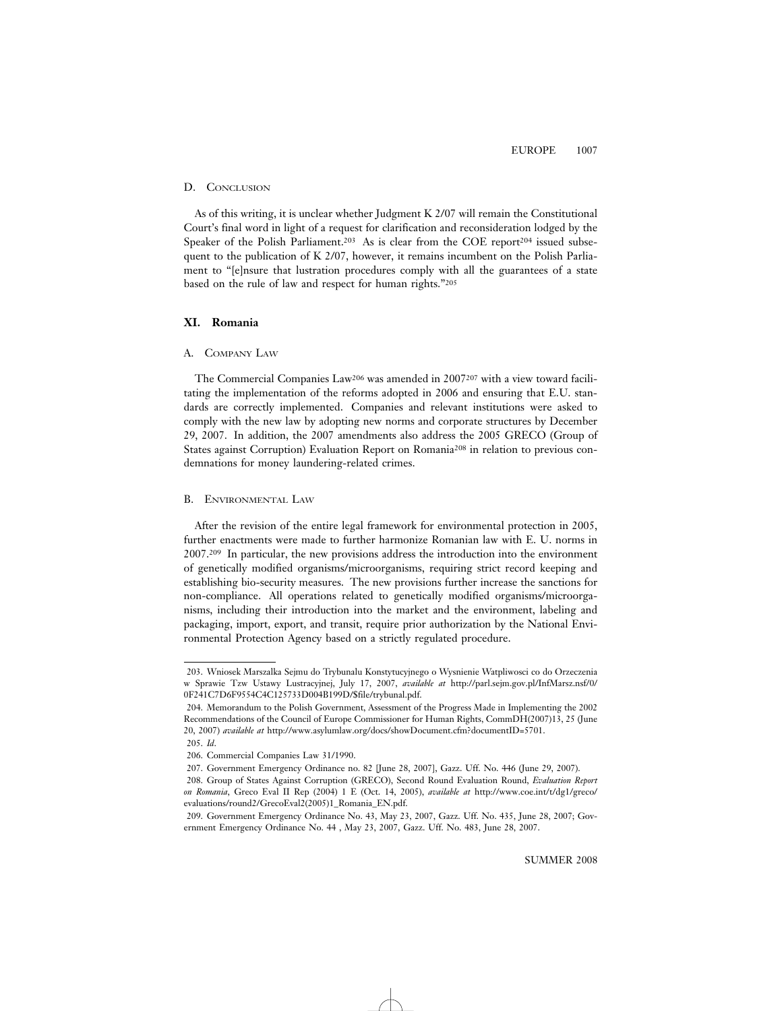# D. CONCLUSION

As of this writing, it is unclear whether Judgment K 2/07 will remain the Constitutional Court's final word in light of a request for clarification and reconsideration lodged by the Speaker of the Polish Parliament.<sup>203</sup> As is clear from the COE report<sup>204</sup> issued subsequent to the publication of K 2/07, however, it remains incumbent on the Polish Parliament to "[e]nsure that lustration procedures comply with all the guarantees of a state based on the rule of law and respect for human rights."205

# **XI. Romania**

# A. COMPANY LAW

The Commercial Companies Law206 was amended in 2007207 with a view toward facilitating the implementation of the reforms adopted in 2006 and ensuring that E.U. standards are correctly implemented. Companies and relevant institutions were asked to comply with the new law by adopting new norms and corporate structures by December 29, 2007. In addition, the 2007 amendments also address the 2005 GRECO (Group of States against Corruption) Evaluation Report on Romania208 in relation to previous condemnations for money laundering-related crimes.

# B. ENVIRONMENTAL LAW

After the revision of the entire legal framework for environmental protection in 2005, further enactments were made to further harmonize Romanian law with E. U. norms in 2007.209 In particular, the new provisions address the introduction into the environment of genetically modified organisms/microorganisms, requiring strict record keeping and establishing bio-security measures. The new provisions further increase the sanctions for non-compliance. All operations related to genetically modified organisms/microorganisms, including their introduction into the market and the environment, labeling and packaging, import, export, and transit, require prior authorization by the National Environmental Protection Agency based on a strictly regulated procedure.

<sup>203.</sup> Wniosek Marszalka Sejmu do Trybunalu Konstytucyjnego o Wysnienie Watpliwosci co do Orzeczenia w Sprawie Tzw Ustawy Lustracyjnej, July 17, 2007, *available at* http://parl.sejm.gov.pl/InfMarsz.nsf/0/ 0F241C7D6F9554C4C125733D004B199D/\$file/trybunal.pdf.

<sup>204.</sup> Memorandum to the Polish Government, Assessment of the Progress Made in Implementing the 2002 Recommendations of the Council of Europe Commissioner for Human Rights, CommDH(2007)13, 25 (June 20, 2007) *available at* http://www.asylumlaw.org/docs/showDocument.cfm?documentID=5701.

<sup>205.</sup> *Id*.

<sup>206.</sup> Commercial Companies Law 31/1990.

<sup>207.</sup> Government Emergency Ordinance no. 82 [June 28, 2007], Gazz. Uff. No. 446 (June 29, 2007).

<sup>208.</sup> Group of States Against Corruption (GRECO), Second Round Evaluation Round, *Evaluation Report on Romania*, Greco Eval II Rep (2004) 1 E (Oct. 14, 2005), *available at* http://www.coe.int/t/dg1/greco/ evaluations/round2/GrecoEval2(2005)1\_Romania\_EN.pdf.

<sup>209.</sup> Government Emergency Ordinance No. 43, May 23, 2007, Gazz. Uff. No. 435, June 28, 2007; Government Emergency Ordinance No. 44 , May 23, 2007, Gazz. Uff. No. 483, June 28, 2007.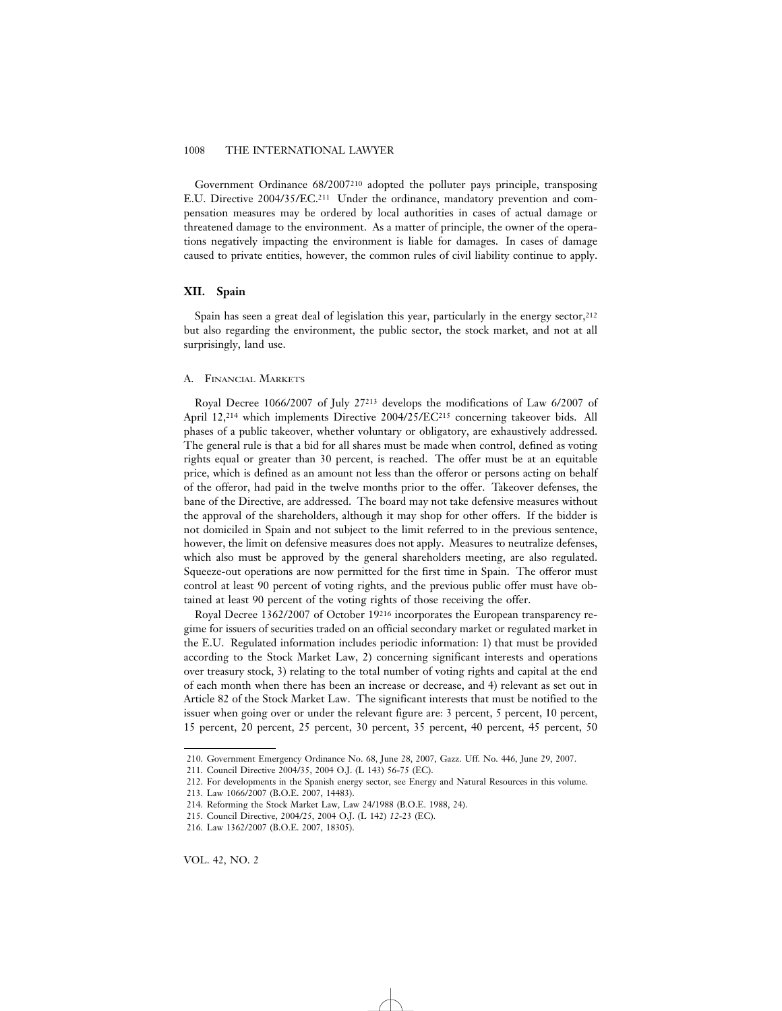Government Ordinance 68/2007210 adopted the polluter pays principle, transposing E.U. Directive 2004/35/EC.211 Under the ordinance, mandatory prevention and compensation measures may be ordered by local authorities in cases of actual damage or threatened damage to the environment. As a matter of principle, the owner of the operations negatively impacting the environment is liable for damages. In cases of damage caused to private entities, however, the common rules of civil liability continue to apply.

### **XII. Spain**

Spain has seen a great deal of legislation this year, particularly in the energy sector,<sup>212</sup> but also regarding the environment, the public sector, the stock market, and not at all surprisingly, land use.

# A. FINANCIAL MARKETS

Royal Decree 1066/2007 of July 27213 develops the modifications of Law 6/2007 of April 12,214 which implements Directive 2004/25/EC215 concerning takeover bids. All phases of a public takeover, whether voluntary or obligatory, are exhaustively addressed. The general rule is that a bid for all shares must be made when control, defined as voting rights equal or greater than 30 percent, is reached. The offer must be at an equitable price, which is defined as an amount not less than the offeror or persons acting on behalf of the offeror, had paid in the twelve months prior to the offer. Takeover defenses, the bane of the Directive, are addressed. The board may not take defensive measures without the approval of the shareholders, although it may shop for other offers. If the bidder is not domiciled in Spain and not subject to the limit referred to in the previous sentence, however, the limit on defensive measures does not apply. Measures to neutralize defenses, which also must be approved by the general shareholders meeting, are also regulated. Squeeze-out operations are now permitted for the first time in Spain. The offeror must control at least 90 percent of voting rights, and the previous public offer must have obtained at least 90 percent of the voting rights of those receiving the offer.

Royal Decree 1362/2007 of October 19216 incorporates the European transparency regime for issuers of securities traded on an official secondary market or regulated market in the E.U. Regulated information includes periodic information: 1) that must be provided according to the Stock Market Law, 2) concerning significant interests and operations over treasury stock, 3) relating to the total number of voting rights and capital at the end of each month when there has been an increase or decrease, and 4) relevant as set out in Article 82 of the Stock Market Law. The significant interests that must be notified to the issuer when going over or under the relevant figure are: 3 percent, 5 percent, 10 percent, 15 percent, 20 percent, 25 percent, 30 percent, 35 percent, 40 percent, 45 percent, 50

<sup>210.</sup> Government Emergency Ordinance No. 68, June 28, 2007, Gazz. Uff. No. 446, June 29, 2007.

<sup>211.</sup> Council Directive 2004/35, 2004 O.J. (L 143) 56-75 (EC).

<sup>212.</sup> For developments in the Spanish energy sector, see Energy and Natural Resources in this volume.

<sup>213.</sup> Law 1066/2007 (B.O.E. 2007, 14483).

<sup>214.</sup> Reforming the Stock Market Law, Law 24/1988 (B.O.E. 1988, 24).

<sup>215.</sup> Council Directive, 2004/25, 2004 O.J. (L 142) *12-*23 (EC).

<sup>216.</sup> Law 1362/2007 (B.O.E. 2007, 18305).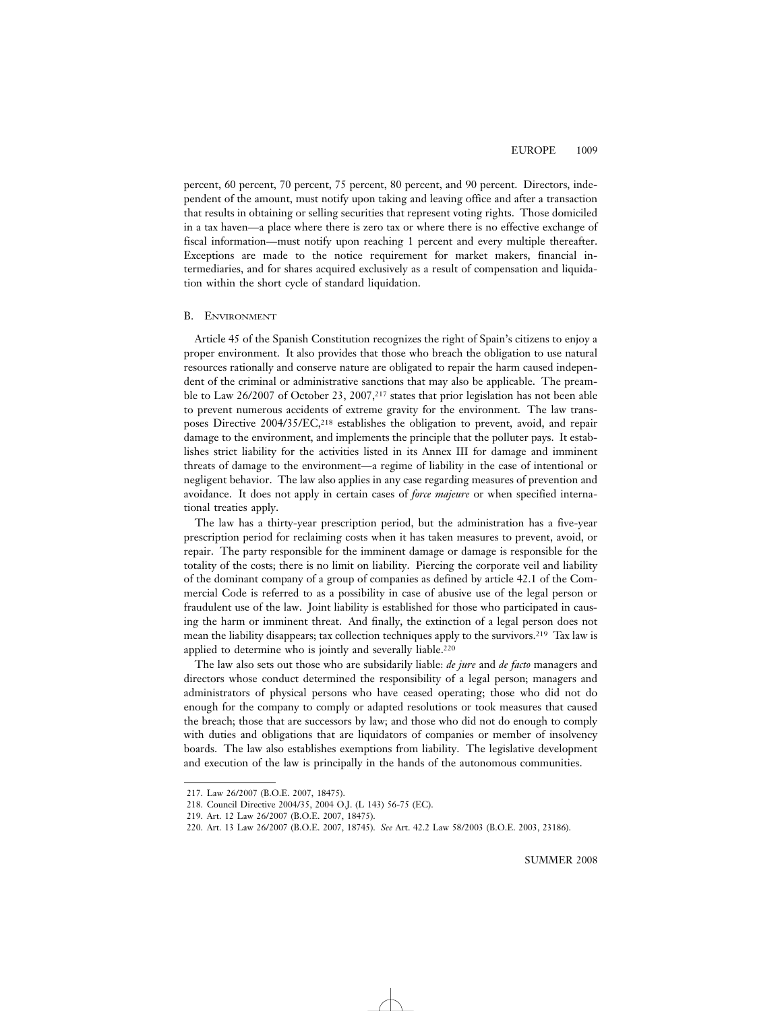percent, 60 percent, 70 percent, 75 percent, 80 percent, and 90 percent. Directors, independent of the amount, must notify upon taking and leaving office and after a transaction that results in obtaining or selling securities that represent voting rights. Those domiciled in a tax haven—a place where there is zero tax or where there is no effective exchange of fiscal information—must notify upon reaching 1 percent and every multiple thereafter. Exceptions are made to the notice requirement for market makers, financial intermediaries, and for shares acquired exclusively as a result of compensation and liquidation within the short cycle of standard liquidation.

#### B. ENVIRONMENT

Article 45 of the Spanish Constitution recognizes the right of Spain's citizens to enjoy a proper environment. It also provides that those who breach the obligation to use natural resources rationally and conserve nature are obligated to repair the harm caused independent of the criminal or administrative sanctions that may also be applicable. The preamble to Law 26/2007 of October 23, 2007,217 states that prior legislation has not been able to prevent numerous accidents of extreme gravity for the environment. The law transposes Directive 2004/35/EC,<sup>218</sup> establishes the obligation to prevent, avoid, and repair damage to the environment, and implements the principle that the polluter pays. It establishes strict liability for the activities listed in its Annex III for damage and imminent threats of damage to the environment—a regime of liability in the case of intentional or negligent behavior. The law also applies in any case regarding measures of prevention and avoidance. It does not apply in certain cases of *force majeure* or when specified international treaties apply.

The law has a thirty-year prescription period, but the administration has a five-year prescription period for reclaiming costs when it has taken measures to prevent, avoid, or repair. The party responsible for the imminent damage or damage is responsible for the totality of the costs; there is no limit on liability. Piercing the corporate veil and liability of the dominant company of a group of companies as defined by article 42.1 of the Commercial Code is referred to as a possibility in case of abusive use of the legal person or fraudulent use of the law. Joint liability is established for those who participated in causing the harm or imminent threat. And finally, the extinction of a legal person does not mean the liability disappears; tax collection techniques apply to the survivors.219 Tax law is applied to determine who is jointly and severally liable.<sup>220</sup>

The law also sets out those who are subsidarily liable: *de jure* and *de facto* managers and directors whose conduct determined the responsibility of a legal person; managers and administrators of physical persons who have ceased operating; those who did not do enough for the company to comply or adapted resolutions or took measures that caused the breach; those that are successors by law; and those who did not do enough to comply with duties and obligations that are liquidators of companies or member of insolvency boards. The law also establishes exemptions from liability. The legislative development and execution of the law is principally in the hands of the autonomous communities.

<sup>217.</sup> Law 26/2007 (B.O.E. 2007, 18475).

<sup>218.</sup> Council Directive 2004/35, 2004 O.J. (L 143) 56-75 (EC).

<sup>219.</sup> Art. 12 Law 26/2007 (B.O.E. 2007, 18475).

<sup>220.</sup> Art. 13 Law 26/2007 (B.O.E. 2007, 18745). *See* Art. 42.2 Law 58/2003 (B.O.E. 2003, 23186).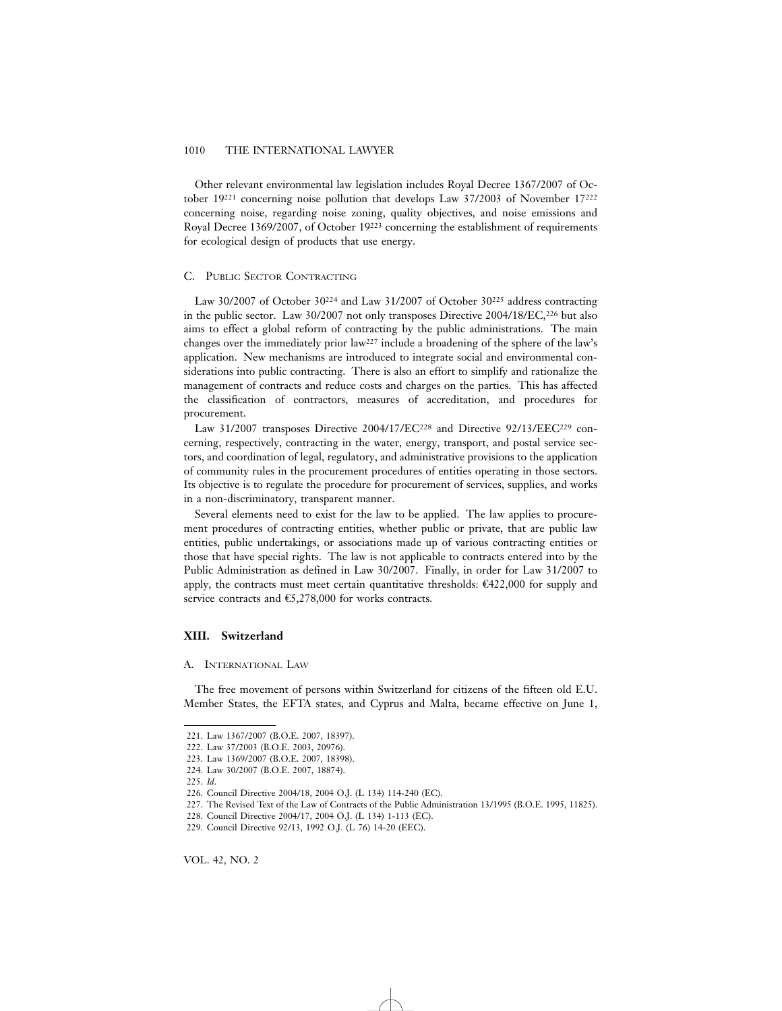Other relevant environmental law legislation includes Royal Decree 1367/2007 of October 19221 concerning noise pollution that develops Law 37/2003 of November 17222 concerning noise, regarding noise zoning, quality objectives, and noise emissions and Royal Decree 1369/2007, of October 19223 concerning the establishment of requirements for ecological design of products that use energy.

#### C. PUBLIC SECTOR CONTRACTING

Law 30/2007 of October 30224 and Law 31/2007 of October 30225 address contracting in the public sector. Law 30/2007 not only transposes Directive 2004/18/EC,226 but also aims to effect a global reform of contracting by the public administrations. The main changes over the immediately prior  $law^{227}$  include a broadening of the sphere of the law's application. New mechanisms are introduced to integrate social and environmental considerations into public contracting. There is also an effort to simplify and rationalize the management of contracts and reduce costs and charges on the parties. This has affected the classification of contractors, measures of accreditation, and procedures for procurement.

Law 31/2007 transposes Directive 2004/17/EC228 and Directive 92/13/EEC229 concerning, respectively, contracting in the water, energy, transport, and postal service sectors, and coordination of legal, regulatory, and administrative provisions to the application of community rules in the procurement procedures of entities operating in those sectors. Its objective is to regulate the procedure for procurement of services, supplies, and works in a non-discriminatory, transparent manner.

Several elements need to exist for the law to be applied. The law applies to procurement procedures of contracting entities, whether public or private, that are public law entities, public undertakings, or associations made up of various contracting entities or those that have special rights. The law is not applicable to contracts entered into by the Public Administration as defined in Law 30/2007. Finally, in order for Law 31/2007 to apply, the contracts must meet certain quantitative thresholds:  $\mathcal{E}422,\!000$  for supply and service contracts and  $\epsilon$ 5,278,000 for works contracts.

# **XIII. Switzerland**

#### A. INTERNATIONAL LAW

The free movement of persons within Switzerland for citizens of the fifteen old E.U. Member States, the EFTA states, and Cyprus and Malta, became effective on June 1,

<sup>221.</sup> Law 1367/2007 (B.O.E. 2007, 18397).

<sup>222.</sup> Law 37/2003 (B.O.E. 2003, 20976).

<sup>223.</sup> Law 1369/2007 (B.O.E. 2007, 18398).

<sup>224.</sup> Law 30/2007 (B.O.E. 2007, 18874).

<sup>225.</sup> *Id*.

<sup>226.</sup> Council Directive 2004/18, 2004 O.J. (L 134) 114-240 (EC).

<sup>227.</sup> The Revised Text of the Law of Contracts of the Public Administration 13/1995 (B.O.E. 1995, 11825).

<sup>228.</sup> Council Directive 2004/17, 2004 O.J. (L 134) 1-113 (EC).

<sup>229.</sup> Council Directive 92/13, 1992 O.J. (L 76) 14-20 (EEC).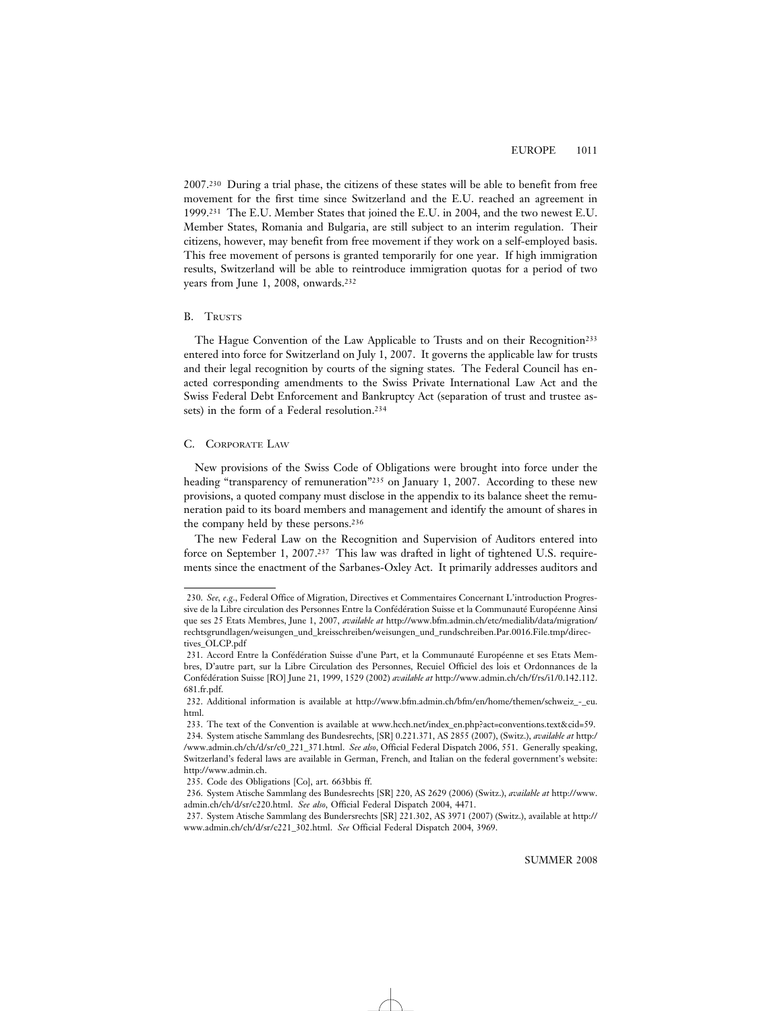2007.230 During a trial phase, the citizens of these states will be able to benefit from free movement for the first time since Switzerland and the E.U. reached an agreement in 1999.231 The E.U. Member States that joined the E.U. in 2004, and the two newest E.U. Member States, Romania and Bulgaria, are still subject to an interim regulation. Their citizens, however, may benefit from free movement if they work on a self-employed basis. This free movement of persons is granted temporarily for one year. If high immigration results, Switzerland will be able to reintroduce immigration quotas for a period of two years from June 1, 2008, onwards.<sup>232</sup>

# B. TRUSTS

The Hague Convention of the Law Applicable to Trusts and on their Recognition233 entered into force for Switzerland on July 1, 2007. It governs the applicable law for trusts and their legal recognition by courts of the signing states. The Federal Council has enacted corresponding amendments to the Swiss Private International Law Act and the Swiss Federal Debt Enforcement and Bankruptcy Act (separation of trust and trustee assets) in the form of a Federal resolution.234

# C. CORPORATE LAW

New provisions of the Swiss Code of Obligations were brought into force under the heading "transparency of remuneration"<sup>235</sup> on January 1, 2007. According to these new provisions, a quoted company must disclose in the appendix to its balance sheet the remuneration paid to its board members and management and identify the amount of shares in the company held by these persons.236

The new Federal Law on the Recognition and Supervision of Auditors entered into force on September 1, 2007.237 This law was drafted in light of tightened U.S. requirements since the enactment of the Sarbanes-Oxley Act. It primarily addresses auditors and

235. Code des Obligations [Co], art. 663bbis ff.

<sup>230.</sup> *See, e*.*g*., Federal Office of Migration, Directives et Commentaires Concernant L'introduction Progressive de la Libre circulation des Personnes Entre la Confédération Suisse et la Communauté Européenne Ainsi que ses 25 Etats Membres, June 1, 2007, *available at* http://www.bfm.admin.ch/etc/medialib/data/migration/ rechtsgrundlagen/weisungen\_und\_kreisschreiben/weisungen\_und\_rundschreiben.Par.0016.File.tmp/directives\_OLCP.pdf

<sup>231.</sup> Accord Entre la Confédération Suisse d'une Part, et la Communauté Européenne et ses Etats Membres, D'autre part, sur la Libre Circulation des Personnes, Recuiel Officiel des lois et Ordonnances de la Conf´ed´eration Suisse [RO] June 21, 1999, 1529 (2002) *available at* http://www.admin.ch/ch/f/rs/i1/0.142.112. 681.fr.pdf.

<sup>232.</sup> Additional information is available at http://www.bfm.admin.ch/bfm/en/home/themen/schweiz\_-\_eu. html.

<sup>233.</sup> The text of the Convention is available at www.hcch.net/index\_en.php?act=conventions.text&cid=59. 234. System atische Sammlang des Bundesrechts, [SR] 0.221.371, AS 2855 (2007), (Switz.), *available at* http:/ /www.admin.ch/ch/d/sr/c0\_221\_371.html. *See also*, Official Federal Dispatch 2006, 551. Generally speaking, Switzerland's federal laws are available in German, French, and Italian on the federal government's website: http://www.admin.ch.

<sup>236.</sup> System Atische Sammlang des Bundesrechts [SR] 220, AS 2629 (2006) (Switz.), *available at* http://www. admin.ch/ch/d/sr/c220.html. *See also*, Official Federal Dispatch 2004, 4471.

<sup>237.</sup> System Atische Sammlang des Bundersrechts [SR] 221.302, AS 3971 (2007) (Switz.), available at http:// www.admin.ch/ch/d/sr/c221\_302.html. *See* Official Federal Dispatch 2004, 3969.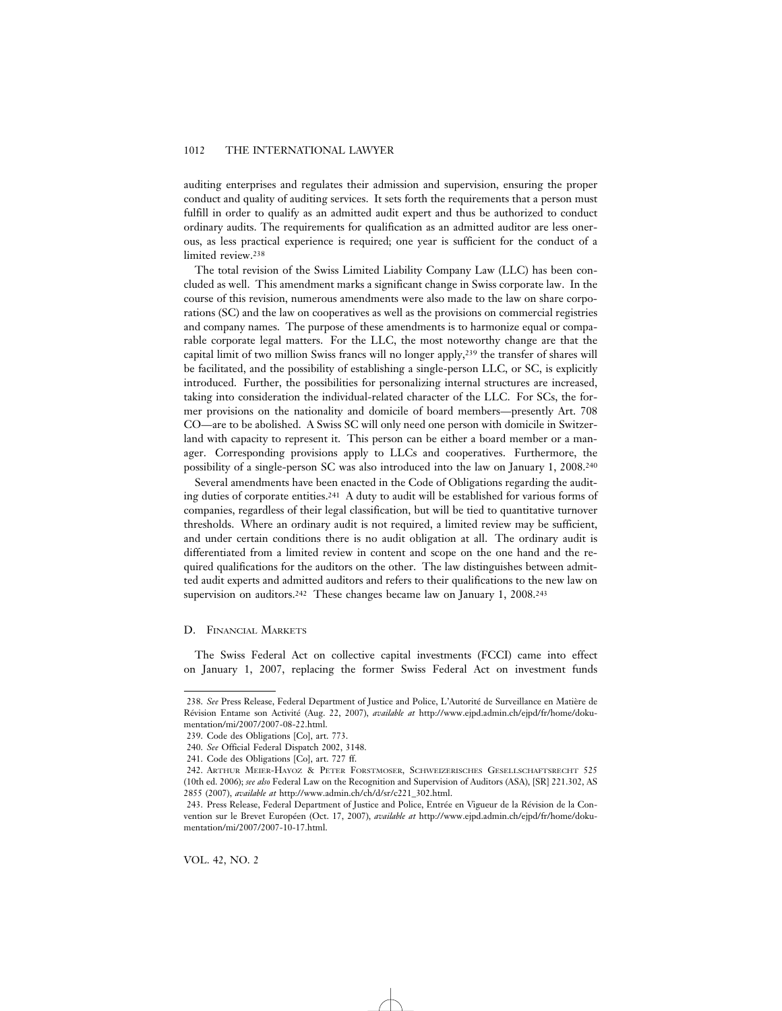auditing enterprises and regulates their admission and supervision, ensuring the proper conduct and quality of auditing services. It sets forth the requirements that a person must fulfill in order to qualify as an admitted audit expert and thus be authorized to conduct ordinary audits. The requirements for qualification as an admitted auditor are less onerous, as less practical experience is required; one year is sufficient for the conduct of a limited review.238

The total revision of the Swiss Limited Liability Company Law (LLC) has been concluded as well. This amendment marks a significant change in Swiss corporate law. In the course of this revision, numerous amendments were also made to the law on share corporations (SC) and the law on cooperatives as well as the provisions on commercial registries and company names. The purpose of these amendments is to harmonize equal or comparable corporate legal matters. For the LLC, the most noteworthy change are that the capital limit of two million Swiss francs will no longer apply,239 the transfer of shares will be facilitated, and the possibility of establishing a single-person LLC, or SC, is explicitly introduced. Further, the possibilities for personalizing internal structures are increased, taking into consideration the individual-related character of the LLC. For SCs, the former provisions on the nationality and domicile of board members—presently Art. 708 CO—are to be abolished. A Swiss SC will only need one person with domicile in Switzerland with capacity to represent it. This person can be either a board member or a manager. Corresponding provisions apply to LLCs and cooperatives. Furthermore, the possibility of a single-person SC was also introduced into the law on January 1, 2008.240

Several amendments have been enacted in the Code of Obligations regarding the auditing duties of corporate entities.241 A duty to audit will be established for various forms of companies, regardless of their legal classification, but will be tied to quantitative turnover thresholds. Where an ordinary audit is not required, a limited review may be sufficient, and under certain conditions there is no audit obligation at all. The ordinary audit is differentiated from a limited review in content and scope on the one hand and the required qualifications for the auditors on the other. The law distinguishes between admitted audit experts and admitted auditors and refers to their qualifications to the new law on supervision on auditors.<sup>242</sup> These changes became law on January 1, 2008.<sup>243</sup>

# D. FINANCIAL MARKETS

The Swiss Federal Act on collective capital investments (FCCI) came into effect on January 1, 2007, replacing the former Swiss Federal Act on investment funds

VOL. 42, NO. 2

<sup>238.</sup> See Press Release, Federal Department of Justice and Police, L'Autorité de Surveillance en Matière de Révision Entame son Activité (Aug. 22, 2007), *available at* http://www.ejpd.admin.ch/ejpd/fr/home/dokumentation/mi/2007/2007-08-22.html.

<sup>239.</sup> Code des Obligations [Co], art. 773.

<sup>240.</sup> *See* Official Federal Dispatch 2002, 3148.

<sup>241.</sup> Code des Obligations [Co], art. 727 ff.

<sup>242.</sup> ARTHUR MEIER-HAYOZ & PETER FORSTMOSER, SCHWEIZERISCHES GESELLSCHAFTSRECHT 525 (10th ed. 2006); *see also* Federal Law on the Recognition and Supervision of Auditors (ASA), [SR] 221.302, AS 2855 (2007), *available at* http://www.admin.ch/ch/d/sr/c221\_302.html.

<sup>243.</sup> Press Release, Federal Department of Justice and Police, Entrée en Vigueur de la Révision de la Convention sur le Brevet Européen (Oct. 17, 2007), *available at* http://www.ejpd.admin.ch/ejpd/fr/home/dokumentation/mi/2007/2007-10-17.html.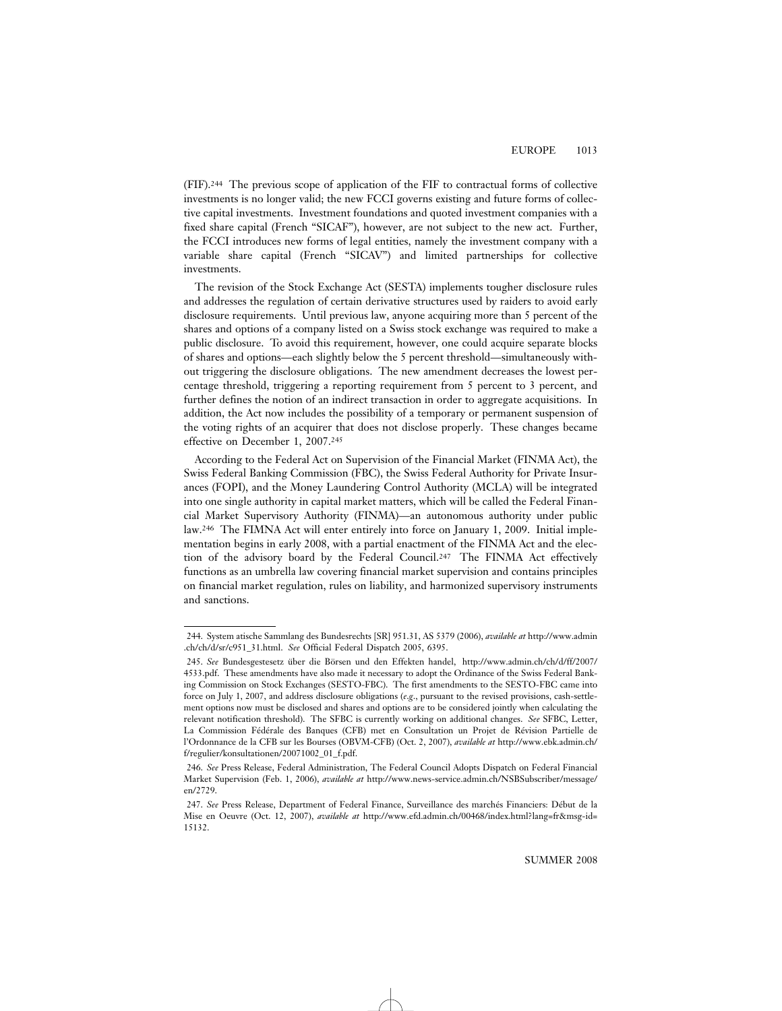(FIF).244 The previous scope of application of the FIF to contractual forms of collective investments is no longer valid; the new FCCI governs existing and future forms of collective capital investments. Investment foundations and quoted investment companies with a fixed share capital (French "SICAF"), however, are not subject to the new act. Further, the FCCI introduces new forms of legal entities, namely the investment company with a variable share capital (French "SICAV") and limited partnerships for collective investments.

The revision of the Stock Exchange Act (SESTA) implements tougher disclosure rules and addresses the regulation of certain derivative structures used by raiders to avoid early disclosure requirements. Until previous law, anyone acquiring more than 5 percent of the shares and options of a company listed on a Swiss stock exchange was required to make a public disclosure. To avoid this requirement, however, one could acquire separate blocks of shares and options—each slightly below the 5 percent threshold—simultaneously without triggering the disclosure obligations. The new amendment decreases the lowest percentage threshold, triggering a reporting requirement from 5 percent to 3 percent, and further defines the notion of an indirect transaction in order to aggregate acquisitions. In addition, the Act now includes the possibility of a temporary or permanent suspension of the voting rights of an acquirer that does not disclose properly. These changes became effective on December 1, 2007.245

According to the Federal Act on Supervision of the Financial Market (FINMA Act), the Swiss Federal Banking Commission (FBC), the Swiss Federal Authority for Private Insurances (FOPI), and the Money Laundering Control Authority (MCLA) will be integrated into one single authority in capital market matters, which will be called the Federal Financial Market Supervisory Authority (FINMA)—an autonomous authority under public law.246 The FIMNA Act will enter entirely into force on January 1, 2009. Initial implementation begins in early 2008, with a partial enactment of the FINMA Act and the election of the advisory board by the Federal Council.247 The FINMA Act effectively functions as an umbrella law covering financial market supervision and contains principles on financial market regulation, rules on liability, and harmonized supervisory instruments and sanctions.

<sup>244.</sup> System atische Sammlang des Bundesrechts [SR] 951.31, AS 5379 (2006), *available at* http://www.admin .ch/ch/d/sr/c951\_31.html. *See* Official Federal Dispatch 2005, 6395.

<sup>245.</sup> See Bundesgestesetz über die Börsen und den Effekten handel, http://www.admin.ch/ch/d/ff/2007/ 4533.pdf. These amendments have also made it necessary to adopt the Ordinance of the Swiss Federal Banking Commission on Stock Exchanges (SESTO-FBC). The first amendments to the SESTO-FBC came into force on July 1, 2007, and address disclosure obligations (*e*.*g*., pursuant to the revised provisions, cash-settlement options now must be disclosed and shares and options are to be considered jointly when calculating the relevant notification threshold). The SFBC is currently working on additional changes. *See* SFBC, Letter, La Commission Fédérale des Banques (CFB) met en Consultation un Projet de Révision Partielle de l'Ordonnance de la CFB sur les Bourses (OBVM-CFB) (Oct. 2, 2007), *available at* http://www.ebk.admin.ch/ f/regulier/konsultationen/20071002\_01\_f.pdf.

<sup>246.</sup> *See* Press Release, Federal Administration, The Federal Council Adopts Dispatch on Federal Financial Market Supervision (Feb. 1, 2006), *available at* http://www.news-service.admin.ch/NSBSubscriber/message/ en/2729.

<sup>247.</sup> See Press Release, Department of Federal Finance, Surveillance des marchés Financiers: Début de la Mise en Oeuvre (Oct. 12, 2007), *available at* http://www.efd.admin.ch/00468/index.html?lang=fr&msg-id= 15132.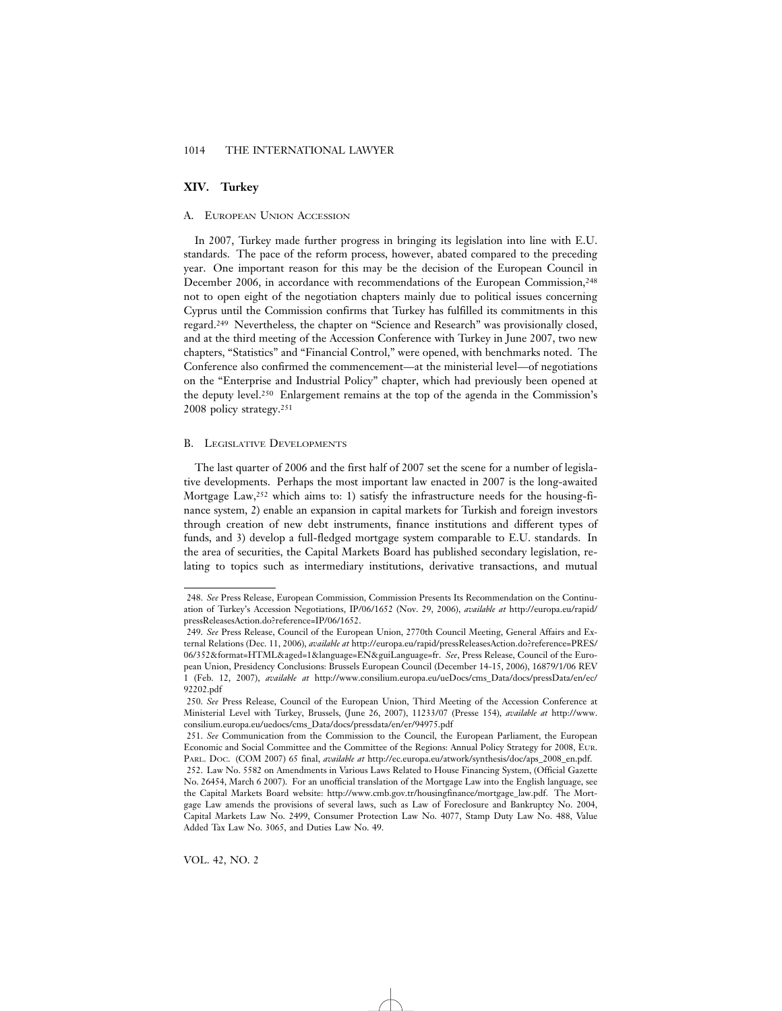# **XIV. Turkey**

#### A. EUROPEAN UNION ACCESSION

In 2007, Turkey made further progress in bringing its legislation into line with E.U. standards. The pace of the reform process, however, abated compared to the preceding year. One important reason for this may be the decision of the European Council in December 2006, in accordance with recommendations of the European Commission,248 not to open eight of the negotiation chapters mainly due to political issues concerning Cyprus until the Commission confirms that Turkey has fulfilled its commitments in this regard.249 Nevertheless, the chapter on "Science and Research" was provisionally closed, and at the third meeting of the Accession Conference with Turkey in June 2007, two new chapters, "Statistics" and "Financial Control," were opened, with benchmarks noted. The Conference also confirmed the commencement—at the ministerial level—of negotiations on the "Enterprise and Industrial Policy" chapter, which had previously been opened at the deputy level.250 Enlargement remains at the top of the agenda in the Commission's 2008 policy strategy.251

#### B. LEGISLATIVE DEVELOPMENTS

The last quarter of 2006 and the first half of 2007 set the scene for a number of legislative developments. Perhaps the most important law enacted in 2007 is the long-awaited Mortgage Law,252 which aims to: 1) satisfy the infrastructure needs for the housing-finance system, 2) enable an expansion in capital markets for Turkish and foreign investors through creation of new debt instruments, finance institutions and different types of funds, and 3) develop a full-fledged mortgage system comparable to E.U. standards. In the area of securities, the Capital Markets Board has published secondary legislation, relating to topics such as intermediary institutions, derivative transactions, and mutual

<sup>248.</sup> *See* Press Release, European Commission, Commission Presents Its Recommendation on the Continuation of Turkey's Accession Negotiations, IP/06/1652 (Nov. 29, 2006), *available at* http://europa.eu/rapid/ pressReleasesAction.do?reference=IP/06/1652.

<sup>249.</sup> *See* Press Release, Council of the European Union, 2770th Council Meeting, General Affairs and External Relations (Dec. 11, 2006), *available at* http://europa.eu/rapid/pressReleasesAction.do?reference=PRES/ 06/352&format=HTML&aged=1&language=EN&guiLanguage=fr. *See*, Press Release, Council of the European Union, Presidency Conclusions: Brussels European Council (December 14-15, 2006), 16879/1/06 REV 1 (Feb. 12, 2007), *available at* http://www.consilium.europa.eu/ueDocs/cms\_Data/docs/pressData/en/ec/ 92202.pdf

<sup>250.</sup> *See* Press Release, Council of the European Union, Third Meeting of the Accession Conference at Ministerial Level with Turkey, Brussels, (June 26, 2007), 11233/07 (Presse 154), *available at* http://www. consilium.europa.eu/uedocs/cms\_Data/docs/pressdata/en/er/94975.pdf

<sup>251.</sup> *See* Communication from the Commission to the Council, the European Parliament, the European Economic and Social Committee and the Committee of the Regions: Annual Policy Strategy for 2008, EUR. PARL. DOC. (COM 2007) 65 final, *available at* http://ec.europa.eu/atwork/synthesis/doc/aps\_2008\_en.pdf. 252. Law No. 5582 on Amendments in Various Laws Related to House Financing System, (Official Gazette No. 26454, March 6 2007). For an unofficial translation of the Mortgage Law into the English language, see the Capital Markets Board website: http://www.cmb.gov.tr/housingfinance/mortgage\_law.pdf. The Mortgage Law amends the provisions of several laws, such as Law of Foreclosure and Bankruptcy No. 2004, Capital Markets Law No. 2499, Consumer Protection Law No. 4077, Stamp Duty Law No. 488, Value Added Tax Law No. 3065, and Duties Law No. 49.